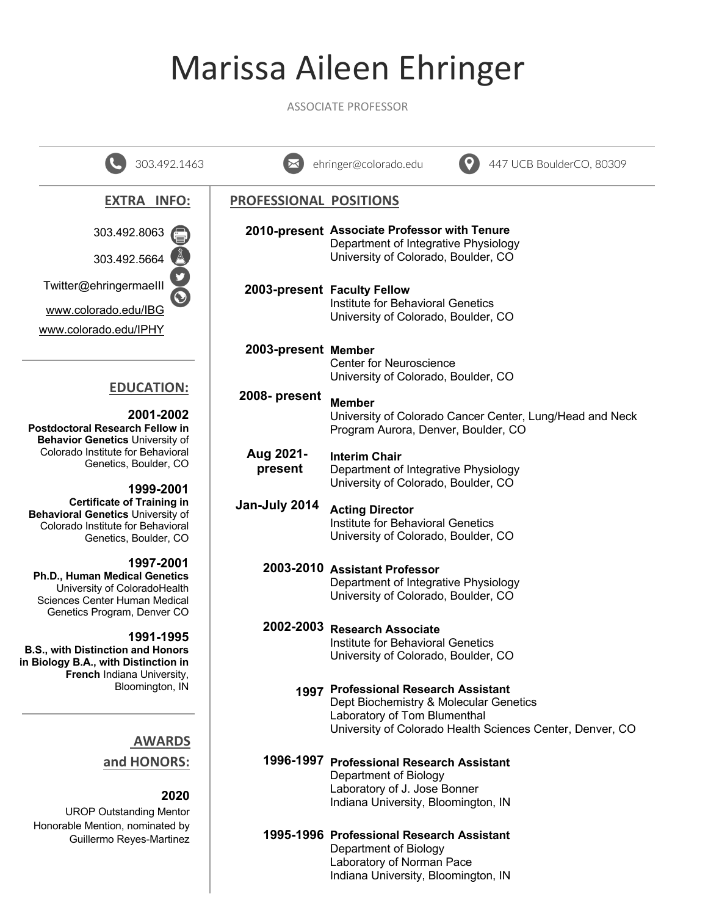# Marissa Aileen Ehringer

ASSOCIATE PROFESSOR

| 303.492.1463                                                                                                                               |                        | 447 UCB BoulderCO, 80309<br>ehringer@colorado.edu                                                                                                                           |
|--------------------------------------------------------------------------------------------------------------------------------------------|------------------------|-----------------------------------------------------------------------------------------------------------------------------------------------------------------------------|
| <b>EXTRA INFO:</b>                                                                                                                         | PROFESSIONAL POSITIONS |                                                                                                                                                                             |
| 303.492.8063                                                                                                                               |                        | 2010-present Associate Professor with Tenure<br>Department of Integrative Physiology                                                                                        |
| 303.492.5664                                                                                                                               |                        | University of Colorado, Boulder, CO                                                                                                                                         |
| Twitter@ehringermaelll                                                                                                                     |                        | 2003-present Faculty Fellow                                                                                                                                                 |
| www.colorado.edu/IBG                                                                                                                       |                        | Institute for Behavioral Genetics<br>University of Colorado, Boulder, CO                                                                                                    |
| www.colorado.edu/IPHY                                                                                                                      |                        |                                                                                                                                                                             |
|                                                                                                                                            | 2003-present Member    | <b>Center for Neuroscience</b><br>University of Colorado, Boulder, CO                                                                                                       |
| <b>EDUCATION:</b>                                                                                                                          | 2008- present          | <b>Member</b>                                                                                                                                                               |
| 2001-2002<br><b>Postdoctoral Research Fellow in</b><br><b>Behavior Genetics University of</b>                                              |                        | University of Colorado Cancer Center, Lung/Head and Neck<br>Program Aurora, Denver, Boulder, CO                                                                             |
| Colorado Institute for Behavioral<br>Genetics, Boulder, CO                                                                                 | Aug 2021-<br>present   | <b>Interim Chair</b><br>Department of Integrative Physiology                                                                                                                |
| 1999-2001                                                                                                                                  |                        | University of Colorado, Boulder, CO                                                                                                                                         |
| <b>Certificate of Training in</b><br>Behavioral Genetics University of<br>Colorado Institute for Behavioral<br>Genetics, Boulder, CO       | Jan-July 2014          | <b>Acting Director</b><br>Institute for Behavioral Genetics<br>University of Colorado, Boulder, CO                                                                          |
| 1997-2001<br>Ph.D., Human Medical Genetics<br>University of ColoradoHealth<br>Sciences Center Human Medical<br>Genetics Program, Denver CO |                        | 2003-2010 Assistant Professor<br>Department of Integrative Physiology<br>University of Colorado, Boulder, CO                                                                |
| 1991-1995                                                                                                                                  | 2002-2003              | <b>Research Associate</b>                                                                                                                                                   |
| <b>B.S., with Distinction and Honors</b><br>in Biology B.A., with Distinction in<br>French Indiana University,                             |                        | Institute for Behavioral Genetics<br>University of Colorado, Boulder, CO                                                                                                    |
| Bloomington, IN                                                                                                                            |                        | 1997 Professional Research Assistant<br>Dept Biochemistry & Molecular Genetics<br>Laboratory of Tom Blumenthal<br>University of Colorado Health Sciences Center, Denver, CO |
| <b>AWARDS</b>                                                                                                                              |                        |                                                                                                                                                                             |
| and HONORS:                                                                                                                                |                        | 1996-1997 Professional Research Assistant<br>Department of Biology<br>Laboratory of J. Jose Bonner                                                                          |
| 2020<br><b>UROP Outstanding Mentor</b><br>Honorable Mention, nominated by                                                                  |                        | Indiana University, Bloomington, IN                                                                                                                                         |
| Guillermo Reyes-Martinez                                                                                                                   |                        | 1995-1996 Professional Research Assistant<br>Department of Biology<br>Laboratory of Norman Pace<br>Indiana University, Bloomington, IN                                      |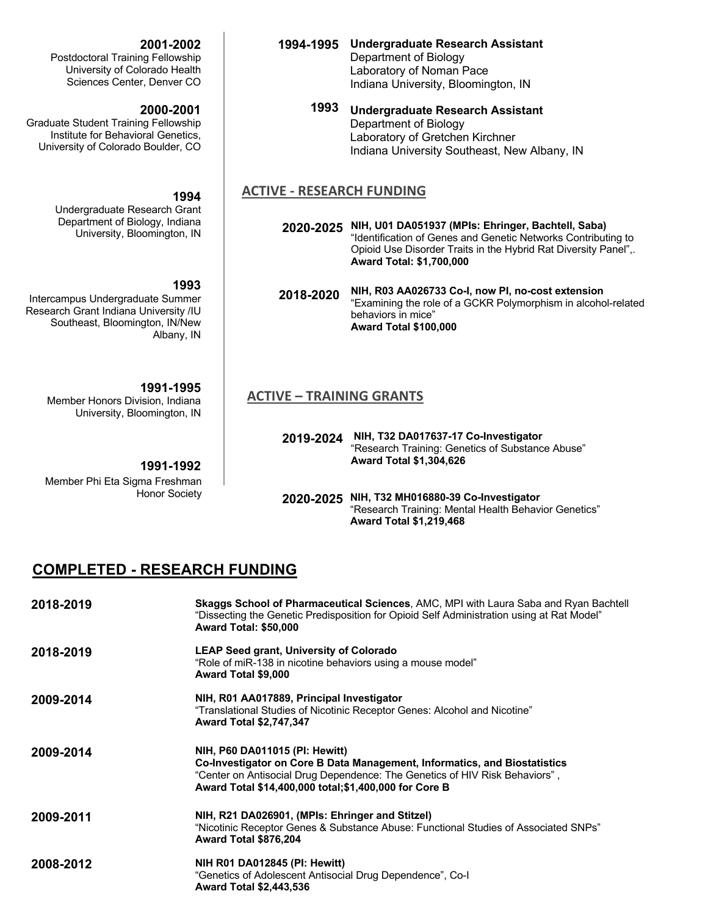#### **2001-2002**

Postdoctoral Training Fellowship University of Colorado Health Sciences Center, Denver CO

#### **2000-2001**

Graduate Student Training Fellowship Institute for Behavioral Genetics, University of Colorado Boulder, CO

#### **1994**

Undergraduate Research Grant Department of Biology, Indiana University, Bloomington, IN

## **1993**

Intercampus Undergraduate Summer Research Grant Indiana University /IU Southeast, Bloomington, IN/New Albany, IN

#### **1991-1995**

Member Honors Division, Indiana University, Bloomington, IN

#### **1991-1992**

Member Phi Eta Sigma Freshman Honor Society

- **1994-1995 Undergraduate Research Assistant** Department of Biology Laboratory of Noman Pace Indiana University, Bloomington, IN
	- **1993 Undergraduate Research Assistant** Department of Biology Laboratory of Gretchen Kirchner Indiana University Southeast, New Albany, IN

#### **ACTIVE - RESEARCH FUNDING**

- **2020-2025 NIH, U01 DA051937 (MPIs: Ehringer, Bachtell, Saba)** "Identification of Genes and Genetic Networks Contributing to Opioid Use Disorder Traits in the Hybrid Rat Diversity Panel",. **Award Total: \$1,700,000**
- **2018-2020 NIH, R03 AA026733 Co-I, now PI, no-cost extension** "Examining the role of a GCKR Polymorphism in alcohol-related behaviors in mice" **Award Total \$100,000**

## **ACTIVE – TRAINING GRANTS**

**2019-2024 NIH, T32 DA017637-17 Co-Investigator** "Research Training: Genetics of Substance Abuse" **Award Total \$1,304,626**

**2020-2025 NIH, T32 MH016880-39 Co-Investigator** "Research Training: Mental Health Behavior Genetics" **Award Total \$1,219,468**

## **COMPLETED - RESEARCH FUNDING**

| 2018-2019 | Skaggs School of Pharmaceutical Sciences, AMC, MPI with Laura Saba and Ryan Bachtell<br>"Dissecting the Genetic Predisposition for Opioid Self Administration using at Rat Model"<br>Award Total: \$50,000                                           |
|-----------|------------------------------------------------------------------------------------------------------------------------------------------------------------------------------------------------------------------------------------------------------|
| 2018-2019 | <b>LEAP Seed grant, University of Colorado</b><br>"Role of miR-138 in nicotine behaviors using a mouse model"<br>Award Total \$9,000                                                                                                                 |
| 2009-2014 | NIH, R01 AA017889, Principal Investigator<br>"Translational Studies of Nicotinic Receptor Genes: Alcohol and Nicotine"<br><b>Award Total \$2,747,347</b>                                                                                             |
| 2009-2014 | NIH, P60 DA011015 (PI: Hewitt)<br>Co-Investigator on Core B Data Management, Informatics, and Biostatistics<br>"Center on Antisocial Drug Dependence: The Genetics of HIV Risk Behaviors",<br>Award Total \$14,400,000 total; \$1,400,000 for Core B |
| 2009-2011 | NIH, R21 DA026901, (MPIs: Ehringer and Stitzel)<br>"Nicotinic Receptor Genes & Substance Abuse: Functional Studies of Associated SNPs"<br>Award Total \$876,204                                                                                      |
| 2008-2012 | <b>NIH R01 DA012845 (PI: Hewitt)</b><br>"Genetics of Adolescent Antisocial Drug Dependence", Co-I<br><b>Award Total \$2,443,536</b>                                                                                                                  |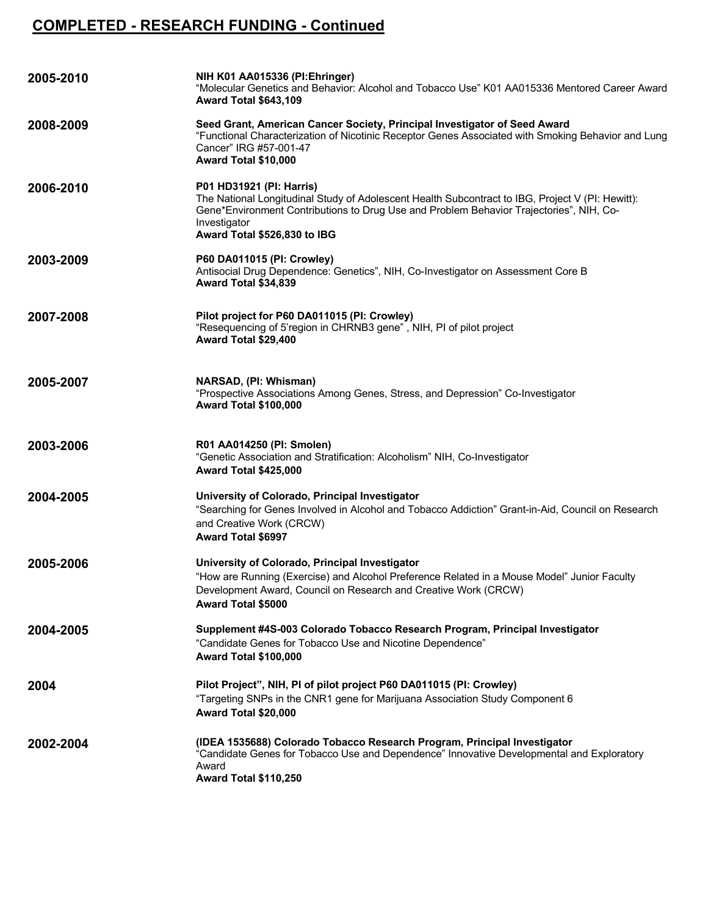# **COMPLETED - RESEARCH FUNDING - Continued**

| 2005-2010 | NIH K01 AA015336 (PI:Ehringer)<br>"Molecular Genetics and Behavior: Alcohol and Tobacco Use" K01 AA015336 Mentored Career Award<br><b>Award Total \$643,109</b>                                                                                                         |  |
|-----------|-------------------------------------------------------------------------------------------------------------------------------------------------------------------------------------------------------------------------------------------------------------------------|--|
| 2008-2009 | Seed Grant, American Cancer Society, Principal Investigator of Seed Award<br>"Functional Characterization of Nicotinic Receptor Genes Associated with Smoking Behavior and Lung<br>Cancer" IRG #57-001-47<br>Award Total \$10,000                                       |  |
| 2006-2010 | P01 HD31921 (PI: Harris)<br>The National Longitudinal Study of Adolescent Health Subcontract to IBG, Project V (PI: Hewitt):<br>Gene*Environment Contributions to Drug Use and Problem Behavior Trajectories", NIH, Co-<br>Investigator<br>Award Total \$526,830 to IBG |  |
| 2003-2009 | P60 DA011015 (PI: Crowley)<br>Antisocial Drug Dependence: Genetics", NIH, Co-Investigator on Assessment Core B<br>Award Total \$34,839                                                                                                                                  |  |
| 2007-2008 | Pilot project for P60 DA011015 (PI: Crowley)<br>"Resequencing of 5'region in CHRNB3 gene", NIH, PI of pilot project<br>Award Total \$29,400                                                                                                                             |  |
| 2005-2007 | NARSAD, (PI: Whisman)<br>"Prospective Associations Among Genes, Stress, and Depression" Co-Investigator<br><b>Award Total \$100,000</b>                                                                                                                                 |  |
| 2003-2006 | R01 AA014250 (PI: Smolen)<br>"Genetic Association and Stratification: Alcoholism" NIH, Co-Investigator<br><b>Award Total \$425,000</b>                                                                                                                                  |  |
| 2004-2005 | University of Colorado, Principal Investigator<br>"Searching for Genes Involved in Alcohol and Tobacco Addiction" Grant-in-Aid, Council on Research<br>and Creative Work (CRCW)<br><b>Award Total \$6997</b>                                                            |  |
| 2005-2006 | University of Colorado, Principal Investigator<br>"How are Running (Exercise) and Alcohol Preference Related in a Mouse Model" Junior Faculty<br>Development Award, Council on Research and Creative Work (CRCW)<br><b>Award Total \$5000</b>                           |  |
| 2004-2005 | Supplement #4S-003 Colorado Tobacco Research Program, Principal Investigator<br>"Candidate Genes for Tobacco Use and Nicotine Dependence"<br>Award Total \$100,000                                                                                                      |  |
| 2004      | Pilot Project", NIH, PI of pilot project P60 DA011015 (PI: Crowley)<br>"Targeting SNPs in the CNR1 gene for Marijuana Association Study Component 6<br>Award Total \$20,000                                                                                             |  |
| 2002-2004 | (IDEA 1535688) Colorado Tobacco Research Program, Principal Investigator<br>"Candidate Genes for Tobacco Use and Dependence" Innovative Developmental and Exploratory<br>Award<br>Award Total \$110,250                                                                 |  |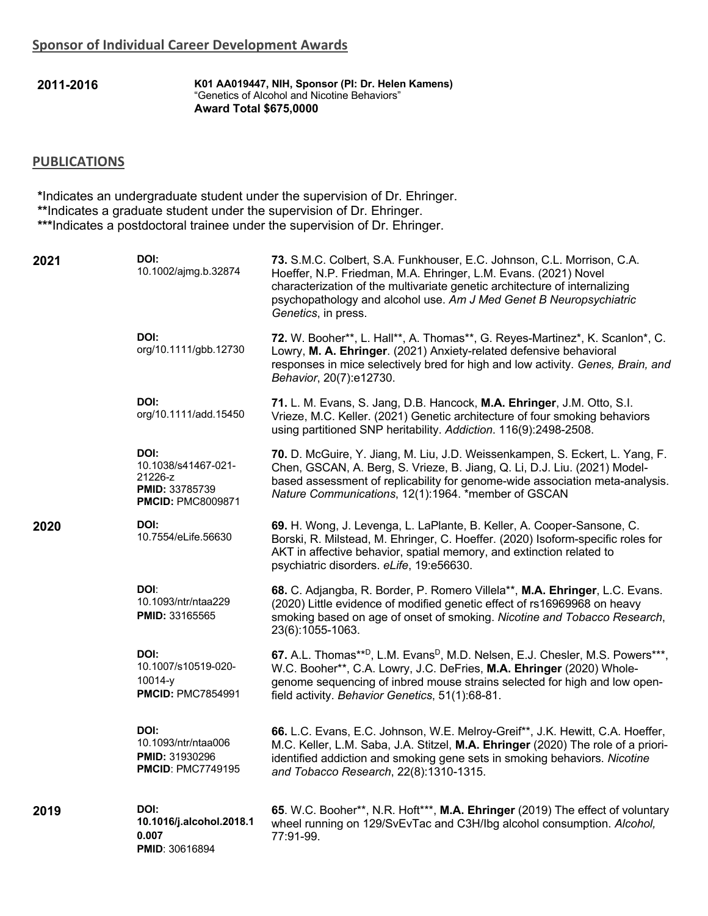**2011-2016 K01 AA019447, NIH, Sponsor (PI: Dr. Helen Kamens)** "Genetics of Alcohol and Nicotine Behaviors" **Award Total \$675,0000**

## **PUBLICATIONS**

**\***Indicates an undergraduate student under the supervision of Dr. Ehringer. **\*\***Indicates a graduate student under the supervision of Dr. Ehringer. **\*\*\***Indicates a postdoctoral trainee under the supervision of Dr. Ehringer.

| 2021 | DOI:<br>10.1002/ajmg.b.32874                                                                | 73. S.M.C. Colbert, S.A. Funkhouser, E.C. Johnson, C.L. Morrison, C.A.<br>Hoeffer, N.P. Friedman, M.A. Ehringer, L.M. Evans. (2021) Novel<br>characterization of the multivariate genetic architecture of internalizing<br>psychopathology and alcohol use. Am J Med Genet B Neuropsychiatric<br>Genetics, in press. |
|------|---------------------------------------------------------------------------------------------|----------------------------------------------------------------------------------------------------------------------------------------------------------------------------------------------------------------------------------------------------------------------------------------------------------------------|
|      | DOI:<br>org/10.1111/gbb.12730                                                               | 72. W. Booher**, L. Hall**, A. Thomas**, G. Reyes-Martinez*, K. Scanlon*, C.<br>Lowry, M. A. Ehringer. (2021) Anxiety-related defensive behavioral<br>responses in mice selectively bred for high and low activity. Genes, Brain, and<br>Behavior, 20(7):e12730.                                                     |
|      | DOI:<br>org/10.1111/add.15450                                                               | 71. L. M. Evans, S. Jang, D.B. Hancock, M.A. Ehringer, J.M. Otto, S.I.<br>Vrieze, M.C. Keller. (2021) Genetic architecture of four smoking behaviors<br>using partitioned SNP heritability. Addiction. 116(9):2498-2508.                                                                                             |
|      | DOI:<br>10.1038/s41467-021-<br>21226-z<br><b>PMID: 33785739</b><br><b>PMCID: PMC8009871</b> | 70. D. McGuire, Y. Jiang, M. Liu, J.D. Weissenkampen, S. Eckert, L. Yang, F.<br>Chen, GSCAN, A. Berg, S. Vrieze, B. Jiang, Q. Li, D.J. Liu. (2021) Model-<br>based assessment of replicability for genome-wide association meta-analysis.<br>Nature Communications, 12(1):1964. *member of GSCAN                     |
| 2020 | DOI:<br>10.7554/eLife.56630                                                                 | 69. H. Wong, J. Levenga, L. LaPlante, B. Keller, A. Cooper-Sansone, C.<br>Borski, R. Milstead, M. Ehringer, C. Hoeffer. (2020) Isoform-specific roles for<br>AKT in affective behavior, spatial memory, and extinction related to<br>psychiatric disorders. eLife, 19:e56630.                                        |
|      | DOI:<br>10.1093/ntr/ntaa229<br><b>PMID: 33165565</b>                                        | 68. C. Adjangba, R. Border, P. Romero Villela**, M.A. Ehringer, L.C. Evans.<br>(2020) Little evidence of modified genetic effect of rs16969968 on heavy<br>smoking based on age of onset of smoking. Nicotine and Tobacco Research,<br>23(6):1055-1063.                                                              |
|      | DOI:<br>10.1007/s10519-020-<br>$10014-y$<br><b>PMCID: PMC7854991</b>                        | 67. A.L. Thomas** <sup>D</sup> , L.M. Evans <sup>D</sup> , M.D. Nelsen, E.J. Chesler, M.S. Powers***,<br>W.C. Booher**, C.A. Lowry, J.C. DeFries, M.A. Ehringer (2020) Whole-<br>genome sequencing of inbred mouse strains selected for high and low open-<br>field activity. Behavior Genetics, 51(1):68-81.        |
|      | DOI:<br>10.1093/ntr/ntaa006<br><b>PMID: 31930296</b><br><b>PMCID: PMC7749195</b>            | 66. L.C. Evans, E.C. Johnson, W.E. Melroy-Greif**, J.K. Hewitt, C.A. Hoeffer,<br>M.C. Keller, L.M. Saba, J.A. Stitzel, M.A. Ehringer (2020) The role of a priori-<br>identified addiction and smoking gene sets in smoking behaviors. Nicotine<br>and Tobacco Research, 22(8):1310-1315.                             |
| 2019 | DOI:<br>10.1016/j.alcohol.2018.1<br>0.007<br><b>PMID: 30616894</b>                          | 65. W.C. Booher**, N.R. Hoft***, M.A. Ehringer (2019) The effect of voluntary<br>wheel running on 129/SvEvTac and C3H/lbg alcohol consumption. Alcohol,<br>77:91-99.                                                                                                                                                 |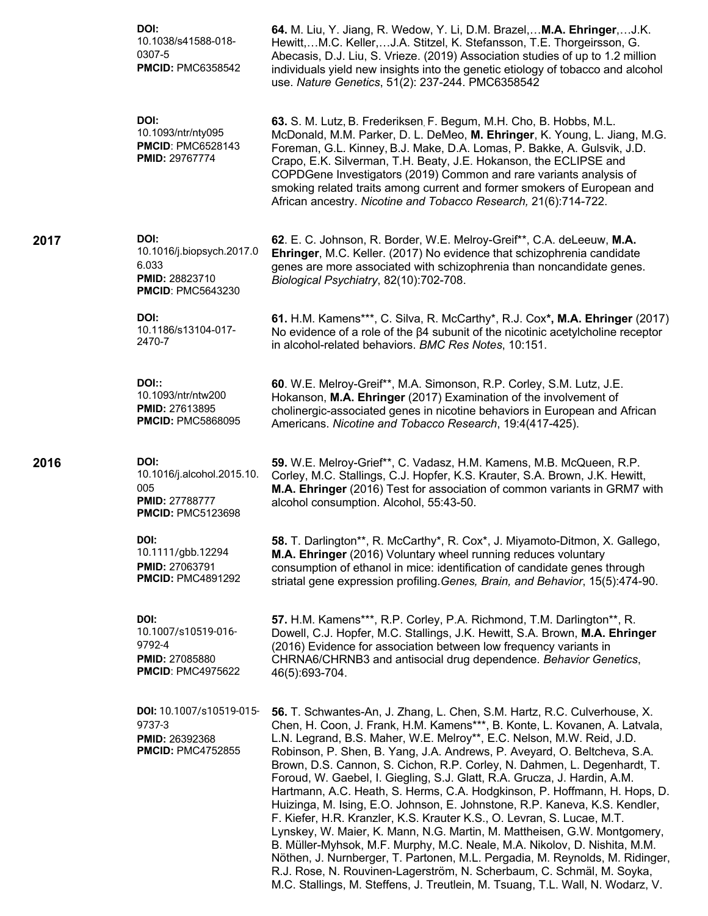|      | DOI:<br>10.1038/s41588-018-<br>0307-5<br><b>PMCID: PMC6358542</b>                              | 64. M. Liu, Y. Jiang, R. Wedow, Y. Li, D.M. Brazel, M.A. Ehringer,J.K.<br>Hewitt,M.C. Keller,J.A. Stitzel, K. Stefansson, T.E. Thorgeirsson, G.<br>Abecasis, D.J. Liu, S. Vrieze. (2019) Association studies of up to 1.2 million<br>individuals yield new insights into the genetic etiology of tobacco and alcohol<br>use. Nature Genetics, 51(2): 237-244. PMC6358542                                                                                                                                                                                                                                                                                                                                                                                                                                                                                                                                                                                                                                                                                                                                     |
|------|------------------------------------------------------------------------------------------------|--------------------------------------------------------------------------------------------------------------------------------------------------------------------------------------------------------------------------------------------------------------------------------------------------------------------------------------------------------------------------------------------------------------------------------------------------------------------------------------------------------------------------------------------------------------------------------------------------------------------------------------------------------------------------------------------------------------------------------------------------------------------------------------------------------------------------------------------------------------------------------------------------------------------------------------------------------------------------------------------------------------------------------------------------------------------------------------------------------------|
|      | DOI:<br>10.1093/ntr/nty095<br><b>PMCID: PMC6528143</b><br><b>PMID: 29767774</b>                | 63. S. M. Lutz, B. Frederiksen, F. Begum, M.H. Cho, B. Hobbs, M.L.<br>McDonald, M.M. Parker, D. L. DeMeo, M. Ehringer, K. Young, L. Jiang, M.G.<br>Foreman, G.L. Kinney, B.J. Make, D.A. Lomas, P. Bakke, A. Gulsvik, J.D.<br>Crapo, E.K. Silverman, T.H. Beaty, J.E. Hokanson, the ECLIPSE and<br>COPDGene Investigators (2019) Common and rare variants analysis of<br>smoking related traits among current and former smokers of European and<br>African ancestry. Nicotine and Tobacco Research, 21(6):714-722.                                                                                                                                                                                                                                                                                                                                                                                                                                                                                                                                                                                          |
| 2017 | DOI:<br>10.1016/j.biopsych.2017.0<br>6.033<br>PMID: 28823710<br><b>PMCID: PMC5643230</b>       | 62. E. C. Johnson, R. Border, W.E. Melroy-Greif**, C.A. deLeeuw, M.A.<br>Ehringer, M.C. Keller. (2017) No evidence that schizophrenia candidate<br>genes are more associated with schizophrenia than noncandidate genes.<br>Biological Psychiatry, 82(10):702-708.                                                                                                                                                                                                                                                                                                                                                                                                                                                                                                                                                                                                                                                                                                                                                                                                                                           |
|      | DOI:<br>10.1186/s13104-017-<br>2470-7                                                          | 61. H.M. Kamens***, C. Silva, R. McCarthy*, R.J. Cox*, M.A. Ehringer (2017)<br>No evidence of a role of the $\beta$ 4 subunit of the nicotinic acetylcholine receptor<br>in alcohol-related behaviors. BMC Res Notes, 10:151.                                                                                                                                                                                                                                                                                                                                                                                                                                                                                                                                                                                                                                                                                                                                                                                                                                                                                |
|      | DOI::<br>10.1093/ntr/ntw200<br><b>PMID: 27613895</b><br><b>PMCID: PMC5868095</b>               | 60. W.E. Melroy-Greif**, M.A. Simonson, R.P. Corley, S.M. Lutz, J.E.<br>Hokanson, M.A. Ehringer (2017) Examination of the involvement of<br>cholinergic-associated genes in nicotine behaviors in European and African<br>Americans. Nicotine and Tobacco Research, 19:4(417-425).                                                                                                                                                                                                                                                                                                                                                                                                                                                                                                                                                                                                                                                                                                                                                                                                                           |
| 2016 | DOI:<br>10.1016/j.alcohol.2015.10.<br>005<br><b>PMID: 27788777</b><br><b>PMCID: PMC5123698</b> | 59. W.E. Melroy-Grief**, C. Vadasz, H.M. Kamens, M.B. McQueen, R.P.<br>Corley, M.C. Stallings, C.J. Hopfer, K.S. Krauter, S.A. Brown, J.K. Hewitt,<br>M.A. Ehringer (2016) Test for association of common variants in GRM7 with<br>alcohol consumption. Alcohol, 55:43-50.                                                                                                                                                                                                                                                                                                                                                                                                                                                                                                                                                                                                                                                                                                                                                                                                                                   |
|      | DOI:<br>10.1111/gbb.12294<br><b>PMID: 27063791</b><br><b>PMCID: PMC4891292</b>                 | 58. T. Darlington**, R. McCarthy*, R. Cox*, J. Miyamoto-Ditmon, X. Gallego,<br>M.A. Ehringer (2016) Voluntary wheel running reduces voluntary<br>consumption of ethanol in mice: identification of candidate genes through<br>striatal gene expression profiling. Genes, Brain, and Behavior, 15(5):474-90.                                                                                                                                                                                                                                                                                                                                                                                                                                                                                                                                                                                                                                                                                                                                                                                                  |
|      | DOI:<br>10.1007/s10519-016-<br>9792-4<br><b>PMID: 27085880</b><br><b>PMCID: PMC4975622</b>     | 57. H.M. Kamens***, R.P. Corley, P.A. Richmond, T.M. Darlington**, R.<br>Dowell, C.J. Hopfer, M.C. Stallings, J.K. Hewitt, S.A. Brown, M.A. Ehringer<br>(2016) Evidence for association between low frequency variants in<br>CHRNA6/CHRNB3 and antisocial drug dependence. Behavior Genetics,<br>46(5):693-704.                                                                                                                                                                                                                                                                                                                                                                                                                                                                                                                                                                                                                                                                                                                                                                                              |
|      | DOI: 10.1007/s10519-015-<br>9737-3<br><b>PMID: 26392368</b><br><b>PMCID: PMC4752855</b>        | 56. T. Schwantes-An, J. Zhang, L. Chen, S.M. Hartz, R.C. Culverhouse, X.<br>Chen, H. Coon, J. Frank, H.M. Kamens***, B. Konte, L. Kovanen, A. Latvala,<br>L.N. Legrand, B.S. Maher, W.E. Melroy**, E.C. Nelson, M.W. Reid, J.D.<br>Robinson, P. Shen, B. Yang, J.A. Andrews, P. Aveyard, O. Beltcheva, S.A.<br>Brown, D.S. Cannon, S. Cichon, R.P. Corley, N. Dahmen, L. Degenhardt, T.<br>Foroud, W. Gaebel, I. Giegling, S.J. Glatt, R.A. Grucza, J. Hardin, A.M.<br>Hartmann, A.C. Heath, S. Herms, C.A. Hodgkinson, P. Hoffmann, H. Hops, D.<br>Huizinga, M. Ising, E.O. Johnson, E. Johnstone, R.P. Kaneva, K.S. Kendler,<br>F. Kiefer, H.R. Kranzler, K.S. Krauter K.S., O. Levran, S. Lucae, M.T.<br>Lynskey, W. Maier, K. Mann, N.G. Martin, M. Mattheisen, G.W. Montgomery,<br>B. Müller-Myhsok, M.F. Murphy, M.C. Neale, M.A. Nikolov, D. Nishita, M.M.<br>Nöthen, J. Nurnberger, T. Partonen, M.L. Pergadia, M. Reynolds, M. Ridinger,<br>R.J. Rose, N. Rouvinen-Lagerström, N. Scherbaum, C. Schmäl, M. Soyka,<br>M.C. Stallings, M. Steffens, J. Treutlein, M. Tsuang, T.L. Wall, N. Wodarz, V. |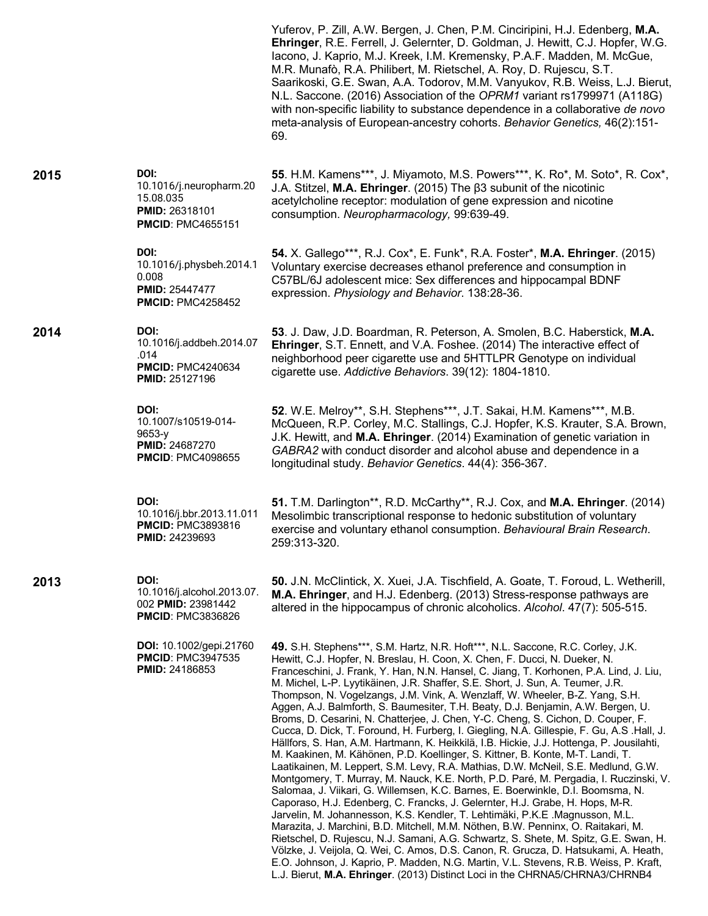|      |                                                                                                   | Yuferov, P. Zill, A.W. Bergen, J. Chen, P.M. Cinciripini, H.J. Edenberg, M.A.<br>Ehringer, R.E. Ferrell, J. Gelernter, D. Goldman, J. Hewitt, C.J. Hopfer, W.G.<br>Iacono, J. Kaprio, M.J. Kreek, I.M. Kremensky, P.A.F. Madden, M. McGue,<br>M.R. Munafò, R.A. Philibert, M. Rietschel, A. Roy, D. Rujescu, S.T.<br>Saarikoski, G.E. Swan, A.A. Todorov, M.M. Vanyukov, R.B. Weiss, L.J. Bierut,<br>N.L. Saccone. (2016) Association of the OPRM1 variant rs1799971 (A118G)<br>with non-specific liability to substance dependence in a collaborative de novo<br>meta-analysis of European-ancestry cohorts. Behavior Genetics, 46(2):151-<br>69.                                                                                                                                                                                                                                                                                                                                                                                                                                                                                                                                                                                                                                                                                                                                                                                                                                                                                                                                                                                                                        |
|------|---------------------------------------------------------------------------------------------------|---------------------------------------------------------------------------------------------------------------------------------------------------------------------------------------------------------------------------------------------------------------------------------------------------------------------------------------------------------------------------------------------------------------------------------------------------------------------------------------------------------------------------------------------------------------------------------------------------------------------------------------------------------------------------------------------------------------------------------------------------------------------------------------------------------------------------------------------------------------------------------------------------------------------------------------------------------------------------------------------------------------------------------------------------------------------------------------------------------------------------------------------------------------------------------------------------------------------------------------------------------------------------------------------------------------------------------------------------------------------------------------------------------------------------------------------------------------------------------------------------------------------------------------------------------------------------------------------------------------------------------------------------------------------------|
| 2015 | DOI:<br>10.1016/j.neuropharm.20<br>15.08.035<br><b>PMID: 26318101</b><br><b>PMCID: PMC4655151</b> | 55. H.M. Kamens***, J. Miyamoto, M.S. Powers***, K. Ro*, M. Soto*, R. Cox*,<br>J.A. Stitzel, M.A. Ehringer. (2015) The ß3 subunit of the nicotinic<br>acetylcholine receptor: modulation of gene expression and nicotine<br>consumption. Neuropharmacology, 99:639-49.                                                                                                                                                                                                                                                                                                                                                                                                                                                                                                                                                                                                                                                                                                                                                                                                                                                                                                                                                                                                                                                                                                                                                                                                                                                                                                                                                                                                    |
|      | DOI:<br>10.1016/j.physbeh.2014.1<br>0.008<br><b>PMID: 25447477</b><br><b>PMCID: PMC4258452</b>    | 54. X. Gallego***, R.J. Cox*, E. Funk*, R.A. Foster*, M.A. Ehringer. (2015)<br>Voluntary exercise decreases ethanol preference and consumption in<br>C57BL/6J adolescent mice: Sex differences and hippocampal BDNF<br>expression. Physiology and Behavior. 138:28-36.                                                                                                                                                                                                                                                                                                                                                                                                                                                                                                                                                                                                                                                                                                                                                                                                                                                                                                                                                                                                                                                                                                                                                                                                                                                                                                                                                                                                    |
| 2014 | DOI:<br>10.1016/j.addbeh.2014.07<br>.014<br><b>PMCID: PMC4240634</b><br><b>PMID: 25127196</b>     | 53. J. Daw, J.D. Boardman, R. Peterson, A. Smolen, B.C. Haberstick, M.A.<br>Ehringer, S.T. Ennett, and V.A. Foshee. (2014) The interactive effect of<br>neighborhood peer cigarette use and 5HTTLPR Genotype on individual<br>cigarette use. Addictive Behaviors. 39(12): 1804-1810.                                                                                                                                                                                                                                                                                                                                                                                                                                                                                                                                                                                                                                                                                                                                                                                                                                                                                                                                                                                                                                                                                                                                                                                                                                                                                                                                                                                      |
|      | DOI:<br>10.1007/s10519-014-<br>$9653-y$<br><b>PMID: 24687270</b><br><b>PMCID: PMC4098655</b>      | 52. W.E. Melroy**, S.H. Stephens***, J.T. Sakai, H.M. Kamens***, M.B.<br>McQueen, R.P. Corley, M.C. Stallings, C.J. Hopfer, K.S. Krauter, S.A. Brown,<br>J.K. Hewitt, and M.A. Ehringer. (2014) Examination of genetic variation in<br>GABRA2 with conduct disorder and alcohol abuse and dependence in a<br>longitudinal study. Behavior Genetics. 44(4): 356-367.                                                                                                                                                                                                                                                                                                                                                                                                                                                                                                                                                                                                                                                                                                                                                                                                                                                                                                                                                                                                                                                                                                                                                                                                                                                                                                       |
|      | DOI:<br>10.1016/j.bbr.2013.11.011<br><b>PMCID: PMC3893816</b><br><b>PMID: 24239693</b>            | 51. T.M. Darlington**, R.D. McCarthy**, R.J. Cox, and M.A. Ehringer. (2014)<br>Mesolimbic transcriptional response to hedonic substitution of voluntary<br>exercise and voluntary ethanol consumption. Behavioural Brain Research.<br>259:313-320.                                                                                                                                                                                                                                                                                                                                                                                                                                                                                                                                                                                                                                                                                                                                                                                                                                                                                                                                                                                                                                                                                                                                                                                                                                                                                                                                                                                                                        |
| 2013 | DOI:<br>10.1016/j.alcohol.2013.07.<br>002 PMID: 23981442<br><b>PMCID: PMC3836826</b>              | 50. J.N. McClintick, X. Xuei, J.A. Tischfield, A. Goate, T. Foroud, L. Wetherill,<br>M.A. Ehringer, and H.J. Edenberg. (2013) Stress-response pathways are<br>altered in the hippocampus of chronic alcoholics. Alcohol. 47(7): 505-515.                                                                                                                                                                                                                                                                                                                                                                                                                                                                                                                                                                                                                                                                                                                                                                                                                                                                                                                                                                                                                                                                                                                                                                                                                                                                                                                                                                                                                                  |
|      | <b>DOI:</b> 10.1002/gepi.21760<br><b>PMCID: PMC3947535</b><br><b>PMID: 24186853</b>               | 49. S.H. Stephens***, S.M. Hartz, N.R. Hoft***, N.L. Saccone, R.C. Corley, J.K.<br>Hewitt, C.J. Hopfer, N. Breslau, H. Coon, X. Chen, F. Ducci, N. Dueker, N.<br>Franceschini, J. Frank, Y. Han, N.N. Hansel, C. Jiang, T. Korhonen, P.A. Lind, J. Liu,<br>M. Michel, L-P. Lyytikäinen, J.R. Shaffer, S.E. Short, J. Sun, A. Teumer, J.R.<br>Thompson, N. Vogelzangs, J.M. Vink, A. Wenzlaff, W. Wheeler, B-Z. Yang, S.H.<br>Aggen, A.J. Balmforth, S. Baumesiter, T.H. Beaty, D.J. Benjamin, A.W. Bergen, U.<br>Broms, D. Cesarini, N. Chatterjee, J. Chen, Y-C. Cheng, S. Cichon, D. Couper, F.<br>Cucca, D. Dick, T. Foround, H. Furberg, I. Giegling, N.A. Gillespie, F. Gu, A.S .Hall, J.<br>Hällfors, S. Han, A.M. Hartmann, K. Heikkilä, I.B. Hickie, J.J. Hottenga, P. Jousilahti,<br>M. Kaakinen, M. Kähönen, P.D. Koellinger, S. Kittner, B. Konte, M-T. Landi, T.<br>Laatikainen, M. Leppert, S.M. Levy, R.A. Mathias, D.W. McNeil, S.E. Medlund, G.W.<br>Montgomery, T. Murray, M. Nauck, K.E. North, P.D. Paré, M. Pergadia, I. Ruczinski, V.<br>Salomaa, J. Viikari, G. Willemsen, K.C. Barnes, E. Boerwinkle, D.I. Boomsma, N.<br>Caporaso, H.J. Edenberg, C. Francks, J. Gelernter, H.J. Grabe, H. Hops, M-R.<br>Jarvelin, M. Johannesson, K.S. Kendler, T. Lehtimäki, P.K.E. Magnusson, M.L.<br>Marazita, J. Marchini, B.D. Mitchell, M.M. Nöthen, B.W. Penninx, O. Raitakari, M.<br>Rietschel, D. Rujescu, N.J. Samani, A.G. Schwartz, S. Shete, M. Spitz, G.E. Swan, H.<br>Völzke, J. Veijola, Q. Wei, C. Amos, D.S. Canon, R. Grucza, D. Hatsukami, A. Heath,<br>E.O. Johnson, J. Kaprio, P. Madden, N.G. Martin, V.L. Stevens, R.B. Weiss, P. Kraft, |

L.J. Bierut, **M.A. Ehringer**. (2013) Distinct Loci in the CHRNA5/CHRNA3/CHRNB4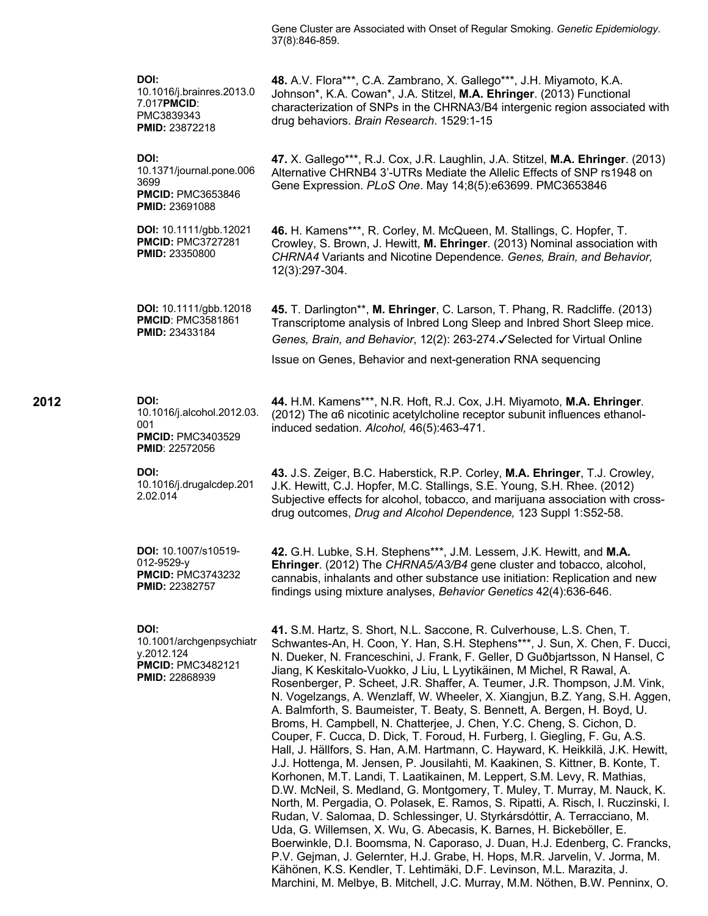Gene Cluster are Associated with Onset of Regular Smoking. *Genetic Epidemiology*. 37(8):846-859.

| DOI:<br>10.1016/j.brainres.2013.0<br>7.017PMCID:<br>PMC3839343<br><b>PMID: 23872218</b>             | 48. A.V. Flora***, C.A. Zambrano, X. Gallego***, J.H. Miyamoto, K.A.<br>Johnson*, K.A. Cowan*, J.A. Stitzel, M.A. Ehringer. (2013) Functional<br>characterization of SNPs in the CHRNA3/B4 intergenic region associated with<br>drug behaviors. Brain Research. 1529:1-15                                                                                                                                                                                                                                                                                                                                                                                                                                                                                                                                                                                                                                                                                                                                                                                                                                                                                                                                                                                                                                                                                                                                                                                                                                                                                                                                    |  |
|-----------------------------------------------------------------------------------------------------|--------------------------------------------------------------------------------------------------------------------------------------------------------------------------------------------------------------------------------------------------------------------------------------------------------------------------------------------------------------------------------------------------------------------------------------------------------------------------------------------------------------------------------------------------------------------------------------------------------------------------------------------------------------------------------------------------------------------------------------------------------------------------------------------------------------------------------------------------------------------------------------------------------------------------------------------------------------------------------------------------------------------------------------------------------------------------------------------------------------------------------------------------------------------------------------------------------------------------------------------------------------------------------------------------------------------------------------------------------------------------------------------------------------------------------------------------------------------------------------------------------------------------------------------------------------------------------------------------------------|--|
| DOI:<br>10.1371/journal.pone.006<br>3699<br><b>PMCID: PMC3653846</b><br><b>PMID: 23691088</b>       | 47. X. Gallego***, R.J. Cox, J.R. Laughlin, J.A. Stitzel, M.A. Ehringer. (2013)<br>Alternative CHRNB4 3'-UTRs Mediate the Allelic Effects of SNP rs1948 on<br>Gene Expression. PLoS One. May 14;8(5):e63699. PMC3653846                                                                                                                                                                                                                                                                                                                                                                                                                                                                                                                                                                                                                                                                                                                                                                                                                                                                                                                                                                                                                                                                                                                                                                                                                                                                                                                                                                                      |  |
| DOI: 10.1111/gbb.12021<br><b>PMCID: PMC3727281</b><br><b>PMID: 23350800</b>                         | 46. H. Kamens***, R. Corley, M. McQueen, M. Stallings, C. Hopfer, T.<br>Crowley, S. Brown, J. Hewitt, M. Ehringer. (2013) Nominal association with<br>CHRNA4 Variants and Nicotine Dependence. Genes, Brain, and Behavior,<br>12(3):297-304.                                                                                                                                                                                                                                                                                                                                                                                                                                                                                                                                                                                                                                                                                                                                                                                                                                                                                                                                                                                                                                                                                                                                                                                                                                                                                                                                                                 |  |
| DOI: 10.1111/gbb.12018<br><b>PMCID: PMC3581861</b><br><b>PMID: 23433184</b>                         | 45. T. Darlington**, M. Ehringer, C. Larson, T. Phang, R. Radcliffe. (2013)<br>Transcriptome analysis of Inbred Long Sleep and Inbred Short Sleep mice.<br>Genes, Brain, and Behavior, 12(2): 263-274. Selected for Virtual Online                                                                                                                                                                                                                                                                                                                                                                                                                                                                                                                                                                                                                                                                                                                                                                                                                                                                                                                                                                                                                                                                                                                                                                                                                                                                                                                                                                           |  |
|                                                                                                     | Issue on Genes, Behavior and next-generation RNA sequencing                                                                                                                                                                                                                                                                                                                                                                                                                                                                                                                                                                                                                                                                                                                                                                                                                                                                                                                                                                                                                                                                                                                                                                                                                                                                                                                                                                                                                                                                                                                                                  |  |
| DOI:<br>10.1016/j.alcohol.2012.03.<br>001<br><b>PMCID: PMC3403529</b><br>PMID: 22572056             | 44. H.M. Kamens***, N.R. Hoft, R.J. Cox, J.H. Miyamoto, M.A. Ehringer.<br>(2012) The $\alpha$ 6 nicotinic acetylcholine receptor subunit influences ethanol-<br>induced sedation. Alcohol, 46(5):463-471.                                                                                                                                                                                                                                                                                                                                                                                                                                                                                                                                                                                                                                                                                                                                                                                                                                                                                                                                                                                                                                                                                                                                                                                                                                                                                                                                                                                                    |  |
| DOI:<br>10.1016/j.drugalcdep.201<br>2.02.014                                                        | 43. J.S. Zeiger, B.C. Haberstick, R.P. Corley, M.A. Ehringer, T.J. Crowley,<br>J.K. Hewitt, C.J. Hopfer, M.C. Stallings, S.E. Young, S.H. Rhee. (2012)<br>Subjective effects for alcohol, tobacco, and marijuana association with cross-<br>drug outcomes, Drug and Alcohol Dependence, 123 Suppl 1:S52-58.                                                                                                                                                                                                                                                                                                                                                                                                                                                                                                                                                                                                                                                                                                                                                                                                                                                                                                                                                                                                                                                                                                                                                                                                                                                                                                  |  |
| <b>DOI:</b> 10.1007/s10519-<br>012-9529-y<br><b>PMCID: PMC3743232</b><br>PMID: 22382757             | 42. G.H. Lubke, S.H. Stephens***, J.M. Lessem, J.K. Hewitt, and M.A.<br>Ehringer. (2012) The CHRNA5/A3/B4 gene cluster and tobacco, alcohol,<br>cannabis, inhalants and other substance use initiation: Replication and new<br>findings using mixture analyses, Behavior Genetics 42(4):636-646.                                                                                                                                                                                                                                                                                                                                                                                                                                                                                                                                                                                                                                                                                                                                                                                                                                                                                                                                                                                                                                                                                                                                                                                                                                                                                                             |  |
| DOI:<br>10.1001/archgenpsychiatr<br>y.2012.124<br><b>PMCID: PMC3482121</b><br><b>PMID: 22868939</b> | 41. S.M. Hartz, S. Short, N.L. Saccone, R. Culverhouse, L.S. Chen, T.<br>Schwantes-An, H. Coon, Y. Han, S.H. Stephens***, J. Sun, X. Chen, F. Ducci,<br>N. Dueker, N. Franceschini, J. Frank, F. Geller, D Guðbjartsson, N Hansel, C<br>Jiang, K Keskitalo-Vuokko, J Liu, L Lyytikäinen, M Michel, R Rawal, A.<br>Rosenberger, P. Scheet, J.R. Shaffer, A. Teumer, J.R. Thompson, J.M. Vink,<br>N. Vogelzangs, A. Wenzlaff, W. Wheeler, X. Xiangjun, B.Z. Yang, S.H. Aggen,<br>A. Balmforth, S. Baumeister, T. Beaty, S. Bennett, A. Bergen, H. Boyd, U.<br>Broms, H. Campbell, N. Chatterjee, J. Chen, Y.C. Cheng, S. Cichon, D.<br>Couper, F. Cucca, D. Dick, T. Foroud, H. Furberg, I. Giegling, F. Gu, A.S.<br>Hall, J. Hällfors, S. Han, A.M. Hartmann, C. Hayward, K. Heikkilä, J.K. Hewitt,<br>J.J. Hottenga, M. Jensen, P. Jousilahti, M. Kaakinen, S. Kittner, B. Konte, T.<br>Korhonen, M.T. Landi, T. Laatikainen, M. Leppert, S.M. Levy, R. Mathias,<br>D.W. McNeil, S. Medland, G. Montgomery, T. Muley, T. Murray, M. Nauck, K.<br>North, M. Pergadia, O. Polasek, E. Ramos, S. Ripatti, A. Risch, I. Ruczinski, I.<br>Rudan, V. Salomaa, D. Schlessinger, U. Styrkársdóttir, A. Terracciano, M.<br>Uda, G. Willemsen, X. Wu, G. Abecasis, K. Barnes, H. Bickeböller, E.<br>Boerwinkle, D.I. Boomsma, N. Caporaso, J. Duan, H.J. Edenberg, C. Francks,<br>P.V. Gejman, J. Gelernter, H.J. Grabe, H. Hops, M.R. Jarvelin, V. Jorma, M.<br>Kähönen, K.S. Kendler, T. Lehtimäki, D.F. Levinson, M.L. Marazita, J.<br>Marchini, M. Melbye, B. Mitchell, J.C. Murray, M.M. Nöthen, B.W. Penninx, O. |  |

**2012 DOI:**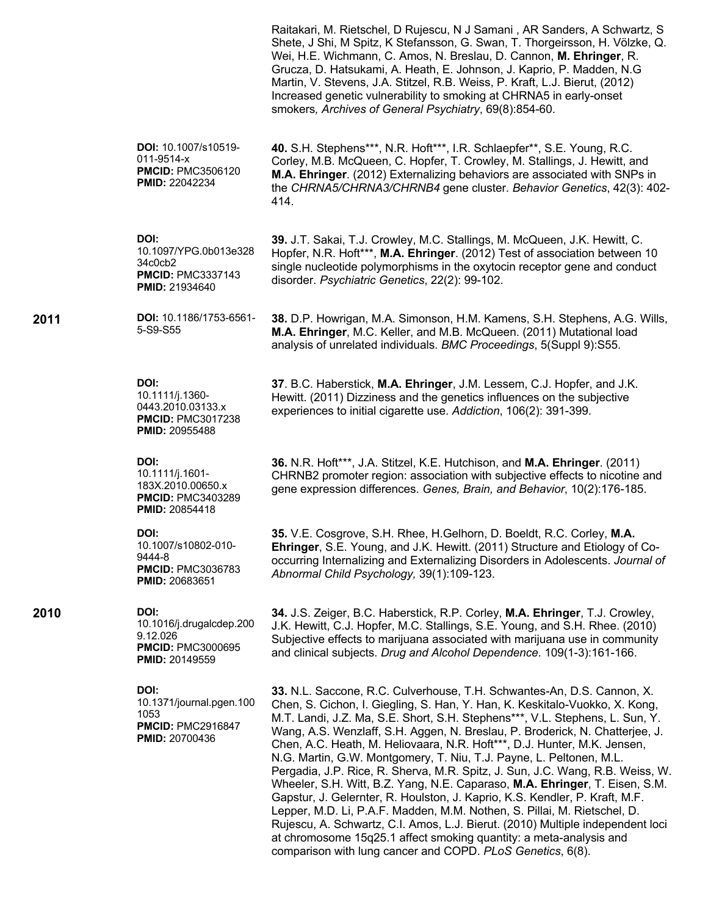|                                                                                                   | Raitakari, M. Rietschel, D Rujescu, N J Samani, AR Sanders, A Schwartz, S<br>Shete, J Shi, M Spitz, K Stefansson, G. Swan, T. Thorgeirsson, H. Völzke, Q.<br>Wei, H.E. Wichmann, C. Amos, N. Breslau, D. Cannon, M. Ehringer, R.<br>Grucza, D. Hatsukami, A. Heath, E. Johnson, J. Kaprio, P. Madden, N.G.<br>Martin, V. Stevens, J.A. Stitzel, R.B. Weiss, P. Kraft, L.J. Bierut, (2012)<br>Increased genetic vulnerability to smoking at CHRNA5 in early-onset<br>smokers, Archives of General Psychiatry, 69(8):854-60.                                                                                                                                                                                                                                                                                                                                                                                                                                                                                                |
|---------------------------------------------------------------------------------------------------|---------------------------------------------------------------------------------------------------------------------------------------------------------------------------------------------------------------------------------------------------------------------------------------------------------------------------------------------------------------------------------------------------------------------------------------------------------------------------------------------------------------------------------------------------------------------------------------------------------------------------------------------------------------------------------------------------------------------------------------------------------------------------------------------------------------------------------------------------------------------------------------------------------------------------------------------------------------------------------------------------------------------------|
| DOI: 10.1007/s10519-<br>011-9514-x<br><b>PMCID: PMC3506120</b><br><b>PMID: 22042234</b>           | 40. S.H. Stephens***, N.R. Hoft***, I.R. Schlaepfer**, S.E. Young, R.C.<br>Corley, M.B. McQueen, C. Hopfer, T. Crowley, M. Stallings, J. Hewitt, and<br>M.A. Ehringer. (2012) Externalizing behaviors are associated with SNPs in<br>the CHRNA5/CHRNA3/CHRNB4 gene cluster. Behavior Genetics, 42(3): 402-<br>414.                                                                                                                                                                                                                                                                                                                                                                                                                                                                                                                                                                                                                                                                                                        |
| DOI:<br>10.1097/YPG.0b013e328<br>34c0cb2<br><b>PMCID: PMC3337143</b><br>PMID: 21934640            | 39. J.T. Sakai, T.J. Crowley, M.C. Stallings, M. McQueen, J.K. Hewitt, C.<br>Hopfer, N.R. Hoft***, M.A. Ehringer. (2012) Test of association between 10<br>single nucleotide polymorphisms in the oxytocin receptor gene and conduct<br>disorder. Psychiatric Genetics, 22(2): 99-102.                                                                                                                                                                                                                                                                                                                                                                                                                                                                                                                                                                                                                                                                                                                                    |
| DOI: 10.1186/1753-6561-<br>5-S9-S55                                                               | 38. D.P. Howrigan, M.A. Simonson, H.M. Kamens, S.H. Stephens, A.G. Wills,<br>M.A. Ehringer, M.C. Keller, and M.B. McQueen. (2011) Mutational load<br>analysis of unrelated individuals. BMC Proceedings, 5(Suppl 9):S55.                                                                                                                                                                                                                                                                                                                                                                                                                                                                                                                                                                                                                                                                                                                                                                                                  |
| DOI:<br>10.1111/j.1360-<br>0443.2010.03133.x<br><b>PMCID: PMC3017238</b><br>PMID: 20955488        | 37. B.C. Haberstick, M.A. Ehringer, J.M. Lessem, C.J. Hopfer, and J.K.<br>Hewitt. (2011) Dizziness and the genetics influences on the subjective<br>experiences to initial cigarette use. Addiction, 106(2): 391-399.                                                                                                                                                                                                                                                                                                                                                                                                                                                                                                                                                                                                                                                                                                                                                                                                     |
| DOI:<br>10.1111/j.1601-<br>183X.2010.00650.x<br><b>PMCID: PMC3403289</b><br>PMID: 20854418        | 36. N.R. Hoft***, J.A. Stitzel, K.E. Hutchison, and M.A. Ehringer. (2011)<br>CHRNB2 promoter region: association with subjective effects to nicotine and<br>gene expression differences. Genes, Brain, and Behavior, 10(2):176-185.                                                                                                                                                                                                                                                                                                                                                                                                                                                                                                                                                                                                                                                                                                                                                                                       |
| DOI:<br>10.1007/s10802-010-<br>9444-8<br><b>PMCID: PMC3036783</b><br><b>PMID: 20683651</b>        | 35. V.E. Cosgrove, S.H. Rhee, H. Gelhorn, D. Boeldt, R.C. Corley, M.A.<br>Ehringer, S.E. Young, and J.K. Hewitt. (2011) Structure and Etiology of Co-<br>occurring Internalizing and Externalizing Disorders in Adolescents. Journal of<br>Abnormal Child Psychology, 39(1):109-123.                                                                                                                                                                                                                                                                                                                                                                                                                                                                                                                                                                                                                                                                                                                                      |
| DOI:<br>10.1016/j.drugalcdep.200<br>9.12.026<br><b>PMCID: PMC3000695</b><br><b>PMID: 20149559</b> | 34. J.S. Zeiger, B.C. Haberstick, R.P. Corley, M.A. Ehringer, T.J. Crowley,<br>J.K. Hewitt, C.J. Hopfer, M.C. Stallings, S.E. Young, and S.H. Rhee. (2010)<br>Subjective effects to marijuana associated with marijuana use in community<br>and clinical subjects. Drug and Alcohol Dependence. 109(1-3):161-166.                                                                                                                                                                                                                                                                                                                                                                                                                                                                                                                                                                                                                                                                                                         |
| DOI:<br>10.1371/journal.pgen.100<br>1053<br><b>PMCID: PMC2916847</b><br>PMID: 20700436            | 33. N.L. Saccone, R.C. Culverhouse, T.H. Schwantes-An, D.S. Cannon, X.<br>Chen, S. Cichon, I. Giegling, S. Han, Y. Han, K. Keskitalo-Vuokko, X. Kong,<br>M.T. Landi, J.Z. Ma, S.E. Short, S.H. Stephens***, V.L. Stephens, L. Sun, Y.<br>Wang, A.S. Wenzlaff, S.H. Aggen, N. Breslau, P. Broderick, N. Chatterjee, J.<br>Chen, A.C. Heath, M. Heliovaara, N.R. Hoft***, D.J. Hunter, M.K. Jensen,<br>N.G. Martin, G.W. Montgomery, T. Niu, T.J. Payne, L. Peltonen, M.L.<br>Pergadia, J.P. Rice, R. Sherva, M.R. Spitz, J. Sun, J.C. Wang, R.B. Weiss, W.<br>Wheeler, S.H. Witt, B.Z. Yang, N.E. Caparaso, M.A. Ehringer, T. Eisen, S.M.<br>Gapstur, J. Gelernter, R. Houlston, J. Kaprio, K.S. Kendler, P. Kraft, M.F.<br>Lepper, M.D. Li, P.A.F. Madden, M.M. Nothen, S. Pillai, M. Rietschel, D.<br>Rujescu, A. Schwartz, C.I. Amos, L.J. Bierut. (2010) Multiple independent loci<br>at chromosome 15q25.1 affect smoking quantity: a meta-analysis and<br>comparison with lung cancer and COPD. PLoS Genetics, 6(8). |

**2011** 

**2010 DOI:**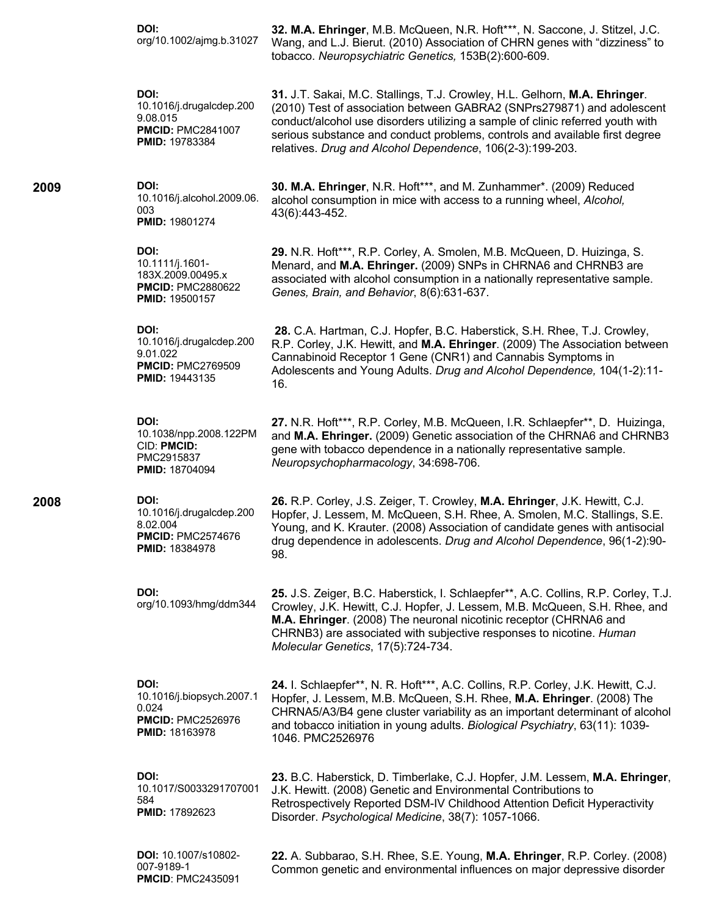| DOI:<br>org/10.1002/ajmg.b.31027                                                                  | 32. M.A. Ehringer, M.B. McQueen, N.R. Hoft***, N. Saccone, J. Stitzel, J.C.<br>Wang, and L.J. Bierut. (2010) Association of CHRN genes with "dizziness" to<br>tobacco. Neuropsychiatric Genetics, 153B(2):600-609.                                                                                                                                                                 |
|---------------------------------------------------------------------------------------------------|------------------------------------------------------------------------------------------------------------------------------------------------------------------------------------------------------------------------------------------------------------------------------------------------------------------------------------------------------------------------------------|
| DOI:<br>10.1016/j.drugalcdep.200<br>9.08.015<br><b>PMCID: PMC2841007</b><br>PMID: 19783384        | 31. J.T. Sakai, M.C. Stallings, T.J. Crowley, H.L. Gelhorn, M.A. Ehringer.<br>(2010) Test of association between GABRA2 (SNPrs279871) and adolescent<br>conduct/alcohol use disorders utilizing a sample of clinic referred youth with<br>serious substance and conduct problems, controls and available first degree<br>relatives. Drug and Alcohol Dependence, 106(2-3):199-203. |
| DOI:<br>10.1016/j.alcohol.2009.06.<br>003<br>PMID: 19801274                                       | 30. M.A. Ehringer, N.R. Hoft***, and M. Zunhammer*. (2009) Reduced<br>alcohol consumption in mice with access to a running wheel, Alcohol,<br>43(6):443-452.                                                                                                                                                                                                                       |
| DOI:<br>10.1111/j.1601-<br>183X.2009.00495.x<br><b>PMCID: PMC2880622</b><br><b>PMID: 19500157</b> | 29. N.R. Hoft***, R.P. Corley, A. Smolen, M.B. McQueen, D. Huizinga, S.<br>Menard, and M.A. Ehringer. (2009) SNPs in CHRNA6 and CHRNB3 are<br>associated with alcohol consumption in a nationally representative sample.<br>Genes, Brain, and Behavior, 8(6):631-637.                                                                                                              |
| DOI:<br>10.1016/j.drugalcdep.200<br>9.01.022<br><b>PMCID: PMC2769509</b><br><b>PMID: 19443135</b> | 28. C.A. Hartman, C.J. Hopfer, B.C. Haberstick, S.H. Rhee, T.J. Crowley,<br>R.P. Corley, J.K. Hewitt, and M.A. Ehringer. (2009) The Association between<br>Cannabinoid Receptor 1 Gene (CNR1) and Cannabis Symptoms in<br>Adolescents and Young Adults. Drug and Alcohol Dependence, 104(1-2):11-<br>16.                                                                           |
| DOI:<br>10.1038/npp.2008.122PM<br>CID: PMCID:<br>PMC2915837<br><b>PMID: 18704094</b>              | 27. N.R. Hoft***, R.P. Corley, M.B. McQueen, I.R. Schlaepfer**, D. Huizinga,<br>and M.A. Ehringer. (2009) Genetic association of the CHRNA6 and CHRNB3<br>gene with tobacco dependence in a nationally representative sample.<br>Neuropsychopharmacology, 34:698-706.                                                                                                              |
| DOI:<br>10.1016/j.drugalcdep.200<br>8.02.004<br><b>PMCID: PMC2574676</b><br><b>PMID: 18384978</b> | 26. R.P. Corley, J.S. Zeiger, T. Crowley, M.A. Ehringer, J.K. Hewitt, C.J.<br>Hopfer, J. Lessem, M. McQueen, S.H. Rhee, A. Smolen, M.C. Stallings, S.E.<br>Young, and K. Krauter. (2008) Association of candidate genes with antisocial<br>drug dependence in adolescents. Drug and Alcohol Dependence, 96(1-2):90-<br>98.                                                         |
| DOI:<br>org/10.1093/hmg/ddm344                                                                    | 25. J.S. Zeiger, B.C. Haberstick, I. Schlaepfer**, A.C. Collins, R.P. Corley, T.J.<br>Crowley, J.K. Hewitt, C.J. Hopfer, J. Lessem, M.B. McQueen, S.H. Rhee, and<br>M.A. Ehringer. (2008) The neuronal nicotinic receptor (CHRNA6 and<br>CHRNB3) are associated with subjective responses to nicotine. Human<br>Molecular Genetics, 17(5):724-734.                                 |
| DOI:<br>10.1016/j.biopsych.2007.1<br>0.024<br><b>PMCID: PMC2526976</b><br><b>PMID: 18163978</b>   | 24. I. Schlaepfer**, N. R. Hoft***, A.C. Collins, R.P. Corley, J.K. Hewitt, C.J.<br>Hopfer, J. Lessem, M.B. McQueen, S.H. Rhee, M.A. Ehringer. (2008) The<br>CHRNA5/A3/B4 gene cluster variability as an important determinant of alcohol<br>and tobacco initiation in young adults. Biological Psychiatry, 63(11): 1039-<br>1046. PMC2526976                                      |
| DOI:<br>10.1017/S0033291707001<br>584<br>PMID: 17892623                                           | 23. B.C. Haberstick, D. Timberlake, C.J. Hopfer, J.M. Lessem, M.A. Ehringer,<br>J.K. Hewitt. (2008) Genetic and Environmental Contributions to<br>Retrospectively Reported DSM-IV Childhood Attention Deficit Hyperactivity<br>Disorder. Psychological Medicine, 38(7): 1057-1066.                                                                                                 |
| DOI: 10.1007/s10802-<br>007-9189-1<br><b>PMCID: PMC2435091</b>                                    | 22. A. Subbarao, S.H. Rhee, S.E. Young, M.A. Ehringer, R.P. Corley. (2008)<br>Common genetic and environmental influences on major depressive disorder                                                                                                                                                                                                                             |

**2009 DOI:** 

**2008 DOI:**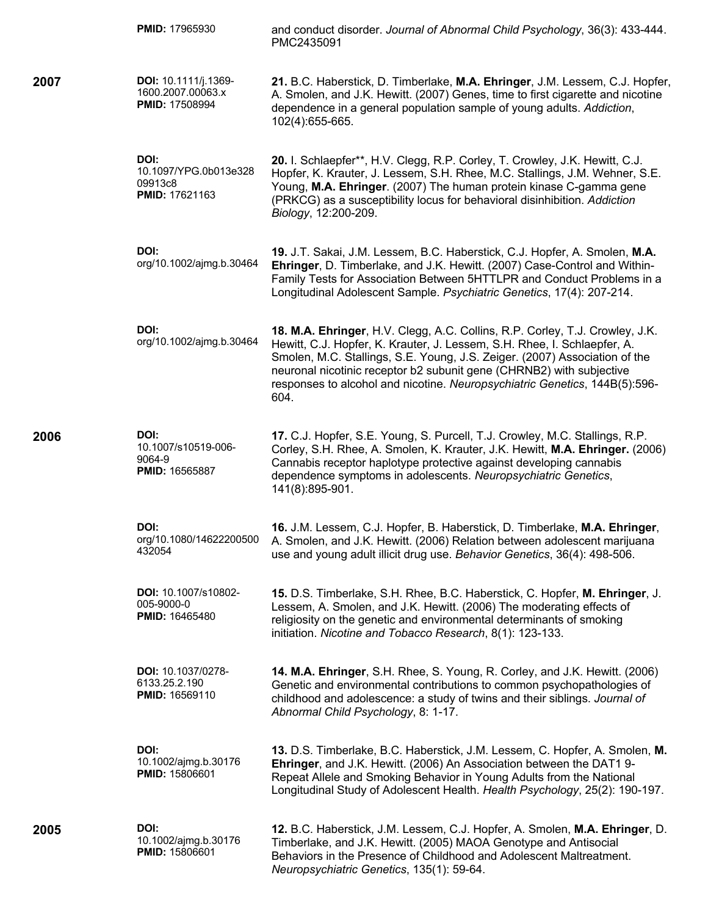|      | PMID: 17965930                                                      | and conduct disorder. Journal of Abnormal Child Psychology, 36(3): 433-444.<br>PMC2435091                                                                                                                                                                                                                                                                                                            |
|------|---------------------------------------------------------------------|------------------------------------------------------------------------------------------------------------------------------------------------------------------------------------------------------------------------------------------------------------------------------------------------------------------------------------------------------------------------------------------------------|
| 2007 | DOI: 10.1111/j.1369-<br>1600.2007.00063.x<br><b>PMID: 17508994</b>  | 21. B.C. Haberstick, D. Timberlake, M.A. Ehringer, J.M. Lessem, C.J. Hopfer,<br>A. Smolen, and J.K. Hewitt. (2007) Genes, time to first cigarette and nicotine<br>dependence in a general population sample of young adults. Addiction,<br>102(4):655-665.                                                                                                                                           |
|      | DOI:<br>10.1097/YPG.0b013e328<br>09913c8<br><b>PMID: 17621163</b>   | 20. I. Schlaepfer**, H.V. Clegg, R.P. Corley, T. Crowley, J.K. Hewitt, C.J.<br>Hopfer, K. Krauter, J. Lessem, S.H. Rhee, M.C. Stallings, J.M. Wehner, S.E.<br>Young, M.A. Ehringer. (2007) The human protein kinase C-gamma gene<br>(PRKCG) as a susceptibility locus for behavioral disinhibition. Addiction<br>Biology, 12:200-209.                                                                |
|      | DOI:<br>org/10.1002/ajmg.b.30464                                    | 19. J.T. Sakai, J.M. Lessem, B.C. Haberstick, C.J. Hopfer, A. Smolen, M.A.<br>Ehringer, D. Timberlake, and J.K. Hewitt. (2007) Case-Control and Within-<br>Family Tests for Association Between 5HTTLPR and Conduct Problems in a<br>Longitudinal Adolescent Sample. Psychiatric Genetics, 17(4): 207-214.                                                                                           |
|      | DOI:<br>org/10.1002/ajmg.b.30464                                    | 18. M.A. Ehringer, H.V. Clegg, A.C. Collins, R.P. Corley, T.J. Crowley, J.K.<br>Hewitt, C.J. Hopfer, K. Krauter, J. Lessem, S.H. Rhee, I. Schlaepfer, A.<br>Smolen, M.C. Stallings, S.E. Young, J.S. Zeiger. (2007) Association of the<br>neuronal nicotinic receptor b2 subunit gene (CHRNB2) with subjective<br>responses to alcohol and nicotine. Neuropsychiatric Genetics, 144B(5):596-<br>604. |
| 2006 | DOI:<br>10.1007/s10519-006-<br>9064-9<br><b>PMID: 16565887</b>      | 17. C.J. Hopfer, S.E. Young, S. Purcell, T.J. Crowley, M.C. Stallings, R.P.<br>Corley, S.H. Rhee, A. Smolen, K. Krauter, J.K. Hewitt, M.A. Ehringer. (2006)<br>Cannabis receptor haplotype protective against developing cannabis<br>dependence symptoms in adolescents. Neuropsychiatric Genetics,<br>141(8):895-901.                                                                               |
|      | DOI:<br>org/10.1080/14622200500<br>432054                           | 16. J.M. Lessem, C.J. Hopfer, B. Haberstick, D. Timberlake, M.A. Ehringer,<br>A. Smolen, and J.K. Hewitt. (2006) Relation between adolescent marijuana<br>use and young adult illicit drug use. Behavior Genetics, 36(4): 498-506.                                                                                                                                                                   |
|      | DOI: 10.1007/s10802-<br>005-9000-0<br><b>PMID: 16465480</b>         | 15. D.S. Timberlake, S.H. Rhee, B.C. Haberstick, C. Hopfer, M. Ehringer, J.<br>Lessem, A. Smolen, and J.K. Hewitt. (2006) The moderating effects of<br>religiosity on the genetic and environmental determinants of smoking<br>initiation. Nicotine and Tobacco Research, 8(1): 123-133.                                                                                                             |
|      | <b>DOI: 10.1037/0278-</b><br>6133.25.2.190<br><b>PMID: 16569110</b> | 14. M.A. Ehringer, S.H. Rhee, S. Young, R. Corley, and J.K. Hewitt. (2006)<br>Genetic and environmental contributions to common psychopathologies of<br>childhood and adolescence: a study of twins and their siblings. Journal of<br>Abnormal Child Psychology, 8: 1-17.                                                                                                                            |
|      | DOI:<br>10.1002/ajmg.b.30176<br><b>PMID: 15806601</b>               | 13. D.S. Timberlake, B.C. Haberstick, J.M. Lessem, C. Hopfer, A. Smolen, M.<br>Ehringer, and J.K. Hewitt. (2006) An Association between the DAT1 9-<br>Repeat Allele and Smoking Behavior in Young Adults from the National<br>Longitudinal Study of Adolescent Health. Health Psychology, 25(2): 190-197.                                                                                           |
| 2005 | DOI:<br>10.1002/ajmg.b.30176<br><b>PMID: 15806601</b>               | 12. B.C. Haberstick, J.M. Lessem, C.J. Hopfer, A. Smolen, M.A. Ehringer, D.<br>Timberlake, and J.K. Hewitt. (2005) MAOA Genotype and Antisocial<br>Behaviors in the Presence of Childhood and Adolescent Maltreatment.<br>Neuropsychiatric Genetics, 135(1): 59-64.                                                                                                                                  |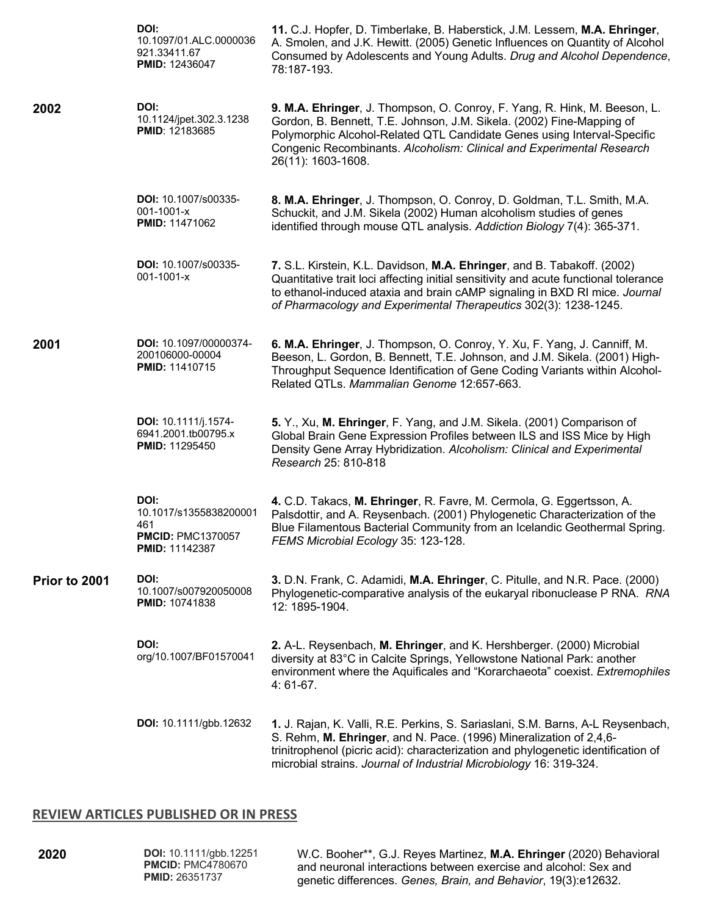|               | DOI:<br>10.1097/01.ALC.0000036<br>921.33411.67<br><b>PMID: 12436047</b>                    | 11. C.J. Hopfer, D. Timberlake, B. Haberstick, J.M. Lessem, M.A. Ehringer,<br>A. Smolen, and J.K. Hewitt. (2005) Genetic Influences on Quantity of Alcohol<br>Consumed by Adolescents and Young Adults. Drug and Alcohol Dependence,<br>78:187-193.                                                                          |
|---------------|--------------------------------------------------------------------------------------------|------------------------------------------------------------------------------------------------------------------------------------------------------------------------------------------------------------------------------------------------------------------------------------------------------------------------------|
| 2002          | DOI:<br>10.1124/jpet.302.3.1238<br><b>PMID: 12183685</b>                                   | 9. M.A. Ehringer, J. Thompson, O. Conroy, F. Yang, R. Hink, M. Beeson, L.<br>Gordon, B. Bennett, T.E. Johnson, J.M. Sikela. (2002) Fine-Mapping of<br>Polymorphic Alcohol-Related QTL Candidate Genes using Interval-Specific<br>Congenic Recombinants. Alcoholism: Clinical and Experimental Research<br>26(11): 1603-1608. |
|               | DOI: 10.1007/s00335-<br>001-1001-x<br><b>PMID: 11471062</b>                                | 8. M.A. Ehringer, J. Thompson, O. Conroy, D. Goldman, T.L. Smith, M.A.<br>Schuckit, and J.M. Sikela (2002) Human alcoholism studies of genes<br>identified through mouse QTL analysis. Addiction Biology 7(4): 365-371.                                                                                                      |
|               | DOI: 10.1007/s00335-<br>001-1001-x                                                         | 7. S.L. Kirstein, K.L. Davidson, M.A. Ehringer, and B. Tabakoff. (2002)<br>Quantitative trait loci affecting initial sensitivity and acute functional tolerance<br>to ethanol-induced ataxia and brain cAMP signaling in BXD RI mice. Journal<br>of Pharmacology and Experimental Therapeutics 302(3): 1238-1245.            |
| 2001          | DOI: 10.1097/00000374-<br>200106000-00004<br><b>PMID: 11410715</b>                         | 6. M.A. Ehringer, J. Thompson, O. Conroy, Y. Xu, F. Yang, J. Canniff, M.<br>Beeson, L. Gordon, B. Bennett, T.E. Johnson, and J.M. Sikela. (2001) High-<br>Throughput Sequence Identification of Gene Coding Variants within Alcohol-<br>Related QTLs. Mammalian Genome 12:657-663.                                           |
|               | DOI: 10.1111/j.1574-<br>6941.2001.tb00795.x<br><b>PMID: 11295450</b>                       | 5. Y., Xu, M. Ehringer, F. Yang, and J.M. Sikela. (2001) Comparison of<br>Global Brain Gene Expression Profiles between ILS and ISS Mice by High<br>Density Gene Array Hybridization. Alcoholism: Clinical and Experimental<br>Research 25: 810-818                                                                          |
|               | DOI:<br>10.1017/s1355838200001<br>461<br><b>PMCID: PMC1370057</b><br><b>PMID: 11142387</b> | 4. C.D. Takacs, M. Ehringer, R. Favre, M. Cermola, G. Eggertsson, A.<br>Palsdottir, and A. Reysenbach. (2001) Phylogenetic Characterization of the<br>Blue Filamentous Bacterial Community from an Icelandic Geothermal Spring.<br>FEMS Microbial Ecology 35: 123-128.                                                       |
| Prior to 2001 | DOI:<br>10.1007/s007920050008<br><b>PMID: 10741838</b>                                     | 3. D.N. Frank, C. Adamidi, M.A. Ehringer, C. Pitulle, and N.R. Pace. (2000)<br>Phylogenetic-comparative analysis of the eukaryal ribonuclease P RNA. RNA<br>12: 1895-1904.                                                                                                                                                   |
|               | DOI:<br>org/10.1007/BF01570041                                                             | 2. A-L. Reysenbach, M. Ehringer, and K. Hershberger. (2000) Microbial<br>diversity at 83°C in Calcite Springs, Yellowstone National Park: another<br>environment where the Aquificales and "Korarchaeota" coexist. Extremophiles<br>4:61-67.                                                                                 |
|               | DOI: 10.1111/gbb.12632                                                                     | 1. J. Rajan, K. Valli, R.E. Perkins, S. Sariaslani, S.M. Barns, A-L Reysenbach,<br>S. Rehm, M. Ehringer, and N. Pace. (1996) Mineralization of 2,4,6-<br>trinitrophenol (picric acid): characterization and phylogenetic identification of<br>microbial strains. Journal of Industrial Microbiology 16: 319-324.             |

## **REVIEW ARTICLES PUBLISHED OR IN PRESS**

**2020 DOI:** 10.1111/gbb.12251 **PMCID:** PMC4780670 **PMID:** 26351737

W.C. Booher\*\*, G.J. Reyes Martinez, **M.A. Ehringer** (2020) Behavioral and neuronal interactions between exercise and alcohol: Sex and genetic differences. *Genes, Brain, and Behavior*, 19(3):e12632.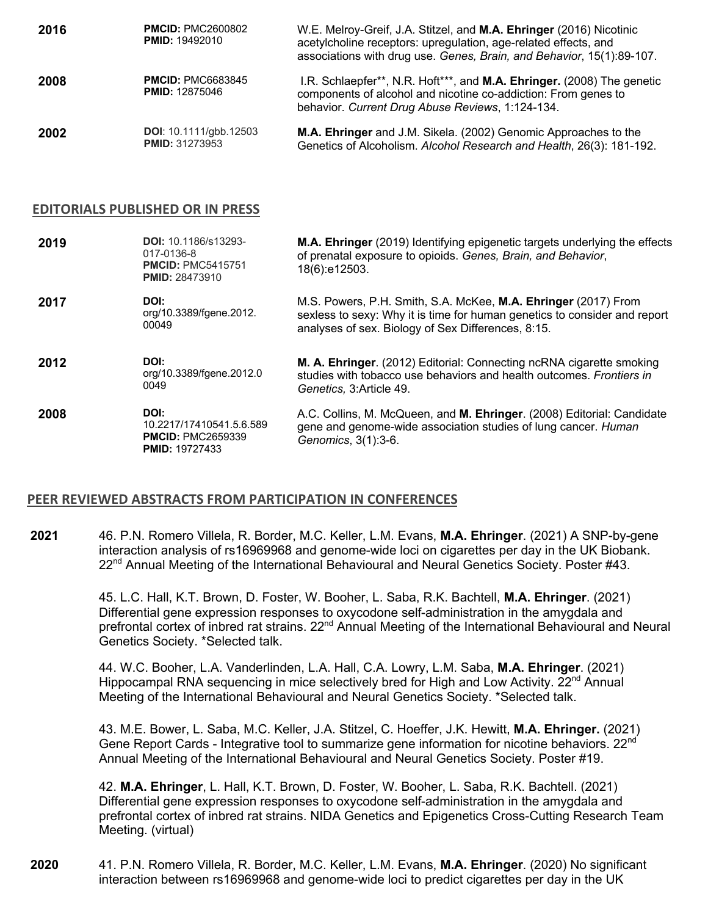| 2016 | <b>PMCID: PMC2600802</b><br><b>PMID: 19492010</b>      | W.E. Melroy-Greif, J.A. Stitzel, and M.A. Ehringer (2016) Nicotinic<br>acetylcholine receptors: upregulation, age-related effects, and<br>associations with drug use. Genes, Brain, and Behavior, 15(1):89-107. |
|------|--------------------------------------------------------|-----------------------------------------------------------------------------------------------------------------------------------------------------------------------------------------------------------------|
| 2008 | <b>PMCID: PMC6683845</b><br><b>PMID: 12875046</b>      | I.R. Schlaepfer**, N.R. Hoft***, and M.A. Ehringer. (2008) The genetic<br>components of alcohol and nicotine co-addiction: From genes to<br>behavior. Current Drug Abuse Reviews, 1:124-134.                    |
| 2002 | <b>DOI:</b> 10.1111/gbb.12503<br><b>PMID: 31273953</b> | M.A. Ehringer and J.M. Sikela. (2002) Genomic Approaches to the<br>Genetics of Alcoholism. Alcohol Research and Health, 26(3): 181-192.                                                                         |

#### **EDITORIALS PUBLISHED OR IN PRESS**

| 2019 | <b>DOI: 10.1186/s13293-</b><br>017-0136-8<br><b>PMCID: PMC5415751</b><br><b>PMID: 28473910</b> | M.A. Ehringer (2019) Identifying epigenetic targets underlying the effects<br>of prenatal exposure to opioids. Genes, Brain, and Behavior,<br>18(6):e12503.                                       |
|------|------------------------------------------------------------------------------------------------|---------------------------------------------------------------------------------------------------------------------------------------------------------------------------------------------------|
| 2017 | DOI:<br>org/10.3389/fgene.2012.<br>00049                                                       | M.S. Powers, P.H. Smith, S.A. McKee, M.A. Ehringer (2017) From<br>sexless to sexy: Why it is time for human genetics to consider and report<br>analyses of sex. Biology of Sex Differences, 8:15. |
| 2012 | DOI:<br>org/10.3389/fgene.2012.0<br>0049                                                       | M. A. Ehringer. (2012) Editorial: Connecting ncRNA cigarette smoking<br>studies with tobacco use behaviors and health outcomes. <i>Frontiers in</i><br>Genetics, 3: Article 49.                   |
|      |                                                                                                |                                                                                                                                                                                                   |

## **PEER REVIEWED ABSTRACTS FROM PARTICIPATION IN CONFERENCES**

**2021** 46. P.N. Romero Villela, R. Border, M.C. Keller, L.M. Evans, **M.A. Ehringer**. (2021) A SNP-by-gene interaction analysis of rs16969968 and genome-wide loci on cigarettes per day in the UK Biobank. 22<sup>nd</sup> Annual Meeting of the International Behavioural and Neural Genetics Society. Poster #43.

> 45. L.C. Hall, K.T. Brown, D. Foster, W. Booher, L. Saba, R.K. Bachtell, **M.A. Ehringer**. (2021) Differential gene expression responses to oxycodone self-administration in the amygdala and prefrontal cortex of inbred rat strains. 22<sup>nd</sup> Annual Meeting of the International Behavioural and Neural Genetics Society. \*Selected talk.

44. W.C. Booher, L.A. Vanderlinden, L.A. Hall, C.A. Lowry, L.M. Saba, **M.A. Ehringer**. (2021) Hippocampal RNA sequencing in mice selectively bred for High and Low Activity. 22<sup>nd</sup> Annual Meeting of the International Behavioural and Neural Genetics Society. \*Selected talk.

43. M.E. Bower, L. Saba, M.C. Keller, J.A. Stitzel, C. Hoeffer, J.K. Hewitt, **M.A. Ehringer.** (2021) Gene Report Cards - Integrative tool to summarize gene information for nicotine behaviors. 22<sup>nd</sup> Annual Meeting of the International Behavioural and Neural Genetics Society. Poster #19.

42. **M.A. Ehringer**, L. Hall, K.T. Brown, D. Foster, W. Booher, L. Saba, R.K. Bachtell. (2021) Differential gene expression responses to oxycodone self-administration in the amygdala and prefrontal cortex of inbred rat strains. NIDA Genetics and Epigenetics Cross-Cutting Research Team Meeting. (virtual)

**2020** 41. P.N. Romero Villela, R. Border, M.C. Keller, L.M. Evans, **M.A. Ehringer**. (2020) No significant interaction between rs16969968 and genome-wide loci to predict cigarettes per day in the UK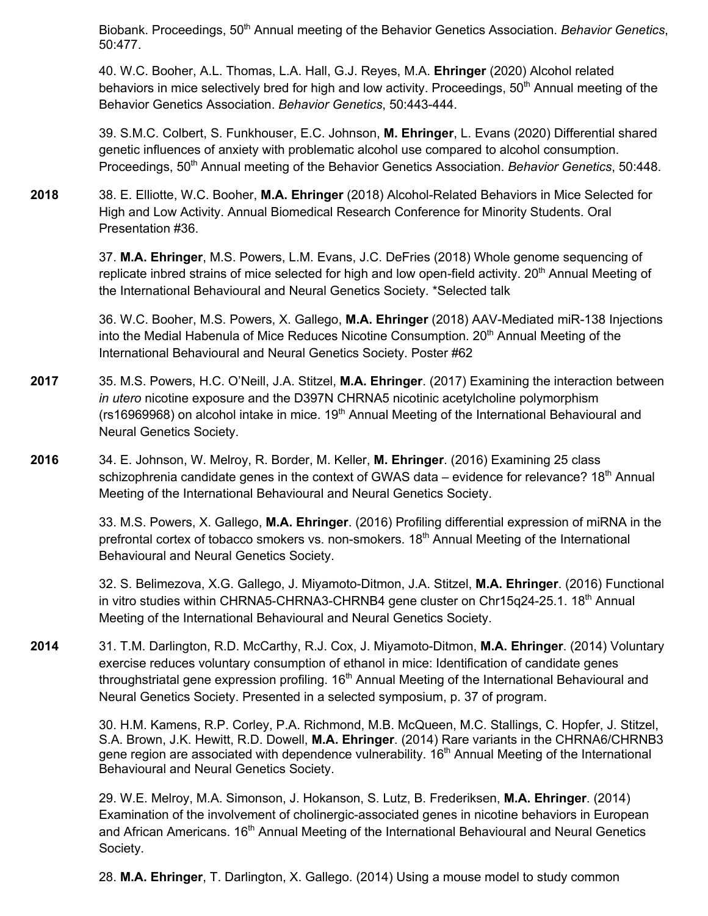Biobank. Proceedings, 50<sup>th</sup> Annual meeting of the Behavior Genetics Association. *Behavior Genetics*, 50:477.

40. W.C. Booher, A.L. Thomas, L.A. Hall, G.J. Reyes, M.A. **Ehringer** (2020) Alcohol related behaviors in mice selectively bred for high and low activity. Proceedings, 50<sup>th</sup> Annual meeting of the Behavior Genetics Association. *Behavior Genetics*, 50:443-444.

39. S.M.C. Colbert, S. Funkhouser, E.C. Johnson, **M. Ehringer**, L. Evans (2020) Differential shared genetic influences of anxiety with problematic alcohol use compared to alcohol consumption. Proceedings, 50<sup>th</sup> Annual meeting of the Behavior Genetics Association. *Behavior Genetics*, 50:448.

**2018** 38. E. Elliotte, W.C. Booher, **M.A. Ehringer** (2018) Alcohol-Related Behaviors in Mice Selected for High and Low Activity. Annual Biomedical Research Conference for Minority Students. Oral Presentation #36.

> 37. **M.A. Ehringer**, M.S. Powers, L.M. Evans, J.C. DeFries (2018) Whole genome sequencing of replicate inbred strains of mice selected for high and low open-field activity. 20<sup>th</sup> Annual Meeting of the International Behavioural and Neural Genetics Society. \*Selected talk

36. W.C. Booher, M.S. Powers, X. Gallego, **M.A. Ehringer** (2018) AAV-Mediated miR-138 Injections into the Medial Habenula of Mice Reduces Nicotine Consumption.  $20<sup>th</sup>$  Annual Meeting of the International Behavioural and Neural Genetics Society. Poster #62

- **2017** 35. M.S. Powers, H.C. O'Neill, J.A. Stitzel, **M.A. Ehringer**. (2017) Examining the interaction between *in utero* nicotine exposure and the D397N CHRNA5 nicotinic acetylcholine polymorphism ( $rs16969968$ ) on alcohol intake in mice.  $19<sup>th</sup>$  Annual Meeting of the International Behavioural and Neural Genetics Society.
- **2016** 34. E. Johnson, W. Melroy, R. Border, M. Keller, **M. Ehringer**. (2016) Examining 25 class schizophrenia candidate genes in the context of GWAS data – evidence for relevance?  $18<sup>th</sup>$  Annual Meeting of the International Behavioural and Neural Genetics Society.

33. M.S. Powers, X. Gallego, **M.A. Ehringer**. (2016) Profiling differential expression of miRNA in the prefrontal cortex of tobacco smokers vs. non-smokers. 18<sup>th</sup> Annual Meeting of the International Behavioural and Neural Genetics Society.

32. S. Belimezova, X.G. Gallego, J. Miyamoto-Ditmon, J.A. Stitzel, **M.A. Ehringer**. (2016) Functional in vitro studies within CHRNA5-CHRNA3-CHRNB4 gene cluster on Chr15q24-25.1. 18<sup>th</sup> Annual Meeting of the International Behavioural and Neural Genetics Society.

**2014** 31. T.M. Darlington, R.D. McCarthy, R.J. Cox, J. Miyamoto-Ditmon, **M.A. Ehringer**. (2014) Voluntary exercise reduces voluntary consumption of ethanol in mice: Identification of candidate genes throughstriatal gene expression profiling.  $16<sup>th</sup>$  Annual Meeting of the International Behavioural and Neural Genetics Society. Presented in a selected symposium, p. 37 of program.

> 30. H.M. Kamens, R.P. Corley, P.A. Richmond, M.B. McQueen, M.C. Stallings, C. Hopfer, J. Stitzel, S.A. Brown, J.K. Hewitt, R.D. Dowell, **M.A. Ehringer**. (2014) Rare variants in the CHRNA6/CHRNB3 gene region are associated with dependence vulnerability. 16<sup>th</sup> Annual Meeting of the International Behavioural and Neural Genetics Society.

29. W.E. Melroy, M.A. Simonson, J. Hokanson, S. Lutz, B. Frederiksen, **M.A. Ehringer**. (2014) Examination of the involvement of cholinergic-associated genes in nicotine behaviors in European and African Americans. 16<sup>th</sup> Annual Meeting of the International Behavioural and Neural Genetics Society.

28. **M.A. Ehringer**, T. Darlington, X. Gallego. (2014) Using a mouse model to study common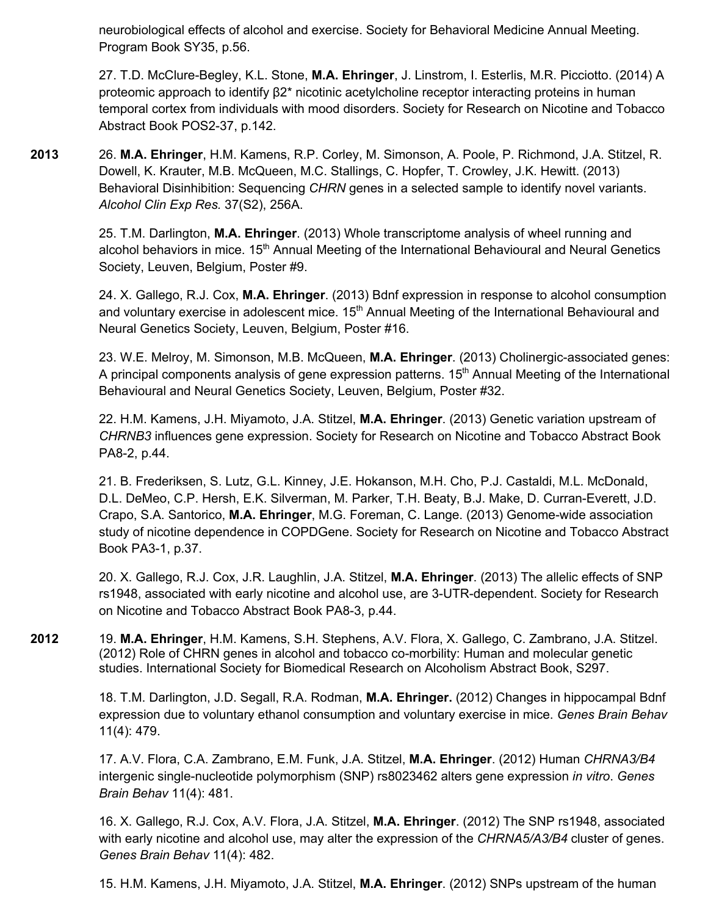neurobiological effects of alcohol and exercise. Society for Behavioral Medicine Annual Meeting. Program Book SY35, p.56.

27. T.D. McClure-Begley, K.L. Stone, **M.A. Ehringer**, J. Linstrom, I. Esterlis, M.R. Picciotto. (2014) A proteomic approach to identify β2\* nicotinic acetylcholine receptor interacting proteins in human temporal cortex from individuals with mood disorders. Society for Research on Nicotine and Tobacco Abstract Book POS2-37, p.142.

**2013** 26. **M.A. Ehringer**, H.M. Kamens, R.P. Corley, M. Simonson, A. Poole, P. Richmond, J.A. Stitzel, R. Dowell, K. Krauter, M.B. McQueen, M.C. Stallings, C. Hopfer, T. Crowley, J.K. Hewitt. (2013) Behavioral Disinhibition: Sequencing *CHRN* genes in a selected sample to identify novel variants. *Alcohol Clin Exp Res.* 37(S2), 256A.

> 25. T.M. Darlington, **M.A. Ehringer**. (2013) Whole transcriptome analysis of wheel running and alcohol behaviors in mice. 15<sup>th</sup> Annual Meeting of the International Behavioural and Neural Genetics Society, Leuven, Belgium, Poster #9.

> 24. X. Gallego, R.J. Cox, **M.A. Ehringer**. (2013) Bdnf expression in response to alcohol consumption and voluntary exercise in adolescent mice.  $15<sup>th</sup>$  Annual Meeting of the International Behavioural and Neural Genetics Society, Leuven, Belgium, Poster #16.

> 23. W.E. Melroy, M. Simonson, M.B. McQueen, **M.A. Ehringer**. (2013) Cholinergic-associated genes: A principal components analysis of gene expression patterns.  $15<sup>th</sup>$  Annual Meeting of the International Behavioural and Neural Genetics Society, Leuven, Belgium, Poster #32.

22. H.M. Kamens, J.H. Miyamoto, J.A. Stitzel, **M.A. Ehringer**. (2013) Genetic variation upstream of *CHRNB3* influences gene expression. Society for Research on Nicotine and Tobacco Abstract Book PA8-2, p.44.

21. B. Frederiksen, S. Lutz, G.L. Kinney, J.E. Hokanson, M.H. Cho, P.J. Castaldi, M.L. McDonald, D.L. DeMeo, C.P. Hersh, E.K. Silverman, M. Parker, T.H. Beaty, B.J. Make, D. Curran-Everett, J.D. Crapo, S.A. Santorico, **M.A. Ehringer**, M.G. Foreman, C. Lange. (2013) Genome-wide association study of nicotine dependence in COPDGene. Society for Research on Nicotine and Tobacco Abstract Book PA3-1, p.37.

20. X. Gallego, R.J. Cox, J.R. Laughlin, J.A. Stitzel, **M.A. Ehringer**. (2013) The allelic effects of SNP rs1948, associated with early nicotine and alcohol use, are 3-UTR-dependent. Society for Research on Nicotine and Tobacco Abstract Book PA8-3, p.44.

**2012** 19. **M.A. Ehringer**, H.M. Kamens, S.H. Stephens, A.V. Flora, X. Gallego, C. Zambrano, J.A. Stitzel. (2012) Role of CHRN genes in alcohol and tobacco co-morbility: Human and molecular genetic studies. International Society for Biomedical Research on Alcoholism Abstract Book, S297.

> 18. T.M. Darlington, J.D. Segall, R.A. Rodman, **M.A. Ehringer.** (2012) Changes in hippocampal Bdnf expression due to voluntary ethanol consumption and voluntary exercise in mice. *Genes Brain Behav*  11(4): 479.

17. A.V. Flora, C.A. Zambrano, E.M. Funk, J.A. Stitzel, **M.A. Ehringer**. (2012) Human *CHRNA3/B4* intergenic single-nucleotide polymorphism (SNP) rs8023462 alters gene expression *in vitro*. *Genes Brain Behav* 11(4): 481.

16. X. Gallego, R.J. Cox, A.V. Flora, J.A. Stitzel, **M.A. Ehringer**. (2012) The SNP rs1948, associated with early nicotine and alcohol use, may alter the expression of the *CHRNA5/A3/B4* cluster of genes. *Genes Brain Behav* 11(4): 482.

15. H.M. Kamens, J.H. Miyamoto, J.A. Stitzel, **M.A. Ehringer**. (2012) SNPs upstream of the human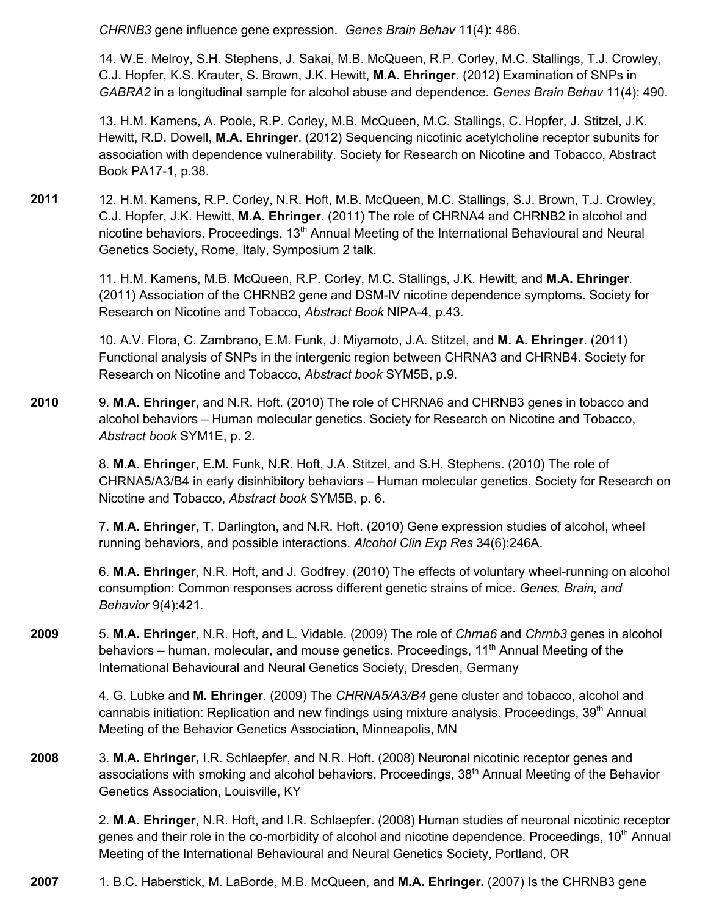*CHRNB3* gene influence gene expression. *Genes Brain Behav* 11(4): 486.

14. W.E. Melroy, S.H. Stephens, J. Sakai, M.B. McQueen, R.P. Corley, M.C. Stallings, T.J. Crowley, C.J. Hopfer, K.S. Krauter, S. Brown, J.K. Hewitt, **M.A. Ehringer**. (2012) Examination of SNPs in *GABRA2* in a longitudinal sample for alcohol abuse and dependence. *Genes Brain Behav* 11(4): 490.

13. H.M. Kamens, A. Poole, R.P. Corley, M.B. McQueen, M.C. Stallings, C. Hopfer, J. Stitzel, J.K. Hewitt, R.D. Dowell, **M.A. Ehringer**. (2012) Sequencing nicotinic acetylcholine receptor subunits for association with dependence vulnerability. Society for Research on Nicotine and Tobacco, Abstract Book PA17-1, p.38.

**2011** 12. H.M. Kamens, R.P. Corley, N.R. Hoft, M.B. McQueen, M.C. Stallings, S.J. Brown, T.J. Crowley, C.J. Hopfer, J.K. Hewitt, **M.A. Ehringer**. (2011) The role of CHRNA4 and CHRNB2 in alcohol and nicotine behaviors. Proceedings, 13<sup>th</sup> Annual Meeting of the International Behavioural and Neural Genetics Society, Rome, Italy, Symposium 2 talk.

> 11. H.M. Kamens, M.B. McQueen, R.P. Corley, M.C. Stallings, J.K. Hewitt, and **M.A. Ehringer**. (2011) Association of the CHRNB2 gene and DSM-IV nicotine dependence symptoms. Society for Research on Nicotine and Tobacco, *Abstract Book* NIPA-4, p.43.

> 10. A.V. Flora, C. Zambrano, E.M. Funk, J. Miyamoto, J.A. Stitzel, and **M. A. Ehringer**. (2011) Functional analysis of SNPs in the intergenic region between CHRNA3 and CHRNB4. Society for Research on Nicotine and Tobacco, *Abstract book* SYM5B, p.9.

**2010** 9. **M.A. Ehringer**, and N.R. Hoft. (2010) The role of CHRNA6 and CHRNB3 genes in tobacco and alcohol behaviors – Human molecular genetics. Society for Research on Nicotine and Tobacco, *Abstract book* SYM1E, p. 2.

> 8. **M.A. Ehringer**, E.M. Funk, N.R. Hoft, J.A. Stitzel, and S.H. Stephens. (2010) The role of CHRNA5/A3/B4 in early disinhibitory behaviors – Human molecular genetics. Society for Research on Nicotine and Tobacco, *Abstract book* SYM5B, p. 6.

7. **M.A. Ehringer**, T. Darlington, and N.R. Hoft. (2010) Gene expression studies of alcohol, wheel running behaviors, and possible interactions. *Alcohol Clin Exp Res* 34(6):246A.

6. **M.A. Ehringer**, N.R. Hoft, and J. Godfrey. (2010) The effects of voluntary wheel-running on alcohol consumption: Common responses across different genetic strains of mice. *Genes, Brain, and Behavior* 9(4):421.

**2009** 5. **M.A. Ehringer**, N.R. Hoft, and L. Vidable. (2009) The role of *Chrna6* and *Chrnb3* genes in alcohol behaviors – human, molecular, and mouse genetics. Proceedings,  $11<sup>th</sup>$  Annual Meeting of the International Behavioural and Neural Genetics Society, Dresden, Germany

> 4. G. Lubke and **M. Ehringer**. (2009) The *CHRNA5/A3/B4* gene cluster and tobacco, alcohol and cannabis initiation: Replication and new findings using mixture analysis. Proceedings, 39<sup>th</sup> Annual Meeting of the Behavior Genetics Association, Minneapolis, MN

**2008** 3. **M.A. Ehringer,** I.R. Schlaepfer, and N.R. Hoft. (2008) Neuronal nicotinic receptor genes and associations with smoking and alcohol behaviors. Proceedings, 38<sup>th</sup> Annual Meeting of the Behavior Genetics Association, Louisville, KY

> 2. **M.A. Ehringer,** N.R. Hoft, and I.R. Schlaepfer. (2008) Human studies of neuronal nicotinic receptor genes and their role in the co-morbidity of alcohol and nicotine dependence. Proceedings, 10<sup>th</sup> Annual Meeting of the International Behavioural and Neural Genetics Society, Portland, OR

**2007** 1. B.C. Haberstick, M. LaBorde, M.B. McQueen, and **M.A. Ehringer.** (2007) Is the CHRNB3 gene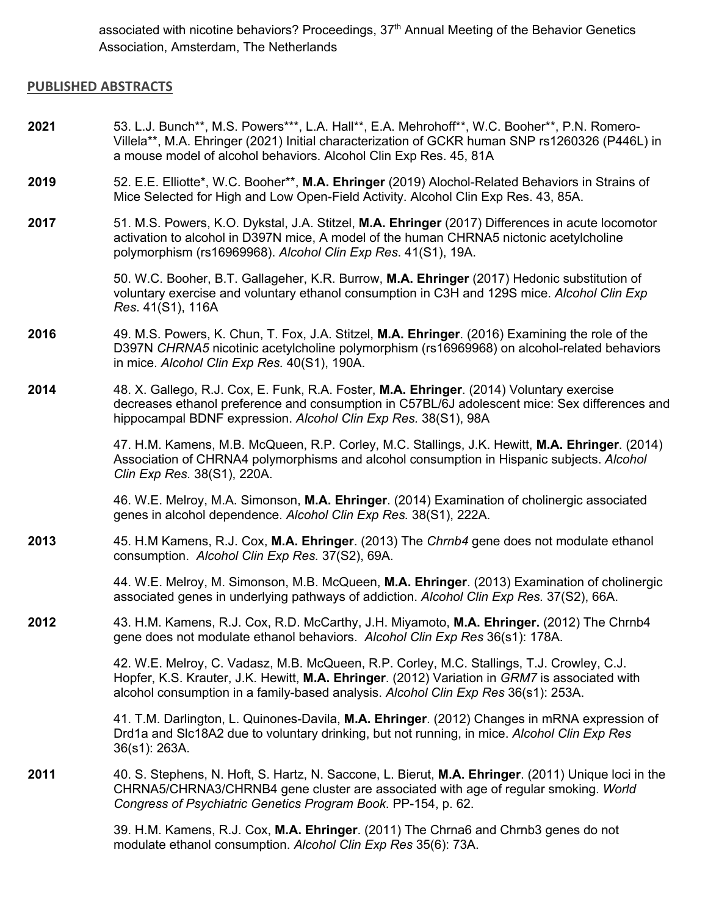associated with nicotine behaviors? Proceedings, 37<sup>th</sup> Annual Meeting of the Behavior Genetics Association, Amsterdam, The Netherlands

#### **PUBLISHED ABSTRACTS**

- **2021** 53. L.J. Bunch\*\*, M.S. Powers\*\*\*, L.A. Hall\*\*, E.A. Mehrohoff\*\*, W.C. Booher\*\*, P.N. Romero-Villela\*\*, M.A. Ehringer (2021) Initial characterization of GCKR human SNP rs1260326 (P446L) in a mouse model of alcohol behaviors. Alcohol Clin Exp Res. 45, 81A
- **2019** 52. E.E. Elliotte\*, W.C. Booher\*\*, **M.A. Ehringer** (2019) Alochol-Related Behaviors in Strains of Mice Selected for High and Low Open-Field Activity. Alcohol Clin Exp Res. 43, 85A.
- **2017** 51. M.S. Powers, K.O. Dykstal, J.A. Stitzel, **M.A. Ehringer** (2017) Differences in acute locomotor activation to alcohol in D397N mice, A model of the human CHRNA5 nictonic acetylcholine polymorphism (rs16969968). *Alcohol Clin Exp Res*. 41(S1), 19A.

50. W.C. Booher, B.T. Gallageher, K.R. Burrow, **M.A. Ehringer** (2017) Hedonic substitution of voluntary exercise and voluntary ethanol consumption in C3H and 129S mice. *Alcohol Clin Exp Res*. 41(S1), 116A

- **2016** 49. M.S. Powers, K. Chun, T. Fox, J.A. Stitzel, **M.A. Ehringer**. (2016) Examining the role of the D397N *CHRNA5* nicotinic acetylcholine polymorphism (rs16969968) on alcohol-related behaviors in mice. *Alcohol Clin Exp Res.* 40(S1), 190A.
- **2014** 48. X. Gallego, R.J. Cox, E. Funk, R.A. Foster, **M.A. Ehringer**. (2014) Voluntary exercise decreases ethanol preference and consumption in C57BL/6J adolescent mice: Sex differences and hippocampal BDNF expression. *Alcohol Clin Exp Res.* 38(S1), 98A

47. H.M. Kamens, M.B. McQueen, R.P. Corley, M.C. Stallings, J.K. Hewitt, **M.A. Ehringer**. (2014) Association of CHRNA4 polymorphisms and alcohol consumption in Hispanic subjects. *Alcohol Clin Exp Res.* 38(S1), 220A.

46. W.E. Melroy, M.A. Simonson, **M.A. Ehringer**. (2014) Examination of cholinergic associated genes in alcohol dependence. *Alcohol Clin Exp Res.* 38(S1), 222A.

**2013** 45. H.M Kamens, R.J. Cox, **M.A. Ehringer**. (2013) The *Chrnb4* gene does not modulate ethanol consumption. *Alcohol Clin Exp Res.* 37(S2), 69A.

> 44. W.E. Melroy, M. Simonson, M.B. McQueen, **M.A. Ehringer**. (2013) Examination of cholinergic associated genes in underlying pathways of addiction. *Alcohol Clin Exp Res.* 37(S2), 66A.

**2012** 43. H.M. Kamens, R.J. Cox, R.D. McCarthy, J.H. Miyamoto, **M.A. Ehringer.** (2012) The Chrnb4 gene does not modulate ethanol behaviors. *Alcohol Clin Exp Res* 36(s1): 178A.

> 42. W.E. Melroy, C. Vadasz, M.B. McQueen, R.P. Corley, M.C. Stallings, T.J. Crowley, C.J. Hopfer, K.S. Krauter, J.K. Hewitt, **M.A. Ehringer**. (2012) Variation in *GRM7* is associated with alcohol consumption in a family-based analysis. *Alcohol Clin Exp Res* 36(s1): 253A.

41. T.M. Darlington, L. Quinones-Davila, **M.A. Ehringer**. (2012) Changes in mRNA expression of Drd1a and Slc18A2 due to voluntary drinking, but not running, in mice. *Alcohol Clin Exp Res* 36(s1): 263A.

**2011** 40. S. Stephens, N. Hoft, S. Hartz, N. Saccone, L. Bierut, **M.A. Ehringer**. (2011) Unique loci in the CHRNA5/CHRNA3/CHRNB4 gene cluster are associated with age of regular smoking. *World Congress of Psychiatric Genetics Program Book*. PP-154, p. 62.

> 39. H.M. Kamens, R.J. Cox, **M.A. Ehringer**. (2011) The Chrna6 and Chrnb3 genes do not modulate ethanol consumption. *Alcohol Clin Exp Res* 35(6): 73A.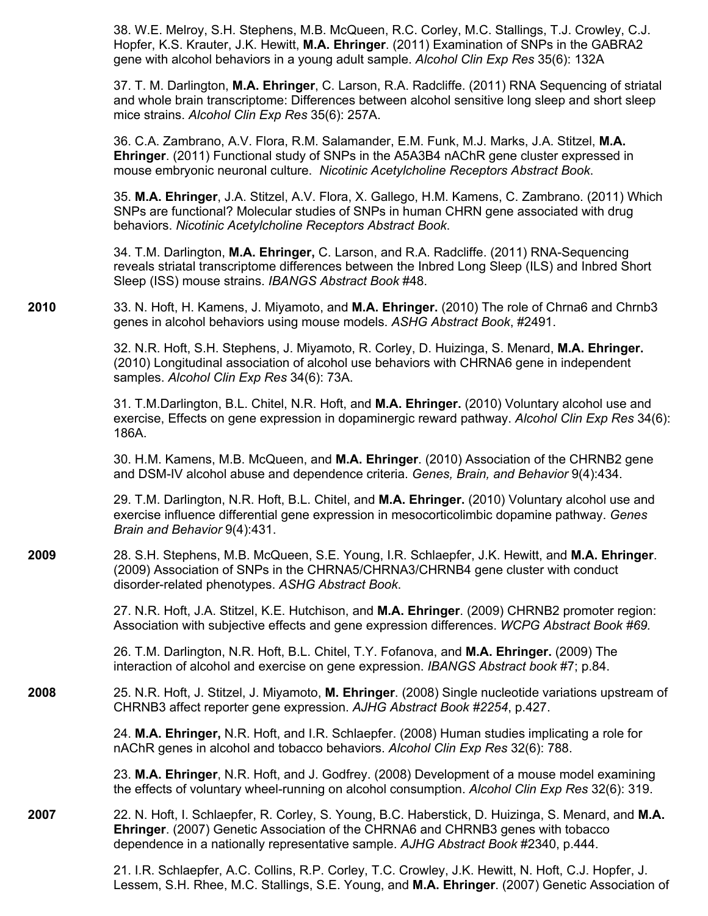38. W.E. Melroy, S.H. Stephens, M.B. McQueen, R.C. Corley, M.C. Stallings, T.J. Crowley, C.J. Hopfer, K.S. Krauter, J.K. Hewitt, **M.A. Ehringer**. (2011) Examination of SNPs in the GABRA2 gene with alcohol behaviors in a young adult sample. *Alcohol Clin Exp Res* 35(6): 132A

37. T. M. Darlington, **M.A. Ehringer**, C. Larson, R.A. Radcliffe. (2011) RNA Sequencing of striatal and whole brain transcriptome: Differences between alcohol sensitive long sleep and short sleep mice strains. *Alcohol Clin Exp Res* 35(6): 257A.

36. C.A. Zambrano, A.V. Flora, R.M. Salamander, E.M. Funk, M.J. Marks, J.A. Stitzel, **M.A. Ehringer**. (2011) Functional study of SNPs in the A5A3B4 nAChR gene cluster expressed in mouse embryonic neuronal culture. *Nicotinic Acetylcholine Receptors Abstract Book*.

35. **M.A. Ehringer**, J.A. Stitzel, A.V. Flora, X. Gallego, H.M. Kamens, C. Zambrano. (2011) Which SNPs are functional? Molecular studies of SNPs in human CHRN gene associated with drug behaviors. *Nicotinic Acetylcholine Receptors Abstract Book*.

34. T.M. Darlington, **M.A. Ehringer,** C. Larson, and R.A. Radcliffe. (2011) RNA-Sequencing reveals striatal transcriptome differences between the Inbred Long Sleep (ILS) and Inbred Short Sleep (ISS) mouse strains. *IBANGS Abstract Book* #48.

**2010** 33. N. Hoft, H. Kamens, J. Miyamoto, and **M.A. Ehringer.** (2010) The role of Chrna6 and Chrnb3 genes in alcohol behaviors using mouse models. *ASHG Abstract Book*, #2491.

> 32. N.R. Hoft, S.H. Stephens, J. Miyamoto, R. Corley, D. Huizinga, S. Menard, **M.A. Ehringer.** (2010) Longitudinal association of alcohol use behaviors with CHRNA6 gene in independent samples. *Alcohol Clin Exp Res* 34(6): 73A.

31. T.M.Darlington, B.L. Chitel, N.R. Hoft, and **M.A. Ehringer.** (2010) Voluntary alcohol use and exercise, Effects on gene expression in dopaminergic reward pathway. *Alcohol Clin Exp Res* 34(6): 186A.

30. H.M. Kamens, M.B. McQueen, and **M.A. Ehringer**. (2010) Association of the CHRNB2 gene and DSM-IV alcohol abuse and dependence criteria. *Genes, Brain, and Behavior* 9(4):434.

29. T.M. Darlington, N.R. Hoft, B.L. Chitel, and **M.A. Ehringer.** (2010) Voluntary alcohol use and exercise influence differential gene expression in mesocorticolimbic dopamine pathway. *Genes Brain and Behavior* 9(4):431.

**2009** 28. S.H. Stephens, M.B. McQueen, S.E. Young, I.R. Schlaepfer, J.K. Hewitt, and **M.A. Ehringer**. (2009) Association of SNPs in the CHRNA5/CHRNA3/CHRNB4 gene cluster with conduct disorder-related phenotypes. *ASHG Abstract Book*.

> 27. N.R. Hoft, J.A. Stitzel, K.E. Hutchison, and **M.A. Ehringer**. (2009) CHRNB2 promoter region: Association with subjective effects and gene expression differences. *WCPG Abstract Book #69.*

26. T.M. Darlington, N.R. Hoft, B.L. Chitel, T.Y. Fofanova, and **M.A. Ehringer.** (2009) The interaction of alcohol and exercise on gene expression. *IBANGS Abstract book* #7; p.84.

**2008** 25. N.R. Hoft, J. Stitzel, J. Miyamoto, **M. Ehringer**. (2008) Single nucleotide variations upstream of CHRNB3 affect reporter gene expression. *AJHG Abstract Book #2254*, p.427.

> 24. **M.A. Ehringer,** N.R. Hoft, and I.R. Schlaepfer. (2008) Human studies implicating a role for nAChR genes in alcohol and tobacco behaviors. *Alcohol Clin Exp Res* 32(6): 788.

23. **M.A. Ehringer**, N.R. Hoft, and J. Godfrey. (2008) Development of a mouse model examining the effects of voluntary wheel-running on alcohol consumption. *Alcohol Clin Exp Res* 32(6): 319.

**2007** 22. N. Hoft, I. Schlaepfer, R. Corley, S. Young, B.C. Haberstick, D. Huizinga, S. Menard, and **M.A. Ehringer**. (2007) Genetic Association of the CHRNA6 and CHRNB3 genes with tobacco dependence in a nationally representative sample. *AJHG Abstract Book* #2340, p.444.

> 21. I.R. Schlaepfer, A.C. Collins, R.P. Corley, T.C. Crowley, J.K. Hewitt, N. Hoft, C.J. Hopfer, J. Lessem, S.H. Rhee, M.C. Stallings, S.E. Young, and **M.A. Ehringer**. (2007) Genetic Association of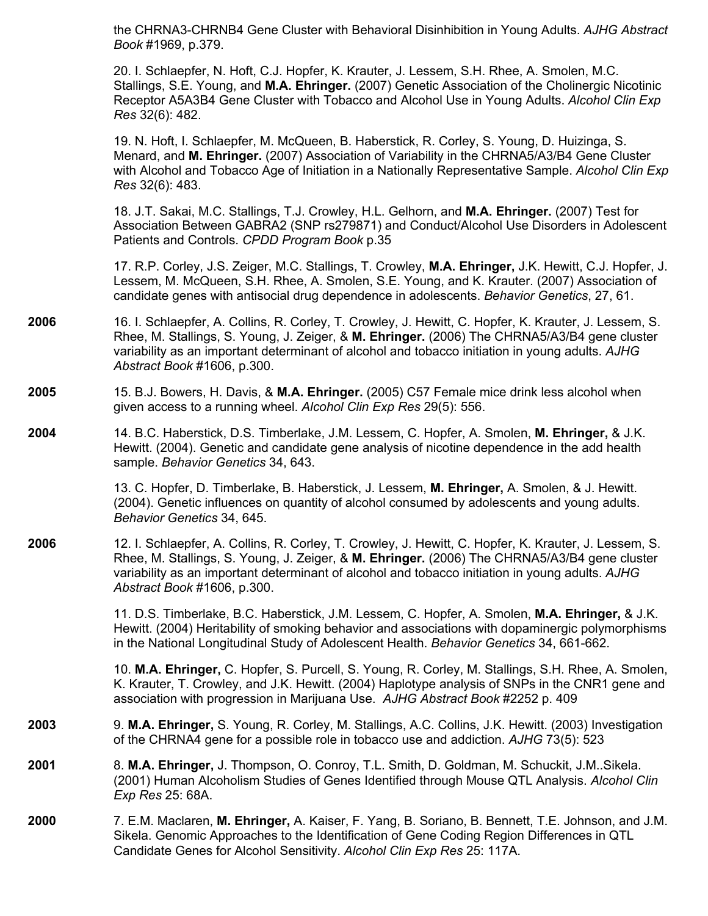the CHRNA3-CHRNB4 Gene Cluster with Behavioral Disinhibition in Young Adults. *AJHG Abstract Book* #1969, p.379.

20. I. Schlaepfer, N. Hoft, C.J. Hopfer, K. Krauter, J. Lessem, S.H. Rhee, A. Smolen, M.C. Stallings, S.E. Young, and **M.A. Ehringer.** (2007) Genetic Association of the Cholinergic Nicotinic Receptor A5A3B4 Gene Cluster with Tobacco and Alcohol Use in Young Adults. *Alcohol Clin Exp Res* 32(6): 482.

19. N. Hoft, I. Schlaepfer, M. McQueen, B. Haberstick, R. Corley, S. Young, D. Huizinga, S. Menard, and **M. Ehringer.** (2007) Association of Variability in the CHRNA5/A3/B4 Gene Cluster with Alcohol and Tobacco Age of Initiation in a Nationally Representative Sample. *Alcohol Clin Exp Res* 32(6): 483.

18. J.T. Sakai, M.C. Stallings, T.J. Crowley, H.L. Gelhorn, and **M.A. Ehringer.** (2007) Test for Association Between GABRA2 (SNP rs279871) and Conduct/Alcohol Use Disorders in Adolescent Patients and Controls. *CPDD Program Book* p.35

17. R.P. Corley, J.S. Zeiger, M.C. Stallings, T. Crowley, **M.A. Ehringer,** J.K. Hewitt, C.J. Hopfer, J. Lessem, M. McQueen, S.H. Rhee, A. Smolen, S.E. Young, and K. Krauter. (2007) Association of candidate genes with antisocial drug dependence in adolescents. *Behavior Genetics*, 27, 61.

- **2006** 16. I. Schlaepfer, A. Collins, R. Corley, T. Crowley, J. Hewitt, C. Hopfer, K. Krauter, J. Lessem, S. Rhee, M. Stallings, S. Young, J. Zeiger, & **M. Ehringer.** (2006) The CHRNA5/A3/B4 gene cluster variability as an important determinant of alcohol and tobacco initiation in young adults. *AJHG Abstract Book* #1606, p.300.
- **2005** 15. B.J. Bowers, H. Davis, & **M.A. Ehringer.** (2005) C57 Female mice drink less alcohol when given access to a running wheel. *Alcohol Clin Exp Res* 29(5): 556.
- **2004** 14. B.C. Haberstick, D.S. Timberlake, J.M. Lessem, C. Hopfer, A. Smolen, **M. Ehringer,** & J.K. Hewitt. (2004). Genetic and candidate gene analysis of nicotine dependence in the add health sample. *Behavior Genetics* 34, 643.

13. C. Hopfer, D. Timberlake, B. Haberstick, J. Lessem, **M. Ehringer,** A. Smolen, & J. Hewitt. (2004). Genetic influences on quantity of alcohol consumed by adolescents and young adults. *Behavior Genetics* 34, 645.

**2006** 12. I. Schlaepfer, A. Collins, R. Corley, T. Crowley, J. Hewitt, C. Hopfer, K. Krauter, J. Lessem, S. Rhee, M. Stallings, S. Young, J. Zeiger, & **M. Ehringer.** (2006) The CHRNA5/A3/B4 gene cluster variability as an important determinant of alcohol and tobacco initiation in young adults. *AJHG Abstract Book* #1606, p.300.

> 11. D.S. Timberlake, B.C. Haberstick, J.M. Lessem, C. Hopfer, A. Smolen, **M.A. Ehringer,** & J.K. Hewitt. (2004) Heritability of smoking behavior and associations with dopaminergic polymorphisms in the National Longitudinal Study of Adolescent Health. *Behavior Genetics* 34, 661-662.

> 10. **M.A. Ehringer,** C. Hopfer, S. Purcell, S. Young, R. Corley, M. Stallings, S.H. Rhee, A. Smolen, K. Krauter, T. Crowley, and J.K. Hewitt. (2004) Haplotype analysis of SNPs in the CNR1 gene and association with progression in Marijuana Use. *AJHG Abstract Book* #2252 p. 409

- **2003** 9. **M.A. Ehringer,** S. Young, R. Corley, M. Stallings, A.C. Collins, J.K. Hewitt. (2003) Investigation of the CHRNA4 gene for a possible role in tobacco use and addiction. *AJHG* 73(5): 523
- **2001** 8. **M.A. Ehringer,** J. Thompson, O. Conroy, T.L. Smith, D. Goldman, M. Schuckit, J.M..Sikela. (2001) Human Alcoholism Studies of Genes Identified through Mouse QTL Analysis. *Alcohol Clin Exp Res* 25: 68A.
- **2000** 7. E.M. Maclaren, **M. Ehringer,** A. Kaiser, F. Yang, B. Soriano, B. Bennett, T.E. Johnson, and J.M. Sikela. Genomic Approaches to the Identification of Gene Coding Region Differences in QTL Candidate Genes for Alcohol Sensitivity. *Alcohol Clin Exp Res* 25: 117A.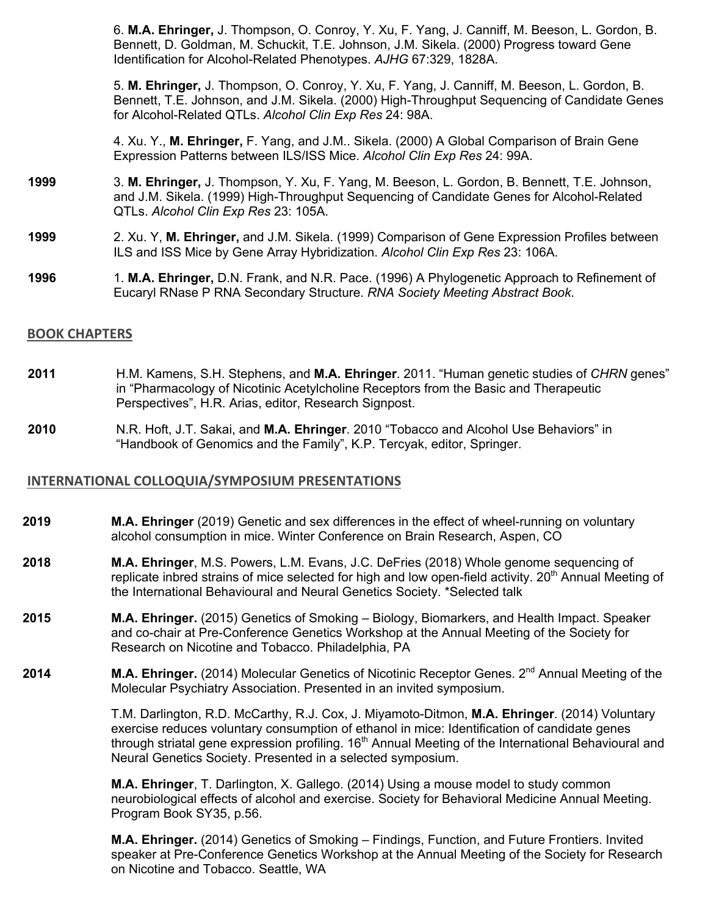6. **M.A. Ehringer,** J. Thompson, O. Conroy, Y. Xu, F. Yang, J. Canniff, M. Beeson, L. Gordon, B. Bennett, D. Goldman, M. Schuckit, T.E. Johnson, J.M. Sikela. (2000) Progress toward Gene Identification for Alcohol-Related Phenotypes. *AJHG* 67:329, 1828A.

5. **M. Ehringer,** J. Thompson, O. Conroy, Y. Xu, F. Yang, J. Canniff, M. Beeson, L. Gordon, B. Bennett, T.E. Johnson, and J.M. Sikela. (2000) High-Throughput Sequencing of Candidate Genes for Alcohol-Related QTLs. *Alcohol Clin Exp Res* 24: 98A.

4. Xu. Y., **M. Ehringer,** F. Yang, and J.M.. Sikela. (2000) A Global Comparison of Brain Gene Expression Patterns between ILS/ISS Mice. *Alcohol Clin Exp Res* 24: 99A.

- **1999** 3. **M. Ehringer,** J. Thompson, Y. Xu, F. Yang, M. Beeson, L. Gordon, B. Bennett, T.E. Johnson, and J.M. Sikela. (1999) High-Throughput Sequencing of Candidate Genes for Alcohol-Related QTLs. *Alcohol Clin Exp Res* 23: 105A.
- **1999** 2. Xu. Y, **M. Ehringer,** and J.M. Sikela. (1999) Comparison of Gene Expression Profiles between ILS and ISS Mice by Gene Array Hybridization. *Alcohol Clin Exp Res* 23: 106A.
- **1996** 1. **M.A. Ehringer,** D.N. Frank, and N.R. Pace. (1996) A Phylogenetic Approach to Refinement of Eucaryl RNase P RNA Secondary Structure. *RNA Society Meeting Abstract Book*.

#### **BOOK CHAPTERS**

- **2011** H.M. Kamens, S.H. Stephens, and **M.A. Ehringer**. 2011. "Human genetic studies of *CHRN* genes" in "Pharmacology of Nicotinic Acetylcholine Receptors from the Basic and Therapeutic Perspectives", H.R. Arias, editor, Research Signpost.
- **2010** N.R. Hoft, J.T. Sakai, and **M.A. Ehringer**. 2010 "Tobacco and Alcohol Use Behaviors" in "Handbook of Genomics and the Family", K.P. Tercyak, editor, Springer.

## **INTERNATIONAL COLLOQUIA/SYMPOSIUM PRESENTATIONS**

- **2019 <b>M.A. Ehringer** (2019) Genetic and sex differences in the effect of wheel-running on voluntary alcohol consumption in mice. Winter Conference on Brain Research, Aspen, CO
- **2018 M.A. Ehringer**, M.S. Powers, L.M. Evans, J.C. DeFries (2018) Whole genome sequencing of replicate inbred strains of mice selected for high and low open-field activity. 20<sup>th</sup> Annual Meeting of the International Behavioural and Neural Genetics Society. \*Selected talk
- **2015 M.A. Ehringer.** (2015) Genetics of Smoking Biology, Biomarkers, and Health Impact. Speaker and co-chair at Pre-Conference Genetics Workshop at the Annual Meeting of the Society for Research on Nicotine and Tobacco. Philadelphia, PA
- 2014 **M.A. Ehringer.** (2014) Molecular Genetics of Nicotinic Receptor Genes. 2<sup>nd</sup> Annual Meeting of the Molecular Psychiatry Association. Presented in an invited symposium.

T.M. Darlington, R.D. McCarthy, R.J. Cox, J. Miyamoto-Ditmon, **M.A. Ehringer**. (2014) Voluntary exercise reduces voluntary consumption of ethanol in mice: Identification of candidate genes through striatal gene expression profiling.  $16<sup>th</sup>$  Annual Meeting of the International Behavioural and Neural Genetics Society. Presented in a selected symposium.

**M.A. Ehringer**, T. Darlington, X. Gallego. (2014) Using a mouse model to study common neurobiological effects of alcohol and exercise. Society for Behavioral Medicine Annual Meeting. Program Book SY35, p.56.

**M.A. Ehringer.** (2014) Genetics of Smoking – Findings, Function, and Future Frontiers. Invited speaker at Pre-Conference Genetics Workshop at the Annual Meeting of the Society for Research on Nicotine and Tobacco. Seattle, WA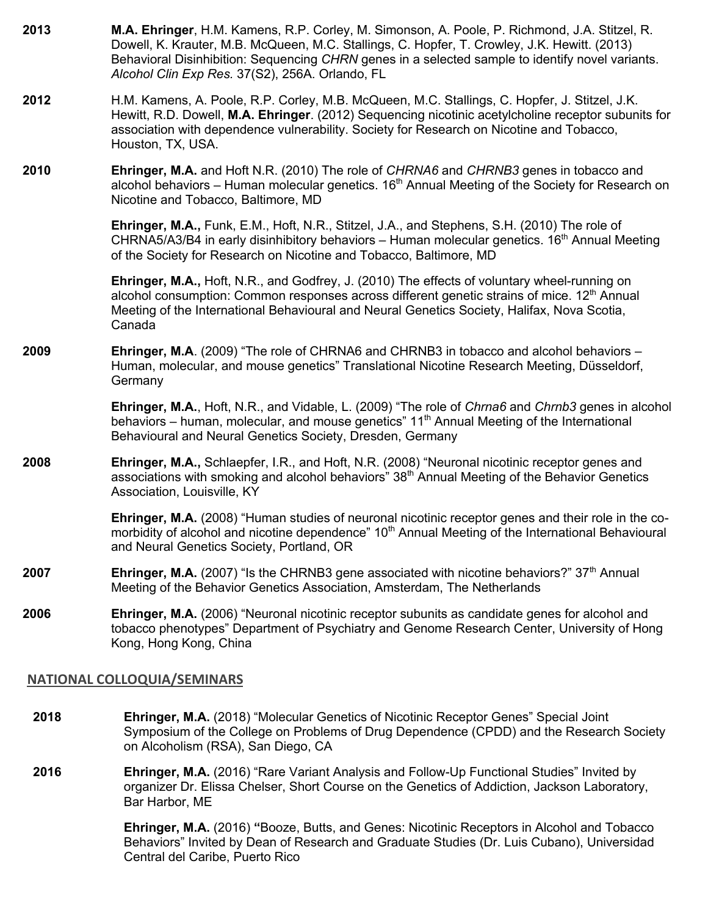**2013 M.A. Ehringer**, H.M. Kamens, R.P. Corley, M. Simonson, A. Poole, P. Richmond, J.A. Stitzel, R. Dowell, K. Krauter, M.B. McQueen, M.C. Stallings, C. Hopfer, T. Crowley, J.K. Hewitt. (2013) Behavioral Disinhibition: Sequencing *CHRN* genes in a selected sample to identify novel variants. *Alcohol Clin Exp Res.* 37(S2), 256A. Orlando, FL **2012** H.M. Kamens, A. Poole, R.P. Corley, M.B. McQueen, M.C. Stallings, C. Hopfer, J. Stitzel, J.K. Hewitt, R.D. Dowell, **M.A. Ehringer**. (2012) Sequencing nicotinic acetylcholine receptor subunits for association with dependence vulnerability. Society for Research on Nicotine and Tobacco, Houston, TX, USA. **2010 Ehringer, M.A.** and Hoft N.R. (2010) The role of *CHRNA6* and *CHRNB3* genes in tobacco and alcohol behaviors – Human molecular genetics.  $16<sup>th</sup>$  Annual Meeting of the Society for Research on Nicotine and Tobacco, Baltimore, MD **Ehringer, M.A.,** Funk, E.M., Hoft, N.R., Stitzel, J.A., and Stephens, S.H. (2010) The role of CHRNA5/A3/B4 in early disinhibitory behaviors – Human molecular genetics.  $16<sup>th</sup>$  Annual Meeting of the Society for Research on Nicotine and Tobacco, Baltimore, MD **Ehringer, M.A.,** Hoft, N.R., and Godfrey, J. (2010) The effects of voluntary wheel-running on alcohol consumption: Common responses across different genetic strains of mice.  $12<sup>th</sup>$  Annual Meeting of the International Behavioural and Neural Genetics Society, Halifax, Nova Scotia, Canada **2009 Ehringer, M.A**. (2009) "The role of CHRNA6 and CHRNB3 in tobacco and alcohol behaviors – Human, molecular, and mouse genetics" Translational Nicotine Research Meeting, Düsseldorf, **Germany Ehringer, M.A.**, Hoft, N.R., and Vidable, L. (2009) "The role of *Chrna6* and *Chrnb3* genes in alcohol behaviors – human, molecular, and mouse genetics"  $11<sup>th</sup>$  Annual Meeting of the International Behavioural and Neural Genetics Society, Dresden, Germany **2008 Ehringer, M.A.,** Schlaepfer, I.R., and Hoft, N.R. (2008) "Neuronal nicotinic receptor genes and associations with smoking and alcohol behaviors" 38<sup>th</sup> Annual Meeting of the Behavior Genetics Association, Louisville, KY **Ehringer, M.A.** (2008) "Human studies of neuronal nicotinic receptor genes and their role in the comorbidity of alcohol and nicotine dependence" 10<sup>th</sup> Annual Meeting of the International Behavioural and Neural Genetics Society, Portland, OR **2007 Ehringer, M.A.** (2007) "Is the CHRNB3 gene associated with nicotine behaviors?" 37<sup>th</sup> Annual Meeting of the Behavior Genetics Association, Amsterdam, The Netherlands **2006 Ehringer, M.A.** (2006) "Neuronal nicotinic receptor subunits as candidate genes for alcohol and tobacco phenotypes" Department of Psychiatry and Genome Research Center, University of Hong Kong, Hong Kong, China **NATIONAL COLLOQUIA/SEMINARS 2018 Ehringer, M.A.** (2018) "Molecular Genetics of Nicotinic Receptor Genes" Special Joint Symposium of the College on Problems of Drug Dependence (CPDD) and the Research Society on Alcoholism (RSA), San Diego, CA **2016 Ehringer, M.A.** (2016) "Rare Variant Analysis and Follow-Up Functional Studies" Invited by

organizer Dr. Elissa Chelser, Short Course on the Genetics of Addiction, Jackson Laboratory, Bar Harbor, ME

> **Ehringer, M.A.** (2016) **"**Booze, Butts, and Genes: Nicotinic Receptors in Alcohol and Tobacco Behaviors" Invited by Dean of Research and Graduate Studies (Dr. Luis Cubano), Universidad Central del Caribe, Puerto Rico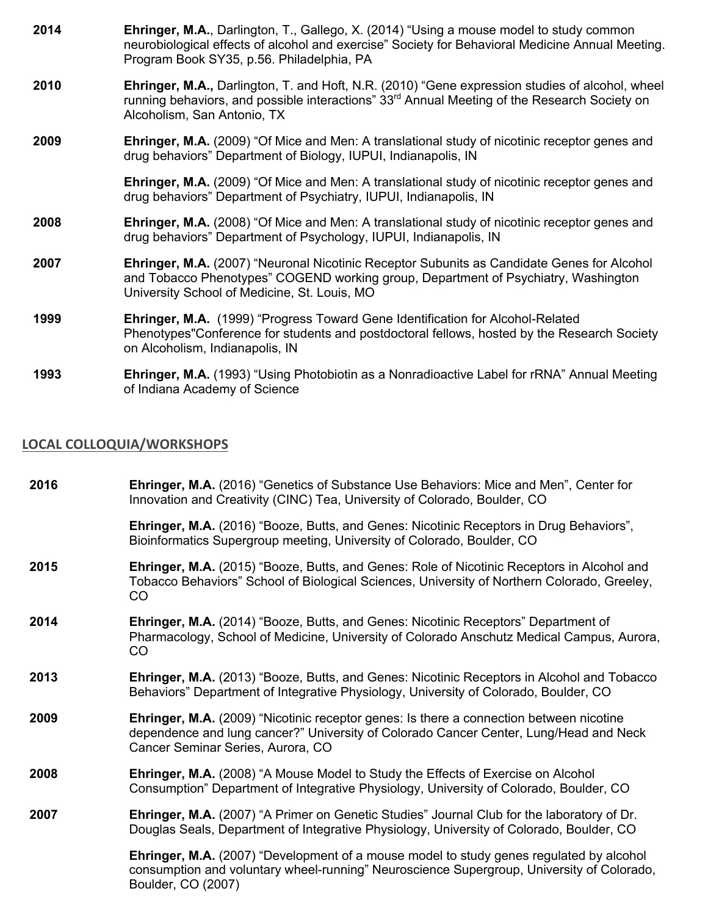| 2014 | <b>Ehringer, M.A., Darlington, T., Gallego, X. (2014) "Using a mouse model to study common</b><br>neurobiological effects of alcohol and exercise" Society for Behavioral Medicine Annual Meeting.<br>Program Book SY35, p.56. Philadelphia, PA |
|------|-------------------------------------------------------------------------------------------------------------------------------------------------------------------------------------------------------------------------------------------------|
| 2010 | Ehringer, M.A., Darlington, T. and Hoft, N.R. (2010) "Gene expression studies of alcohol, wheel<br>running behaviors, and possible interactions" $33rd$ Annual Meeting of the Research Society on<br>Alcoholism, San Antonio, TX                |
| 2009 | Ehringer, M.A. (2009) "Of Mice and Men: A translational study of nicotinic receptor genes and<br>drug behaviors" Department of Biology, IUPUI, Indianapolis, IN                                                                                 |
|      | <b>Ehringer, M.A.</b> (2009) "Of Mice and Men: A translational study of nicotinic receptor genes and<br>drug behaviors" Department of Psychiatry, IUPUI, Indianapolis, IN                                                                       |
| 2008 | <b>Ehringer, M.A.</b> (2008) "Of Mice and Men: A translational study of nicotinic receptor genes and<br>drug behaviors" Department of Psychology, IUPUI, Indianapolis, IN                                                                       |
| 2007 | Ehringer, M.A. (2007) "Neuronal Nicotinic Receptor Subunits as Candidate Genes for Alcohol<br>and Tobacco Phenotypes" COGEND working group, Department of Psychiatry, Washington<br>University School of Medicine, St. Louis, MO                |
| 1999 | Ehringer, M.A. (1999) "Progress Toward Gene Identification for Alcohol-Related<br>Phenotypes"Conference for students and postdoctoral fellows, hosted by the Research Society<br>on Alcoholism, Indianapolis, IN                                |
| 1993 | Ehringer, M.A. (1993) "Using Photobiotin as a Nonradioactive Label for rRNA" Annual Meeting<br>of Indiana Academy of Science                                                                                                                    |

## **LOCAL COLLOQUIA/WORKSHOPS**

| 2016 | <b>Ehringer, M.A.</b> (2016) "Genetics of Substance Use Behaviors: Mice and Men", Center for<br>Innovation and Creativity (CINC) Tea, University of Colorado, Boulder, CO                                                    |
|------|------------------------------------------------------------------------------------------------------------------------------------------------------------------------------------------------------------------------------|
|      | Ehringer, M.A. (2016) "Booze, Butts, and Genes: Nicotinic Receptors in Drug Behaviors",<br>Bioinformatics Supergroup meeting, University of Colorado, Boulder, CO                                                            |
| 2015 | Ehringer, M.A. (2015) "Booze, Butts, and Genes: Role of Nicotinic Receptors in Alcohol and<br>Tobacco Behaviors" School of Biological Sciences, University of Northern Colorado, Greeley,<br>CO.                             |
| 2014 | Ehringer, M.A. (2014) "Booze, Butts, and Genes: Nicotinic Receptors" Department of<br>Pharmacology, School of Medicine, University of Colorado Anschutz Medical Campus, Aurora,<br>CO                                        |
| 2013 | Ehringer, M.A. (2013) "Booze, Butts, and Genes: Nicotinic Receptors in Alcohol and Tobacco<br>Behaviors" Department of Integrative Physiology, University of Colorado, Boulder, CO                                           |
| 2009 | <b>Ehringer, M.A.</b> (2009) "Nicotinic receptor genes: Is there a connection between nicotine<br>dependence and lung cancer?" University of Colorado Cancer Center, Lung/Head and Neck<br>Cancer Seminar Series, Aurora, CO |
| 2008 | Ehringer, M.A. (2008) "A Mouse Model to Study the Effects of Exercise on Alcohol<br>Consumption" Department of Integrative Physiology, University of Colorado, Boulder, CO                                                   |
| 2007 | Ehringer, M.A. (2007) "A Primer on Genetic Studies" Journal Club for the laboratory of Dr.<br>Douglas Seals, Department of Integrative Physiology, University of Colorado, Boulder, CO                                       |
|      | Ehringer, M.A. (2007) "Development of a mouse model to study genes regulated by alcohol<br>consumption and voluntary wheel-running" Neuroscience Supergroup, University of Colorado,<br>Boulder, CO (2007)                   |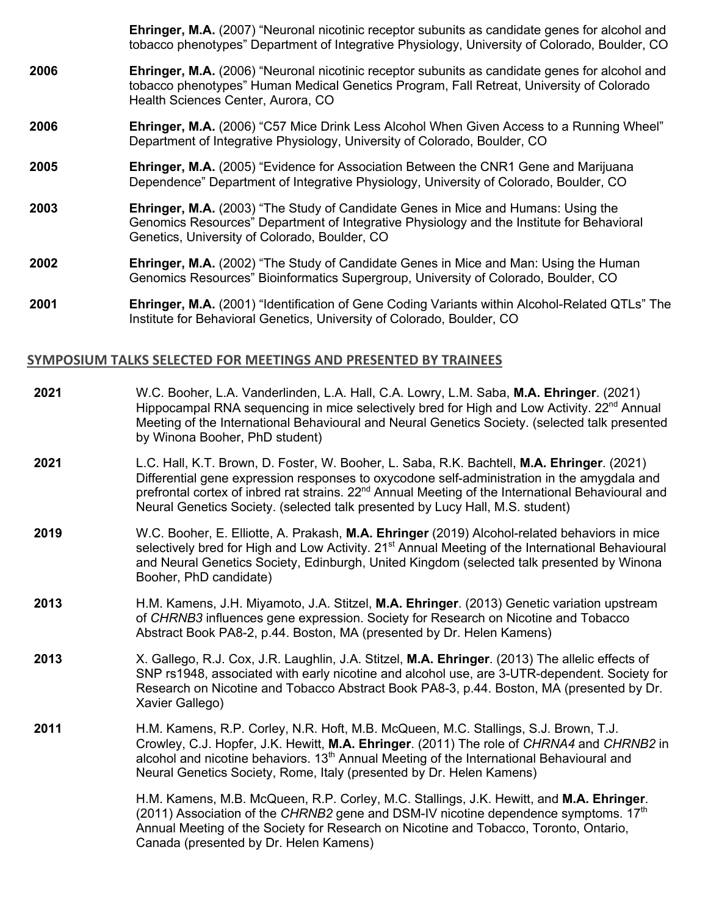**Ehringer, M.A.** (2007) "Neuronal nicotinic receptor subunits as candidate genes for alcohol and tobacco phenotypes" Department of Integrative Physiology, University of Colorado, Boulder, CO

- **2006 Ehringer, M.A.** (2006) "Neuronal nicotinic receptor subunits as candidate genes for alcohol and tobacco phenotypes" Human Medical Genetics Program, Fall Retreat, University of Colorado Health Sciences Center, Aurora, CO
- **2006 Ehringer, M.A.** (2006) "C57 Mice Drink Less Alcohol When Given Access to a Running Wheel" Department of Integrative Physiology, University of Colorado, Boulder, CO
- **2005 Ehringer, M.A.** (2005) "Evidence for Association Between the CNR1 Gene and Marijuana Dependence" Department of Integrative Physiology, University of Colorado, Boulder, CO
- **2003 Ehringer, M.A.** (2003) "The Study of Candidate Genes in Mice and Humans: Using the Genomics Resources" Department of Integrative Physiology and the Institute for Behavioral Genetics, University of Colorado, Boulder, CO
- **2002 Ehringer, M.A.** (2002) "The Study of Candidate Genes in Mice and Man: Using the Human Genomics Resources" Bioinformatics Supergroup, University of Colorado, Boulder, CO
- **2001 Ehringer, M.A.** (2001) "Identification of Gene Coding Variants within Alcohol-Related QTLs" The Institute for Behavioral Genetics, University of Colorado, Boulder, CO

#### **SYMPOSIUM TALKS SELECTED FOR MEETINGS AND PRESENTED BY TRAINEES**

| 2021 | W.C. Booher, L.A. Vanderlinden, L.A. Hall, C.A. Lowry, L.M. Saba, M.A. Ehringer. (2021)<br>Hippocampal RNA sequencing in mice selectively bred for High and Low Activity. 22 <sup>nd</sup> Annual<br>Meeting of the International Behavioural and Neural Genetics Society. (selected talk presented<br>by Winona Booher, PhD student)                                                       |
|------|---------------------------------------------------------------------------------------------------------------------------------------------------------------------------------------------------------------------------------------------------------------------------------------------------------------------------------------------------------------------------------------------|
| 2021 | L.C. Hall, K.T. Brown, D. Foster, W. Booher, L. Saba, R.K. Bachtell, M.A. Ehringer. (2021)<br>Differential gene expression responses to oxycodone self-administration in the amygdala and<br>prefrontal cortex of inbred rat strains. 22 <sup>nd</sup> Annual Meeting of the International Behavioural and<br>Neural Genetics Society. (selected talk presented by Lucy Hall, M.S. student) |
| 2019 | W.C. Booher, E. Elliotte, A. Prakash, M.A. Ehringer (2019) Alcohol-related behaviors in mice<br>selectively bred for High and Low Activity. 21 <sup>st</sup> Annual Meeting of the International Behavioural<br>and Neural Genetics Society, Edinburgh, United Kingdom (selected talk presented by Winona<br>Booher, PhD candidate)                                                         |
| 2013 | H.M. Kamens, J.H. Miyamoto, J.A. Stitzel, M.A. Ehringer. (2013) Genetic variation upstream<br>of CHRNB3 influences gene expression. Society for Research on Nicotine and Tobacco<br>Abstract Book PA8-2, p.44. Boston, MA (presented by Dr. Helen Kamens)                                                                                                                                   |
| 2013 | X. Gallego, R.J. Cox, J.R. Laughlin, J.A. Stitzel, M.A. Ehringer. (2013) The allelic effects of<br>SNP rs1948, associated with early nicotine and alcohol use, are 3-UTR-dependent. Society for<br>Research on Nicotine and Tobacco Abstract Book PA8-3, p.44. Boston, MA (presented by Dr.<br>Xavier Gallego)                                                                              |
| 2011 | H.M. Kamens, R.P. Corley, N.R. Hoft, M.B. McQueen, M.C. Stallings, S.J. Brown, T.J.<br>Crowley, C.J. Hopfer, J.K. Hewitt, M.A. Ehringer. (2011) The role of CHRNA4 and CHRNB2 in<br>alcohol and nicotine behaviors. 13 <sup>th</sup> Annual Meeting of the International Behavioural and<br>Neural Genetics Society, Rome, Italy (presented by Dr. Helen Kamens)                            |
|      | H.M. Kamens, M.B. McQueen, R.P. Corley, M.C. Stallings, J.K. Hewitt, and M.A. Ehringer.<br>(2011) Association of the CHRNB2 gene and DSM-IV nicotine dependence symptoms. $17th$<br>Annual Meeting of the Society for Research on Nicotine and Tobacco, Toronto, Ontario,<br>Canada (presented by Dr. Helen Kamens)                                                                         |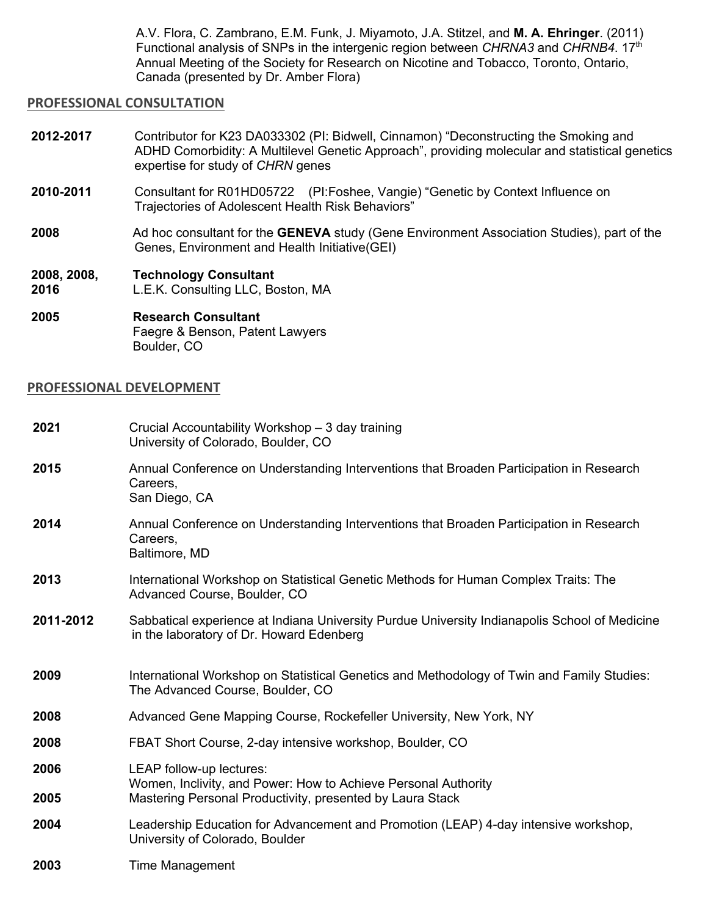A.V. Flora, C. Zambrano, E.M. Funk, J. Miyamoto, J.A. Stitzel, and **M. A. Ehringer**. (2011) Functional analysis of SNPs in the intergenic region between *CHRNA3* and *CHRNB4*. 17th Annual Meeting of the Society for Research on Nicotine and Tobacco, Toronto, Ontario, Canada (presented by Dr. Amber Flora)

## **PROFESSIONAL CONSULTATION**

- **2012-2017** Contributor for K23 DA033302 (PI: Bidwell, Cinnamon) "Deconstructing the Smoking and ADHD Comorbidity: A Multilevel Genetic Approach", providing molecular and statistical genetics expertise for study of *CHRN* genes
- **2010-2011** Consultant for R01HD05722 (PI:Foshee, Vangie) "Genetic by Context Influence on Trajectories of Adolescent Health Risk Behaviors"
- **2008** Ad hoc consultant for the **GENEVA** study (Gene Environment Association Studies), part of the Genes, Environment and Health Initiative(GEI)
- **2008, 2008, 2016 Technology Consultant** L.E.K. Consulting LLC, Boston, MA
- **2005 Research Consultant** Faegre & Benson, Patent Lawyers Boulder, CO

#### **PROFESSIONAL DEVELOPMENT**

| 2021      | Crucial Accountability Workshop - 3 day training<br>University of Colorado, Boulder, CO                                                   |
|-----------|-------------------------------------------------------------------------------------------------------------------------------------------|
| 2015      | Annual Conference on Understanding Interventions that Broaden Participation in Research<br>Careers,<br>San Diego, CA                      |
| 2014      | Annual Conference on Understanding Interventions that Broaden Participation in Research<br>Careers,<br>Baltimore, MD                      |
| 2013      | International Workshop on Statistical Genetic Methods for Human Complex Traits: The<br>Advanced Course, Boulder, CO                       |
| 2011-2012 | Sabbatical experience at Indiana University Purdue University Indianapolis School of Medicine<br>in the laboratory of Dr. Howard Edenberg |
| 2009      | International Workshop on Statistical Genetics and Methodology of Twin and Family Studies:<br>The Advanced Course, Boulder, CO            |
| 2008      | Advanced Gene Mapping Course, Rockefeller University, New York, NY                                                                        |
| 2008      | FBAT Short Course, 2-day intensive workshop, Boulder, CO                                                                                  |
| 2006      | LEAP follow-up lectures:<br>Women, Inclivity, and Power: How to Achieve Personal Authority                                                |
| 2005      | Mastering Personal Productivity, presented by Laura Stack                                                                                 |
| 2004      | Leadership Education for Advancement and Promotion (LEAP) 4-day intensive workshop,<br>University of Colorado, Boulder                    |
| 2003      | <b>Time Management</b>                                                                                                                    |
|           |                                                                                                                                           |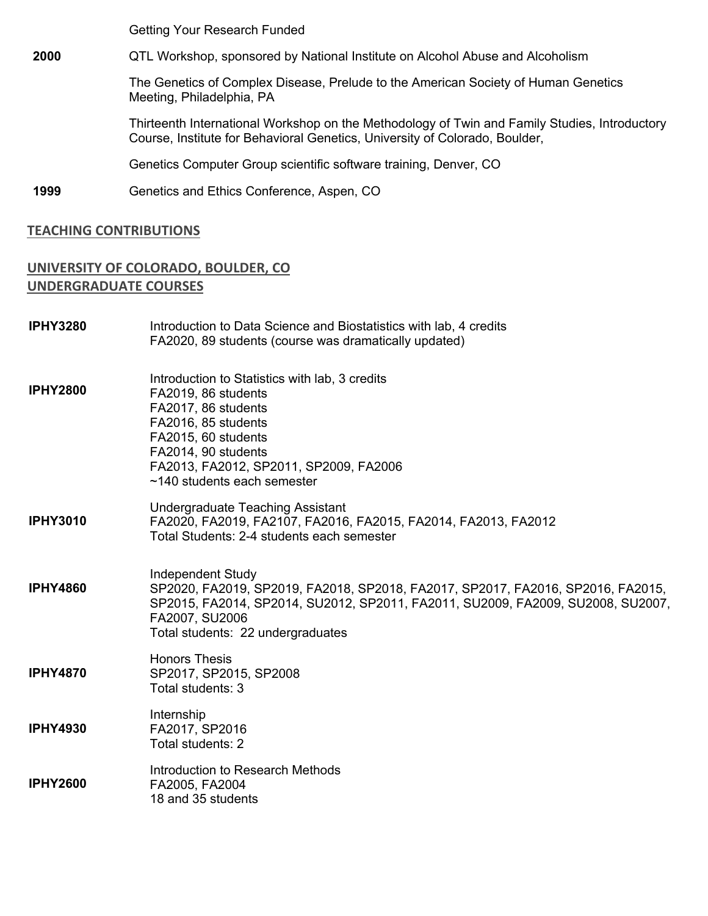Getting Your Research Funded

**2000** QTL Workshop, sponsored by National Institute on Alcohol Abuse and Alcoholism

The Genetics of Complex Disease, Prelude to the American Society of Human Genetics Meeting, Philadelphia, PA

Thirteenth International Workshop on the Methodology of Twin and Family Studies, Introductory Course, Institute for Behavioral Genetics, University of Colorado, Boulder,

Genetics Computer Group scientific software training, Denver, CO

**1999** Genetics and Ethics Conference, Aspen, CO

#### **TEACHING CONTRIBUTIONS**

## **UNIVERSITY OF COLORADO, BOULDER, CO UNDERGRADUATE COURSES**

| <b>IPHY3280</b> | Introduction to Data Science and Biostatistics with lab, 4 credits<br>FA2020, 89 students (course was dramatically updated)                                                                                                                    |
|-----------------|------------------------------------------------------------------------------------------------------------------------------------------------------------------------------------------------------------------------------------------------|
| <b>IPHY2800</b> | Introduction to Statistics with lab, 3 credits<br>FA2019, 86 students<br>FA2017, 86 students<br>FA2016, 85 students<br>FA2015, 60 students<br>FA2014, 90 students<br>FA2013, FA2012, SP2011, SP2009, FA2006<br>~140 students each semester     |
| <b>IPHY3010</b> | <b>Undergraduate Teaching Assistant</b><br>FA2020, FA2019, FA2107, FA2016, FA2015, FA2014, FA2013, FA2012<br>Total Students: 2-4 students each semester                                                                                        |
| <b>IPHY4860</b> | Independent Study<br>SP2020, FA2019, SP2019, FA2018, SP2018, FA2017, SP2017, FA2016, SP2016, FA2015,<br>SP2015, FA2014, SP2014, SU2012, SP2011, FA2011, SU2009, FA2009, SU2008, SU2007,<br>FA2007, SU2006<br>Total students: 22 undergraduates |
| <b>IPHY4870</b> | <b>Honors Thesis</b><br>SP2017, SP2015, SP2008<br>Total students: 3                                                                                                                                                                            |
| <b>IPHY4930</b> | Internship<br>FA2017, SP2016<br>Total students: 2                                                                                                                                                                                              |
| <b>IPHY2600</b> | Introduction to Research Methods<br>FA2005, FA2004<br>18 and 35 students                                                                                                                                                                       |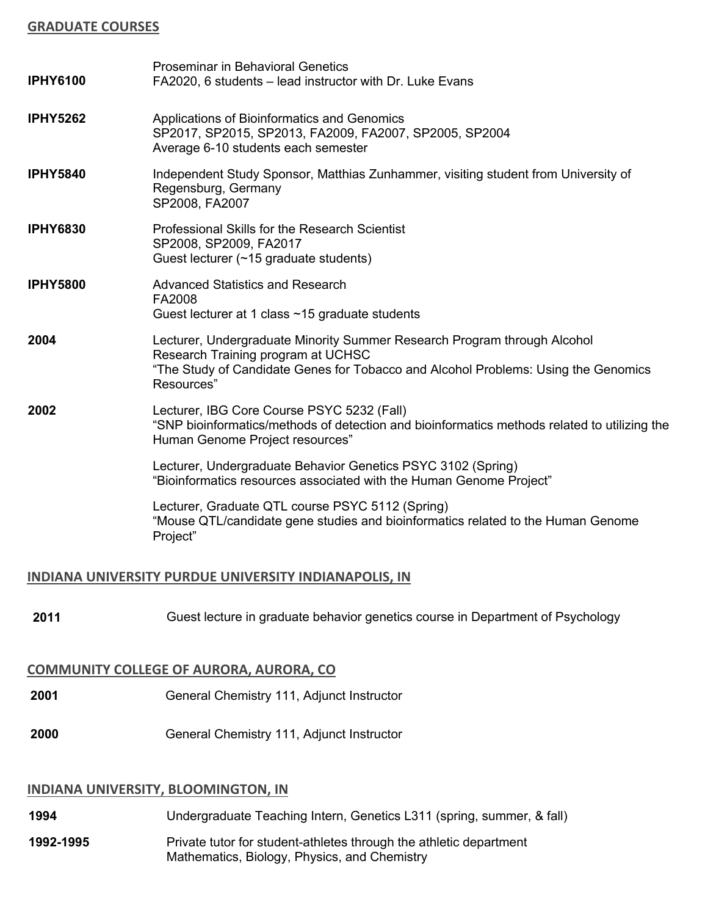## **GRADUATE COURSES**

| <b>IPHY6100</b> | <b>Proseminar in Behavioral Genetics</b><br>FA2020, 6 students – lead instructor with Dr. Luke Evans                                                                                                               |
|-----------------|--------------------------------------------------------------------------------------------------------------------------------------------------------------------------------------------------------------------|
| <b>IPHY5262</b> | Applications of Bioinformatics and Genomics<br>SP2017, SP2015, SP2013, FA2009, FA2007, SP2005, SP2004<br>Average 6-10 students each semester                                                                       |
| <b>IPHY5840</b> | Independent Study Sponsor, Matthias Zunhammer, visiting student from University of<br>Regensburg, Germany<br>SP2008, FA2007                                                                                        |
| <b>IPHY6830</b> | Professional Skills for the Research Scientist<br>SP2008, SP2009, FA2017<br>Guest lecturer $(~15$ graduate students)                                                                                               |
| <b>IPHY5800</b> | <b>Advanced Statistics and Research</b><br>FA2008<br>Guest lecturer at 1 class ~15 graduate students                                                                                                               |
| 2004            | Lecturer, Undergraduate Minority Summer Research Program through Alcohol<br>Research Training program at UCHSC<br>"The Study of Candidate Genes for Tobacco and Alcohol Problems: Using the Genomics<br>Resources" |
| 2002            | Lecturer, IBG Core Course PSYC 5232 (Fall)<br>"SNP bioinformatics/methods of detection and bioinformatics methods related to utilizing the<br>Human Genome Project resources"                                      |
|                 | Lecturer, Undergraduate Behavior Genetics PSYC 3102 (Spring)<br>"Bioinformatics resources associated with the Human Genome Project"                                                                                |
|                 | Lecturer, Graduate QTL course PSYC 5112 (Spring)<br>"Mouse QTL/candidate gene studies and bioinformatics related to the Human Genome<br>Project"                                                                   |

## **INDIANA UNIVERSITY PURDUE UNIVERSITY INDIANAPOLIS, IN**

**2011** Guest lecture in graduate behavior genetics course in Department of Psychology

## **COMMUNITY COLLEGE OF AURORA, AURORA, CO**

- **2001** General Chemistry 111, Adjunct Instructor
- **2000** General Chemistry 111, Adjunct Instructor

#### **INDIANA UNIVERSITY, BLOOMINGTON, IN**

- **1994** Undergraduate Teaching Intern, Genetics L311 (spring, summer, & fall)
- **1992-1995** Private tutor for student-athletes through the athletic department Mathematics, Biology, Physics, and Chemistry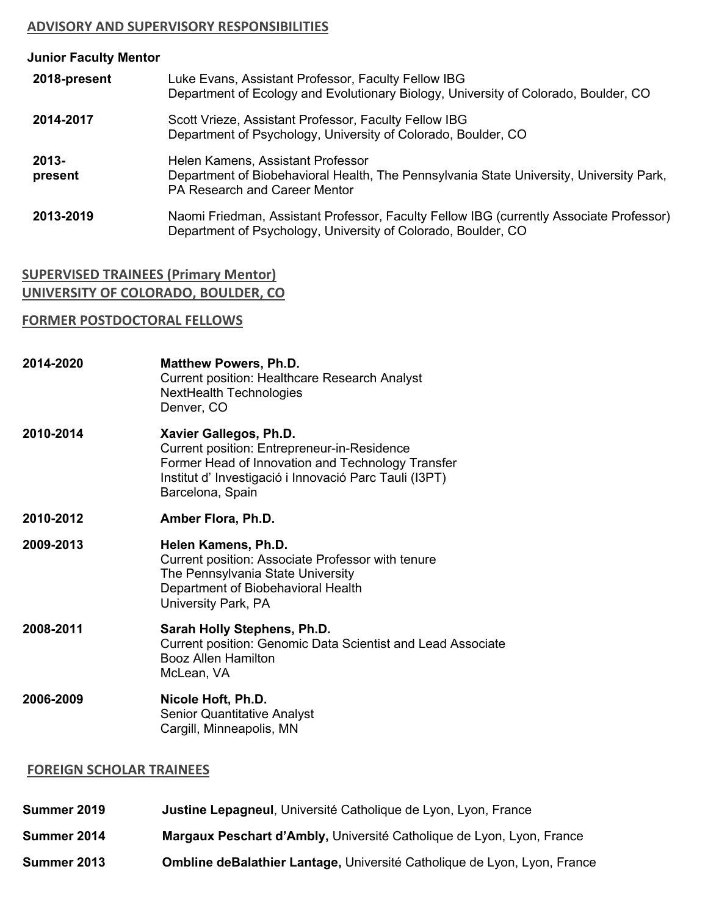## **ADVISORY AND SUPERVISORY RESPONSIBILITIES**

| Luke Evans, Assistant Professor, Faculty Fellow IBG<br>Department of Ecology and Evolutionary Biology, University of Colorado, Boulder, CO                    |
|---------------------------------------------------------------------------------------------------------------------------------------------------------------|
| Scott Vrieze, Assistant Professor, Faculty Fellow IBG<br>Department of Psychology, University of Colorado, Boulder, CO                                        |
| Helen Kamens, Assistant Professor<br>Department of Biobehavioral Health, The Pennsylvania State University, University Park,<br>PA Research and Career Mentor |
| Naomi Friedman, Assistant Professor, Faculty Fellow IBG (currently Associate Professor)<br>Department of Psychology, University of Colorado, Boulder, CO      |
|                                                                                                                                                               |

## **SUPERVISED TRAINEES (Primary Mentor) UNIVERSITY OF COLORADO, BOULDER, CO**

## **FORMER POSTDOCTORAL FELLOWS**

| 2014-2020 | <b>Matthew Powers, Ph.D.</b><br><b>Current position: Healthcare Research Analyst</b><br><b>NextHealth Technologies</b><br>Denver, CO                                                                           |
|-----------|----------------------------------------------------------------------------------------------------------------------------------------------------------------------------------------------------------------|
| 2010-2014 | Xavier Gallegos, Ph.D.<br><b>Current position: Entrepreneur-in-Residence</b><br>Former Head of Innovation and Technology Transfer<br>Institut d'Investigació i Innovació Parc Tauli (I3PT)<br>Barcelona, Spain |
| 2010-2012 | Amber Flora, Ph.D.                                                                                                                                                                                             |
| 2009-2013 | Helen Kamens, Ph.D.<br>Current position: Associate Professor with tenure<br>The Pennsylvania State University<br>Department of Biobehavioral Health<br>University Park, PA                                     |
| 2008-2011 | Sarah Holly Stephens, Ph.D.<br>Current position: Genomic Data Scientist and Lead Associate<br><b>Booz Allen Hamilton</b><br>McLean, VA                                                                         |
| 2006-2009 | Nicole Hoft, Ph.D.<br><b>Senior Quantitative Analyst</b><br>Cargill, Minneapolis, MN                                                                                                                           |

## **FOREIGN SCHOLAR TRAINEES**

- **Summer 2019 Justine Lepagneul**, Université Catholique de Lyon, Lyon, France
- **Summer 2014 Margaux Peschart d'Ambly,** Université Catholique de Lyon, Lyon, France
- **Summer 2013 Ombline deBalathier Lantage,** Université Catholique de Lyon, Lyon, France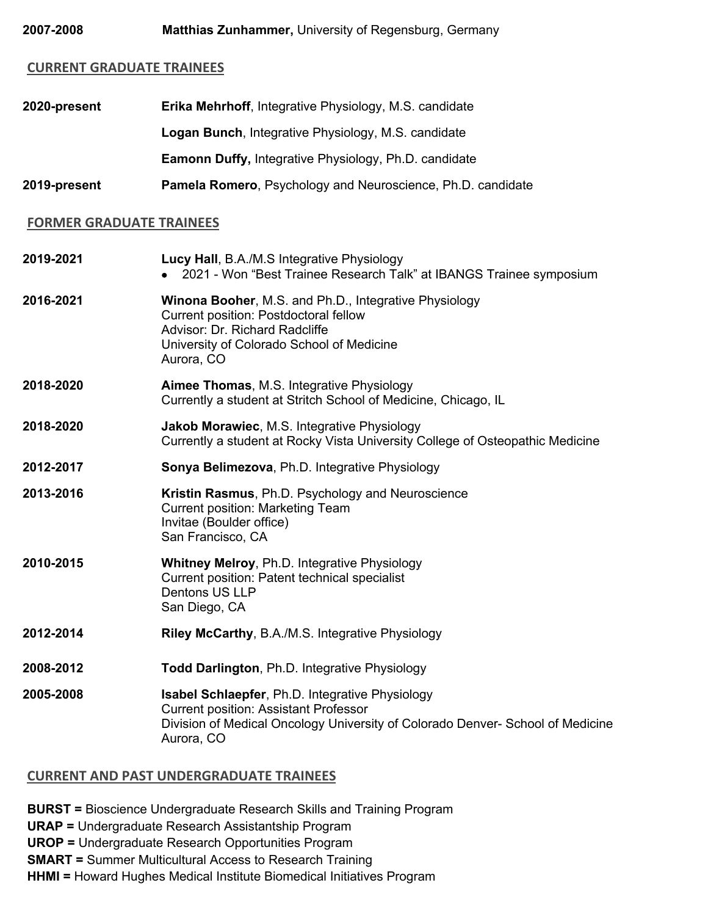#### **CURRENT GRADUATE TRAINEES**

| 2020-present | <b>Erika Mehrhoff, Integrative Physiology, M.S. candidate</b> |
|--------------|---------------------------------------------------------------|
|              | <b>Logan Bunch, Integrative Physiology, M.S. candidate</b>    |
|              | <b>Eamonn Duffy, Integrative Physiology, Ph.D. candidate</b>  |
| 2019-present | Pamela Romero, Psychology and Neuroscience, Ph.D. candidate   |

# **FORMER GRADUATE TRAINEES**

| 2019-2021 | Lucy Hall, B.A./M.S Integrative Physiology<br>2021 - Won "Best Trainee Research Talk" at IBANGS Trainee symposium                                                                                      |
|-----------|--------------------------------------------------------------------------------------------------------------------------------------------------------------------------------------------------------|
| 2016-2021 | Winona Booher, M.S. and Ph.D., Integrative Physiology<br>Current position: Postdoctoral fellow<br>Advisor: Dr. Richard Radcliffe<br>University of Colorado School of Medicine<br>Aurora, CO            |
| 2018-2020 | <b>Aimee Thomas, M.S. Integrative Physiology</b><br>Currently a student at Stritch School of Medicine, Chicago, IL                                                                                     |
| 2018-2020 | Jakob Morawiec, M.S. Integrative Physiology<br>Currently a student at Rocky Vista University College of Osteopathic Medicine                                                                           |
| 2012-2017 | Sonya Belimezova, Ph.D. Integrative Physiology                                                                                                                                                         |
| 2013-2016 | Kristin Rasmus, Ph.D. Psychology and Neuroscience<br><b>Current position: Marketing Team</b><br>Invitae (Boulder office)<br>San Francisco, CA                                                          |
| 2010-2015 | <b>Whitney Melroy, Ph.D. Integrative Physiology</b><br>Current position: Patent technical specialist<br>Dentons US LLP<br>San Diego, CA                                                                |
| 2012-2014 | Riley McCarthy, B.A./M.S. Integrative Physiology                                                                                                                                                       |
| 2008-2012 | <b>Todd Darlington, Ph.D. Integrative Physiology</b>                                                                                                                                                   |
| 2005-2008 | <b>Isabel Schlaepfer, Ph.D. Integrative Physiology</b><br><b>Current position: Assistant Professor</b><br>Division of Medical Oncology University of Colorado Denver- School of Medicine<br>Aurora, CO |

## **CURRENT AND PAST UNDERGRADUATE TRAINEES**

**BURST =** Bioscience Undergraduate Research Skills and Training Program

**URAP =** Undergraduate Research Assistantship Program

**UROP =** Undergraduate Research Opportunities Program

**SMART =** Summer Multicultural Access to Research Training

**HHMI =** Howard Hughes Medical Institute Biomedical Initiatives Program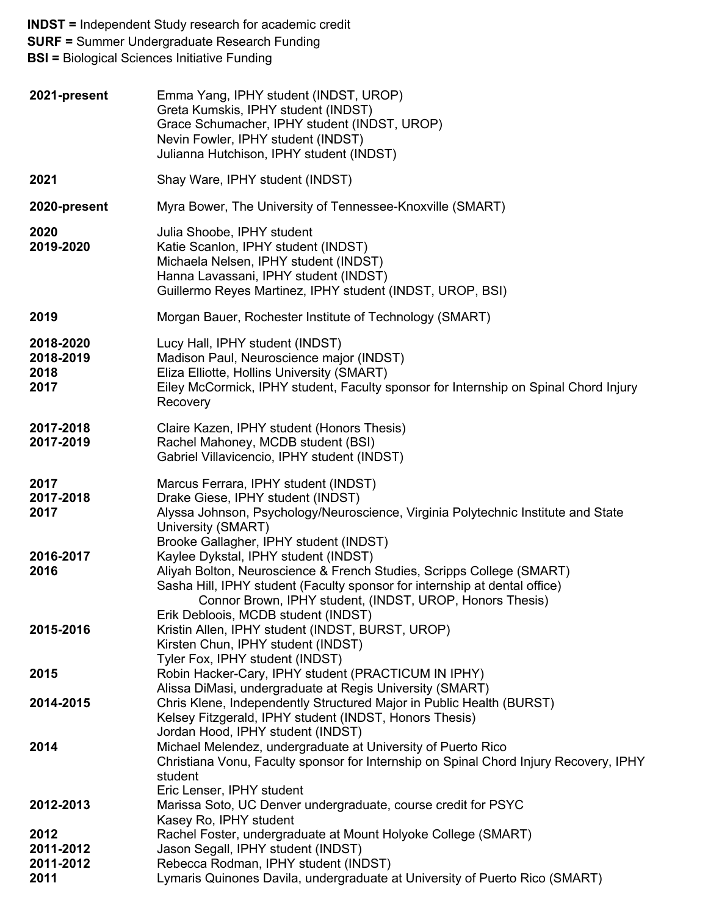**INDST =** Independent Study research for academic credit **SURF =** Summer Undergraduate Research Funding **BSI =** Biological Sciences Initiative Funding **2021-present** Emma Yang, IPHY student (INDST, UROP) Greta Kumskis, IPHY student (INDST) Grace Schumacher, IPHY student (INDST, UROP) Nevin Fowler, IPHY student (INDST) Julianna Hutchison, IPHY student (INDST) **2021** Shay Ware, IPHY student (INDST) **2020-present** Myra Bower, The University of Tennessee-Knoxville (SMART) **2020 2019-2020** Julia Shoobe, IPHY student Katie Scanlon, IPHY student (INDST) Michaela Nelsen, IPHY student (INDST) Hanna Lavassani, IPHY student (INDST) Guillermo Reyes Martinez, IPHY student (INDST, UROP, BSI) **2019** Morgan Bauer, Rochester Institute of Technology (SMART) **2018-2020 2018-2019 2018 2017** Lucy Hall, IPHY student (INDST) Madison Paul, Neuroscience major (INDST) Eliza Elliotte, Hollins University (SMART) Eiley McCormick, IPHY student, Faculty sponsor for Internship on Spinal Chord Injury Recovery **2017-2018 2017-2019** Claire Kazen, IPHY student (Honors Thesis) Rachel Mahoney, MCDB student (BSI) Gabriel Villavicencio, IPHY student (INDST) **2017 2017-2018 2017 2016-2017 2016 2015-2016 2015 2014-2015 2014 2012-2013 2012 2011-2012 2011-2012 2011** Marcus Ferrara, IPHY student (INDST) Drake Giese, IPHY student (INDST) Alyssa Johnson, Psychology/Neuroscience, Virginia Polytechnic Institute and State University (SMART) Brooke Gallagher, IPHY student (INDST) Kaylee Dykstal, IPHY student (INDST) Aliyah Bolton, Neuroscience & French Studies, Scripps College (SMART) Sasha Hill, IPHY student (Faculty sponsor for internship at dental office) Connor Brown, IPHY student, (INDST, UROP, Honors Thesis) Erik Debloois, MCDB student (INDST) Kristin Allen, IPHY student (INDST, BURST, UROP) Kirsten Chun, IPHY student (INDST) Tyler Fox, IPHY student (INDST) Robin Hacker-Cary, IPHY student (PRACTICUM IN IPHY) Alissa DiMasi, undergraduate at Regis University (SMART) Chris Klene, Independently Structured Major in Public Health (BURST) Kelsey Fitzgerald, IPHY student (INDST, Honors Thesis) Jordan Hood, IPHY student (INDST) Michael Melendez, undergraduate at University of Puerto Rico Christiana Vonu, Faculty sponsor for Internship on Spinal Chord Injury Recovery, IPHY student Eric Lenser, IPHY student Marissa Soto, UC Denver undergraduate, course credit for PSYC Kasey Ro, IPHY student Rachel Foster, undergraduate at Mount Holyoke College (SMART) Jason Segall, IPHY student (INDST) Rebecca Rodman, IPHY student (INDST) Lymaris Quinones Davila, undergraduate at University of Puerto Rico (SMART)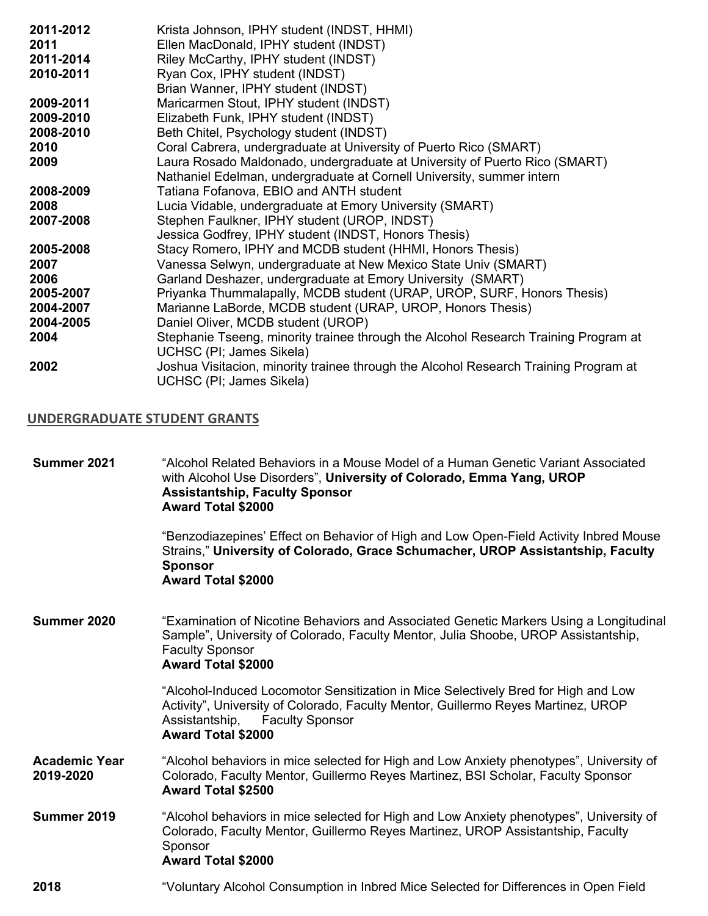| 2011-2012 | Krista Johnson, IPHY student (INDST, HHMI)                                                                       |
|-----------|------------------------------------------------------------------------------------------------------------------|
| 2011      | Ellen MacDonald, IPHY student (INDST)                                                                            |
| 2011-2014 | Riley McCarthy, IPHY student (INDST)                                                                             |
| 2010-2011 | Ryan Cox, IPHY student (INDST)                                                                                   |
|           | Brian Wanner, IPHY student (INDST)                                                                               |
| 2009-2011 | Maricarmen Stout, IPHY student (INDST)                                                                           |
| 2009-2010 | Elizabeth Funk, IPHY student (INDST)                                                                             |
| 2008-2010 | Beth Chitel, Psychology student (INDST)                                                                          |
| 2010      | Coral Cabrera, undergraduate at University of Puerto Rico (SMART)                                                |
| 2009      | Laura Rosado Maldonado, undergraduate at University of Puerto Rico (SMART)                                       |
|           | Nathaniel Edelman, undergraduate at Cornell University, summer intern                                            |
| 2008-2009 | Tatiana Fofanova, EBIO and ANTH student                                                                          |
| 2008      | Lucia Vidable, undergraduate at Emory University (SMART)                                                         |
| 2007-2008 | Stephen Faulkner, IPHY student (UROP, INDST)                                                                     |
|           | Jessica Godfrey, IPHY student (INDST, Honors Thesis)                                                             |
| 2005-2008 | Stacy Romero, IPHY and MCDB student (HHMI, Honors Thesis)                                                        |
| 2007      | Vanessa Selwyn, undergraduate at New Mexico State Univ (SMART)                                                   |
| 2006      | Garland Deshazer, undergraduate at Emory University (SMART)                                                      |
| 2005-2007 | Priyanka Thummalapally, MCDB student (URAP, UROP, SURF, Honors Thesis)                                           |
| 2004-2007 | Marianne LaBorde, MCDB student (URAP, UROP, Honors Thesis)                                                       |
| 2004-2005 | Daniel Oliver, MCDB student (UROP)                                                                               |
| 2004      | Stephanie Tseeng, minority trainee through the Alcohol Research Training Program at                              |
|           | UCHSC (PI; James Sikela)                                                                                         |
| 2002      | Joshua Visitacion, minority trainee through the Alcohol Research Training Program at<br>UCHSC (PI; James Sikela) |

## **UNDERGRADUATE STUDENT GRANTS**

| Summer 2021                       | "Alcohol Related Behaviors in a Mouse Model of a Human Genetic Variant Associated<br>with Alcohol Use Disorders", University of Colorado, Emma Yang, UROP<br><b>Assistantship, Faculty Sponsor</b><br><b>Award Total \$2000</b>                  |
|-----------------------------------|--------------------------------------------------------------------------------------------------------------------------------------------------------------------------------------------------------------------------------------------------|
|                                   | "Benzodiazepines' Effect on Behavior of High and Low Open-Field Activity Inbred Mouse<br>Strains," University of Colorado, Grace Schumacher, UROP Assistantship, Faculty<br><b>Sponsor</b><br><b>Award Total \$2000</b>                          |
| Summer 2020                       | "Examination of Nicotine Behaviors and Associated Genetic Markers Using a Longitudinal<br>Sample", University of Colorado, Faculty Mentor, Julia Shoobe, UROP Assistantship,<br><b>Faculty Sponsor</b><br><b>Award Total \$2000</b>              |
|                                   | "Alcohol-Induced Locomotor Sensitization in Mice Selectively Bred for High and Low<br>Activity", University of Colorado, Faculty Mentor, Guillermo Reyes Martinez, UROP<br>Assistantship,<br><b>Faculty Sponsor</b><br><b>Award Total \$2000</b> |
| <b>Academic Year</b><br>2019-2020 | "Alcohol behaviors in mice selected for High and Low Anxiety phenotypes", University of<br>Colorado, Faculty Mentor, Guillermo Reyes Martinez, BSI Scholar, Faculty Sponsor<br><b>Award Total \$2500</b>                                         |
| Summer 2019                       | "Alcohol behaviors in mice selected for High and Low Anxiety phenotypes", University of<br>Colorado, Faculty Mentor, Guillermo Reyes Martinez, UROP Assistantship, Faculty<br>Sponsor<br><b>Award Total \$2000</b>                               |
| 2018                              | "Voluntary Alcohol Consumption in Inbred Mice Selected for Differences in Open Field                                                                                                                                                             |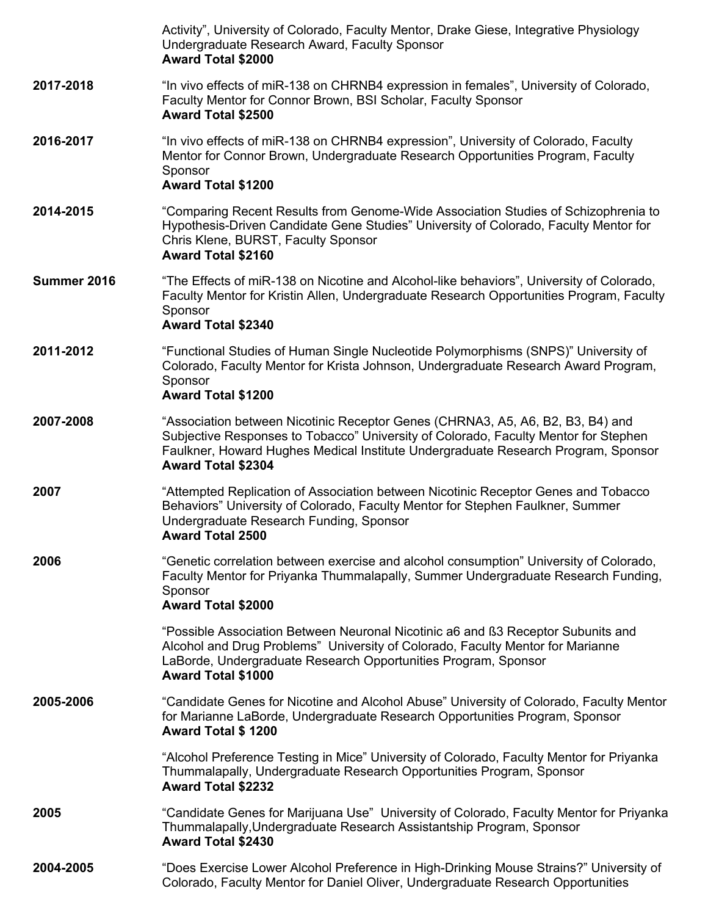|             | Activity", University of Colorado, Faculty Mentor, Drake Giese, Integrative Physiology<br>Undergraduate Research Award, Faculty Sponsor<br><b>Award Total \$2000</b>                                                                                                                    |
|-------------|-----------------------------------------------------------------------------------------------------------------------------------------------------------------------------------------------------------------------------------------------------------------------------------------|
| 2017-2018   | "In vivo effects of miR-138 on CHRNB4 expression in females", University of Colorado,<br>Faculty Mentor for Connor Brown, BSI Scholar, Faculty Sponsor<br><b>Award Total \$2500</b>                                                                                                     |
| 2016-2017   | "In vivo effects of miR-138 on CHRNB4 expression", University of Colorado, Faculty<br>Mentor for Connor Brown, Undergraduate Research Opportunities Program, Faculty<br>Sponsor<br><b>Award Total \$1200</b>                                                                            |
| 2014-2015   | "Comparing Recent Results from Genome-Wide Association Studies of Schizophrenia to<br>Hypothesis-Driven Candidate Gene Studies" University of Colorado, Faculty Mentor for<br>Chris Klene, BURST, Faculty Sponsor<br><b>Award Total \$2160</b>                                          |
| Summer 2016 | "The Effects of miR-138 on Nicotine and Alcohol-like behaviors", University of Colorado,<br>Faculty Mentor for Kristin Allen, Undergraduate Research Opportunities Program, Faculty<br>Sponsor<br><b>Award Total \$2340</b>                                                             |
| 2011-2012   | "Functional Studies of Human Single Nucleotide Polymorphisms (SNPS)" University of<br>Colorado, Faculty Mentor for Krista Johnson, Undergraduate Research Award Program,<br>Sponsor<br><b>Award Total \$1200</b>                                                                        |
| 2007-2008   | "Association between Nicotinic Receptor Genes (CHRNA3, A5, A6, B2, B3, B4) and<br>Subjective Responses to Tobacco" University of Colorado, Faculty Mentor for Stephen<br>Faulkner, Howard Hughes Medical Institute Undergraduate Research Program, Sponsor<br><b>Award Total \$2304</b> |
| 2007        | "Attempted Replication of Association between Nicotinic Receptor Genes and Tobacco<br>Behaviors" University of Colorado, Faculty Mentor for Stephen Faulkner, Summer<br>Undergraduate Research Funding, Sponsor<br><b>Award Total 2500</b>                                              |
| 2006        | "Genetic correlation between exercise and alcohol consumption" University of Colorado,<br>Faculty Mentor for Priyanka Thummalapally, Summer Undergraduate Research Funding,<br>Sponsor<br><b>Award Total \$2000</b>                                                                     |
|             | "Possible Association Between Neuronal Nicotinic a6 and ß3 Receptor Subunits and<br>Alcohol and Drug Problems" University of Colorado, Faculty Mentor for Marianne<br>LaBorde, Undergraduate Research Opportunities Program, Sponsor<br><b>Award Total \$1000</b>                       |
| 2005-2006   | "Candidate Genes for Nicotine and Alcohol Abuse" University of Colorado, Faculty Mentor<br>for Marianne LaBorde, Undergraduate Research Opportunities Program, Sponsor<br><b>Award Total \$1200</b>                                                                                     |
|             | "Alcohol Preference Testing in Mice" University of Colorado, Faculty Mentor for Priyanka<br>Thummalapally, Undergraduate Research Opportunities Program, Sponsor<br><b>Award Total \$2232</b>                                                                                           |
| 2005        | "Candidate Genes for Marijuana Use" University of Colorado, Faculty Mentor for Priyanka<br>Thummalapally, Undergraduate Research Assistantship Program, Sponsor<br><b>Award Total \$2430</b>                                                                                            |
| 2004-2005   | "Does Exercise Lower Alcohol Preference in High-Drinking Mouse Strains?" University of<br>Colorado, Faculty Mentor for Daniel Oliver, Undergraduate Research Opportunities                                                                                                              |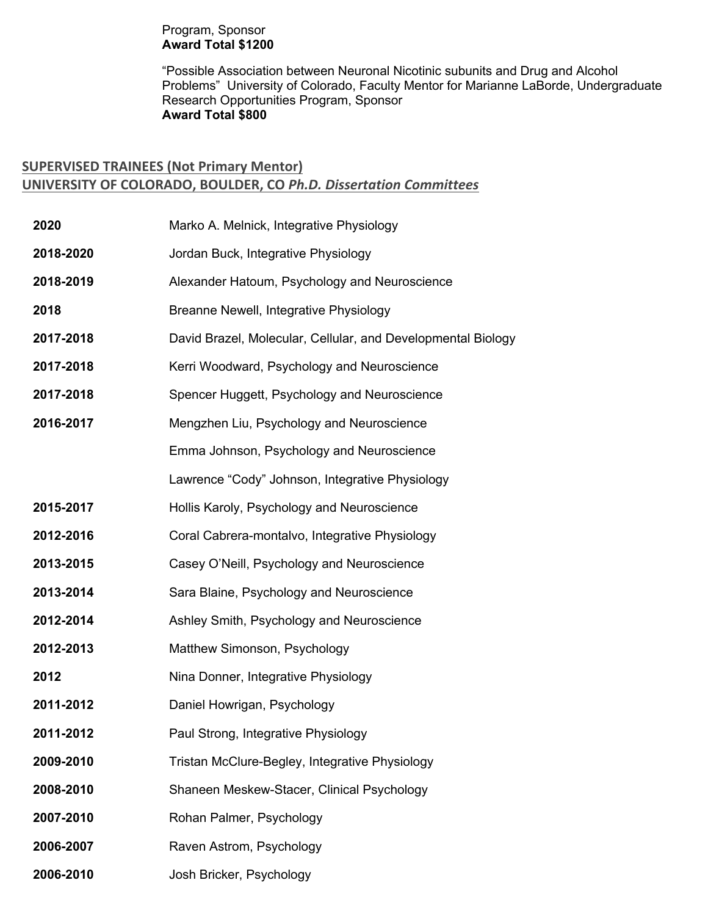## Program, Sponsor **Award Total \$1200**

"Possible Association between Neuronal Nicotinic subunits and Drug and Alcohol Problems" University of Colorado, Faculty Mentor for Marianne LaBorde, Undergraduate Research Opportunities Program, Sponsor **Award Total \$800**

## **SUPERVISED TRAINEES (Not Primary Mentor) UNIVERSITY OF COLORADO, BOULDER, CO** *Ph.D. Dissertation Committees*

| 2020      | Marko A. Melnick, Integrative Physiology                     |
|-----------|--------------------------------------------------------------|
| 2018-2020 | Jordan Buck, Integrative Physiology                          |
| 2018-2019 | Alexander Hatoum, Psychology and Neuroscience                |
| 2018      | Breanne Newell, Integrative Physiology                       |
| 2017-2018 | David Brazel, Molecular, Cellular, and Developmental Biology |
| 2017-2018 | Kerri Woodward, Psychology and Neuroscience                  |
| 2017-2018 | Spencer Huggett, Psychology and Neuroscience                 |
| 2016-2017 | Mengzhen Liu, Psychology and Neuroscience                    |
|           | Emma Johnson, Psychology and Neuroscience                    |
|           | Lawrence "Cody" Johnson, Integrative Physiology              |
| 2015-2017 | Hollis Karoly, Psychology and Neuroscience                   |
| 2012-2016 | Coral Cabrera-montalvo, Integrative Physiology               |
| 2013-2015 | Casey O'Neill, Psychology and Neuroscience                   |
| 2013-2014 | Sara Blaine, Psychology and Neuroscience                     |
| 2012-2014 | Ashley Smith, Psychology and Neuroscience                    |
| 2012-2013 | Matthew Simonson, Psychology                                 |
| 2012      | Nina Donner, Integrative Physiology                          |
| 2011-2012 | Daniel Howrigan, Psychology                                  |
| 2011-2012 | Paul Strong, Integrative Physiology                          |
| 2009-2010 | Tristan McClure-Begley, Integrative Physiology               |
| 2008-2010 | Shaneen Meskew-Stacer, Clinical Psychology                   |
| 2007-2010 | Rohan Palmer, Psychology                                     |
| 2006-2007 | Raven Astrom, Psychology                                     |
| 2006-2010 | Josh Bricker, Psychology                                     |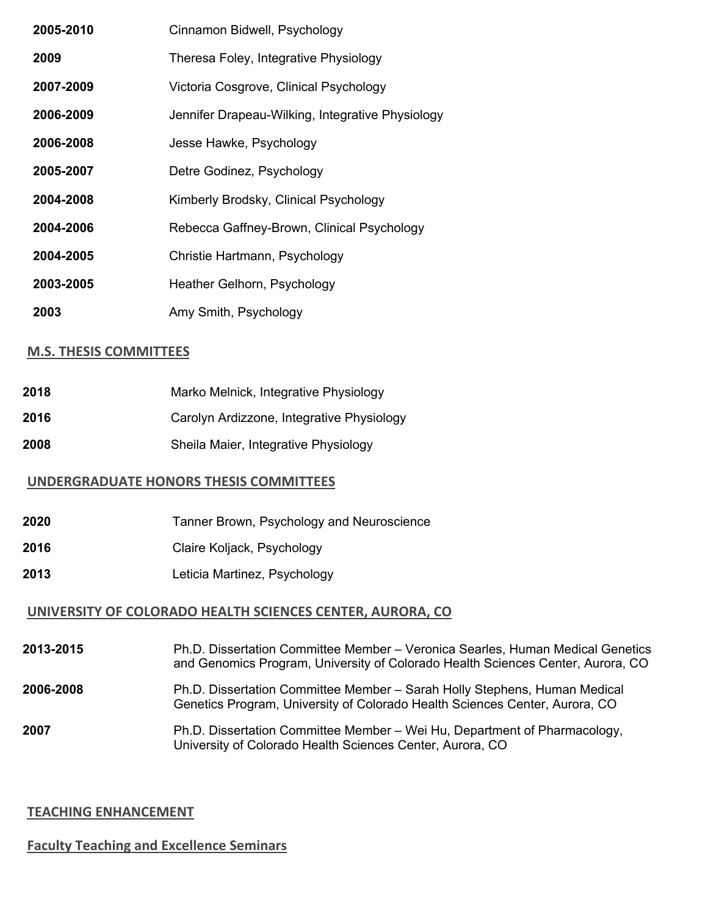| 2005-2010 | Cinnamon Bidwell, Psychology                     |
|-----------|--------------------------------------------------|
| 2009      | Theresa Foley, Integrative Physiology            |
| 2007-2009 | Victoria Cosgrove, Clinical Psychology           |
| 2006-2009 | Jennifer Drapeau-Wilking, Integrative Physiology |
| 2006-2008 | Jesse Hawke, Psychology                          |
| 2005-2007 | Detre Godinez, Psychology                        |
| 2004-2008 | Kimberly Brodsky, Clinical Psychology            |
| 2004-2006 | Rebecca Gaffney-Brown, Clinical Psychology       |
| 2004-2005 | Christie Hartmann, Psychology                    |
| 2003-2005 | Heather Gelhorn, Psychology                      |
| 2003      | Amy Smith, Psychology                            |

## **M.S. THESIS COMMITTEES**

| 2018 | Marko Melnick, Integrative Physiology     |
|------|-------------------------------------------|
| 2016 | Carolyn Ardizzone, Integrative Physiology |
| 2008 | Sheila Maier, Integrative Physiology      |

## **UNDERGRADUATE HONORS THESIS COMMITTEES**

- **2020** Tanner Brown, Psychology and Neuroscience
- **2016** Claire Koljack, Psychology
- **2013** Leticia Martinez, Psychology

## **UNIVERSITY OF COLORADO HEALTH SCIENCES CENTER, AURORA, CO**

**2013-2015** Ph.D. Dissertation Committee Member – Veronica Searles, Human Medical Genetics and Genomics Program, University of Colorado Health Sciences Center, Aurora, CO

#### **2006-2008** Ph.D. Dissertation Committee Member – Sarah Holly Stephens, Human Medical Genetics Program, University of Colorado Health Sciences Center, Aurora, CO

**2007** Ph.D. Dissertation Committee Member – Wei Hu, Department of Pharmacology, University of Colorado Health Sciences Center, Aurora, CO

## **TEACHING ENHANCEMENT**

## **Faculty Teaching and Excellence Seminars**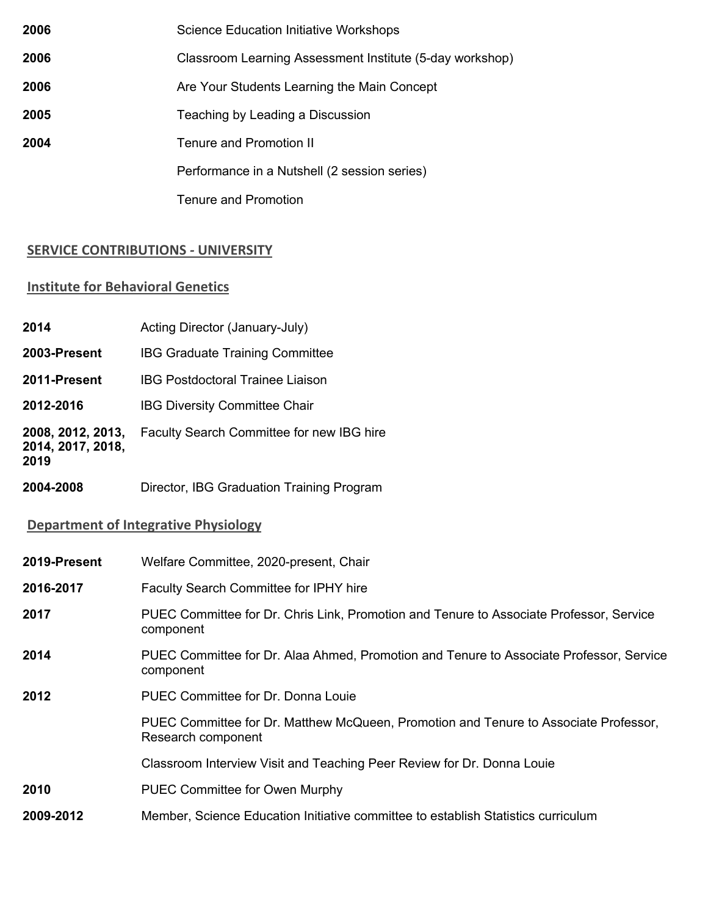| 2006 | <b>Science Education Initiative Workshops</b>            |
|------|----------------------------------------------------------|
| 2006 | Classroom Learning Assessment Institute (5-day workshop) |
| 2006 | Are Your Students Learning the Main Concept              |
| 2005 | Teaching by Leading a Discussion                         |
| 2004 | Tenure and Promotion II                                  |
|      | Performance in a Nutshell (2 session series)             |
|      | <b>Tenure and Promotion</b>                              |

## **SERVICE CONTRIBUTIONS** *-* **UNIVERSITY**

## **Institute for Behavioral Genetics**

| 2014                                           | Acting Director (January-July)            |
|------------------------------------------------|-------------------------------------------|
| 2003-Present                                   | <b>IBG Graduate Training Committee</b>    |
| 2011-Present                                   | <b>IBG Postdoctoral Trainee Liaison</b>   |
| 2012-2016                                      | <b>IBG Diversity Committee Chair</b>      |
| 2008, 2012, 2013,<br>2014, 2017, 2018,<br>2019 | Faculty Search Committee for new IBG hire |

**2004-2008** Director, IBG Graduation Training Program

## **Department of Integrative Physiology**

| 2019-Present | Welfare Committee, 2020-present, Chair                                                                     |
|--------------|------------------------------------------------------------------------------------------------------------|
| 2016-2017    | <b>Faculty Search Committee for IPHY hire</b>                                                              |
| 2017         | PUEC Committee for Dr. Chris Link, Promotion and Tenure to Associate Professor, Service<br>component       |
| 2014         | PUEC Committee for Dr. Alaa Ahmed, Promotion and Tenure to Associate Professor, Service<br>component       |
| 2012         | PUEC Committee for Dr. Donna Louie                                                                         |
|              | PUEC Committee for Dr. Matthew McQueen, Promotion and Tenure to Associate Professor,<br>Research component |
|              | Classroom Interview Visit and Teaching Peer Review for Dr. Donna Louie                                     |
| 2010         | <b>PUEC Committee for Owen Murphy</b>                                                                      |
| 2009-2012    | Member, Science Education Initiative committee to establish Statistics curriculum                          |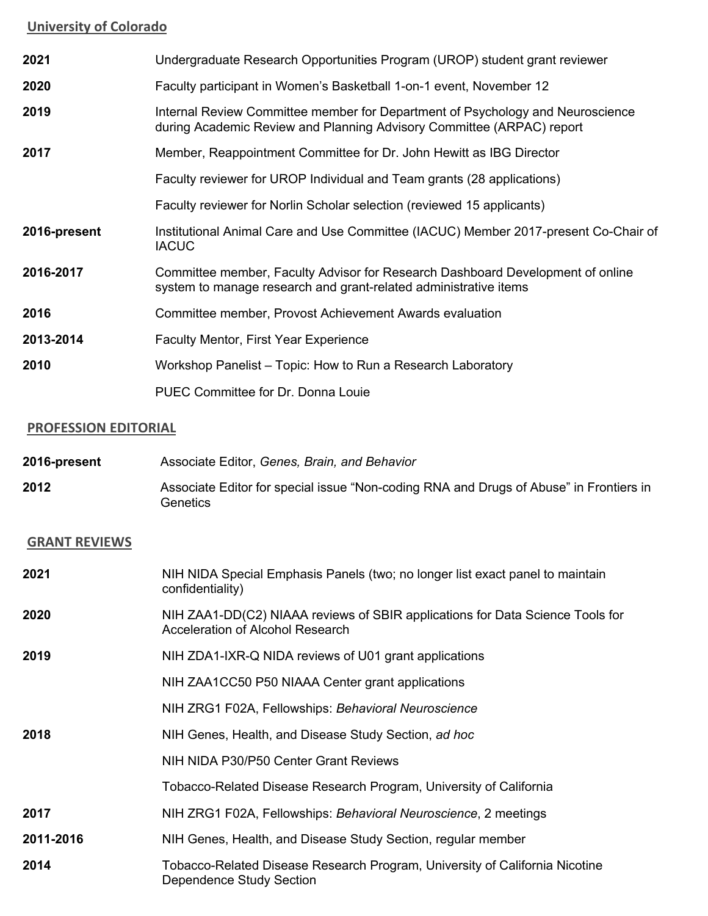## **University of Colorado**

| 2021         | Undergraduate Research Opportunities Program (UROP) student grant reviewer                                                                              |
|--------------|---------------------------------------------------------------------------------------------------------------------------------------------------------|
| 2020         | Faculty participant in Women's Basketball 1-on-1 event, November 12                                                                                     |
| 2019         | Internal Review Committee member for Department of Psychology and Neuroscience<br>during Academic Review and Planning Advisory Committee (ARPAC) report |
| 2017         | Member, Reappointment Committee for Dr. John Hewitt as IBG Director                                                                                     |
|              | Faculty reviewer for UROP Individual and Team grants (28 applications)                                                                                  |
|              | Faculty reviewer for Norlin Scholar selection (reviewed 15 applicants)                                                                                  |
| 2016-present | Institutional Animal Care and Use Committee (IACUC) Member 2017-present Co-Chair of<br><b>IACUC</b>                                                     |
| 2016-2017    | Committee member, Faculty Advisor for Research Dashboard Development of online<br>system to manage research and grant-related administrative items      |
| 2016         | Committee member, Provost Achievement Awards evaluation                                                                                                 |
| 2013-2014    | <b>Faculty Mentor, First Year Experience</b>                                                                                                            |
| 2010         | Workshop Panelist – Topic: How to Run a Research Laboratory                                                                                             |
|              | PUEC Committee for Dr. Donna Louie                                                                                                                      |
|              |                                                                                                                                                         |

## **PROFESSION EDITORIAL**

| 2016-present | Associate Editor, Genes, Brain, and Behavior                                                       |
|--------------|----------------------------------------------------------------------------------------------------|
| 2012         | Associate Editor for special issue "Non-coding RNA and Drugs of Abuse" in Frontiers in<br>Genetics |

# **GRANT REVIEWS**

| 2021      | NIH NIDA Special Emphasis Panels (two; no longer list exact panel to maintain<br>confidentiality)                        |
|-----------|--------------------------------------------------------------------------------------------------------------------------|
| 2020      | NIH ZAA1-DD(C2) NIAAA reviews of SBIR applications for Data Science Tools for<br><b>Acceleration of Alcohol Research</b> |
| 2019      | NIH ZDA1-IXR-Q NIDA reviews of U01 grant applications                                                                    |
|           | NIH ZAA1CC50 P50 NIAAA Center grant applications                                                                         |
|           | NIH ZRG1 F02A, Fellowships: Behavioral Neuroscience                                                                      |
| 2018      | NIH Genes, Health, and Disease Study Section, ad hoc                                                                     |
|           | NIH NIDA P30/P50 Center Grant Reviews                                                                                    |
|           | Tobacco-Related Disease Research Program, University of California                                                       |
| 2017      | NIH ZRG1 F02A, Fellowships: Behavioral Neuroscience, 2 meetings                                                          |
| 2011-2016 | NIH Genes, Health, and Disease Study Section, regular member                                                             |
| 2014      | Tobacco-Related Disease Research Program, University of California Nicotine<br>Dependence Study Section                  |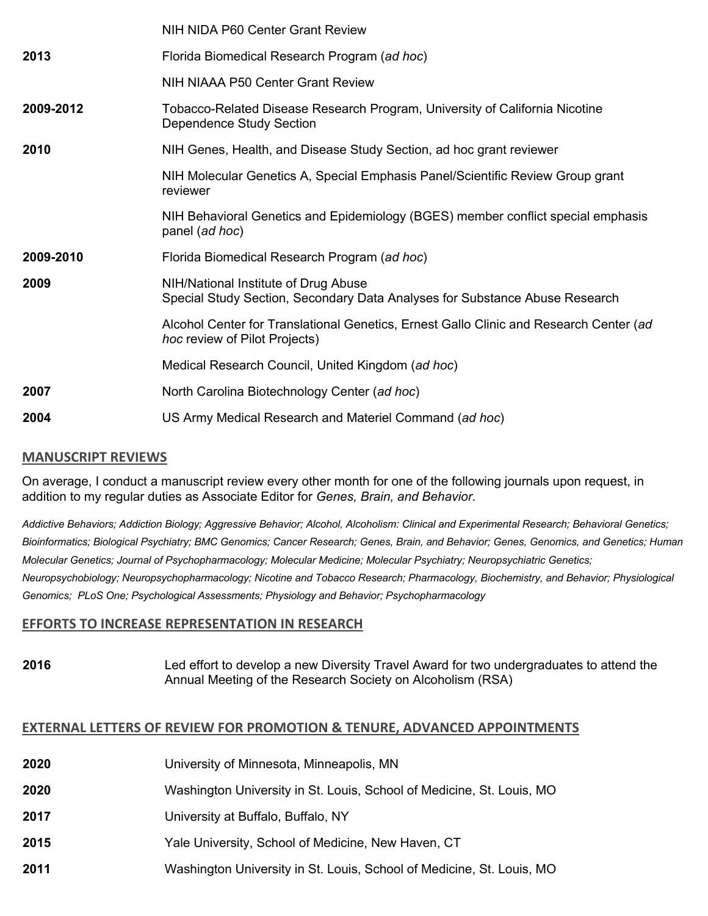|           | NIH NIDA P60 Center Grant Review                                                                                               |
|-----------|--------------------------------------------------------------------------------------------------------------------------------|
| 2013      | Florida Biomedical Research Program (ad hoc)                                                                                   |
|           | NIH NIAAA P50 Center Grant Review                                                                                              |
| 2009-2012 | Tobacco-Related Disease Research Program, University of California Nicotine<br>Dependence Study Section                        |
| 2010      | NIH Genes, Health, and Disease Study Section, ad hoc grant reviewer                                                            |
|           | NIH Molecular Genetics A, Special Emphasis Panel/Scientific Review Group grant<br>reviewer                                     |
|           | NIH Behavioral Genetics and Epidemiology (BGES) member conflict special emphasis<br>panel (ad hoc)                             |
| 2009-2010 | Florida Biomedical Research Program (ad hoc)                                                                                   |
| 2009      | NIH/National Institute of Drug Abuse<br>Special Study Section, Secondary Data Analyses for Substance Abuse Research            |
|           | Alcohol Center for Translational Genetics, Ernest Gallo Clinic and Research Center (ad<br><i>hoc</i> review of Pilot Projects) |
|           | Medical Research Council, United Kingdom (ad hoc)                                                                              |
| 2007      | North Carolina Biotechnology Center (ad hoc)                                                                                   |
| 2004      | US Army Medical Research and Materiel Command (ad hoc)                                                                         |

## **MANUSCRIPT REVIEWS**

On average, I conduct a manuscript review every other month for one of the following journals upon request, in addition to my regular duties as Associate Editor for *Genes, Brain, and Behavior*.

*Addictive Behaviors; Addiction Biology; Aggressive Behavior; Alcohol, Alcoholism: Clinical and Experimental Research; Behavioral Genetics; Bioinformatics; Biological Psychiatry; BMC Genomics; Cancer Research; Genes, Brain, and Behavior; Genes, Genomics, and Genetics; Human Molecular Genetics; Journal of Psychopharmacology; Molecular Medicine; Molecular Psychiatry; Neuropsychiatric Genetics; Neuropsychobiology; Neuropsychopharmacology; Nicotine and Tobacco Research; Pharmacology, Biochemistry, and Behavior; Physiological Genomics; PLoS One; Psychological Assessments; Physiology and Behavior; Psychopharmacology*

## **EFFORTS TO INCREASE REPRESENTATION IN RESEARCH**

**2016** Led effort to develop a new Diversity Travel Award for two undergraduates to attend the Annual Meeting of the Research Society on Alcoholism (RSA)

## **EXTERNAL LETTERS OF REVIEW FOR PROMOTION & TENURE, ADVANCED APPOINTMENTS**

| 2020 | University of Minnesota, Minneapolis, MN                              |
|------|-----------------------------------------------------------------------|
| 2020 | Washington University in St. Louis, School of Medicine, St. Louis, MO |
| 2017 | University at Buffalo, Buffalo, NY                                    |
| 2015 | Yale University, School of Medicine, New Haven, CT                    |
| 2011 | Washington University in St. Louis, School of Medicine, St. Louis, MO |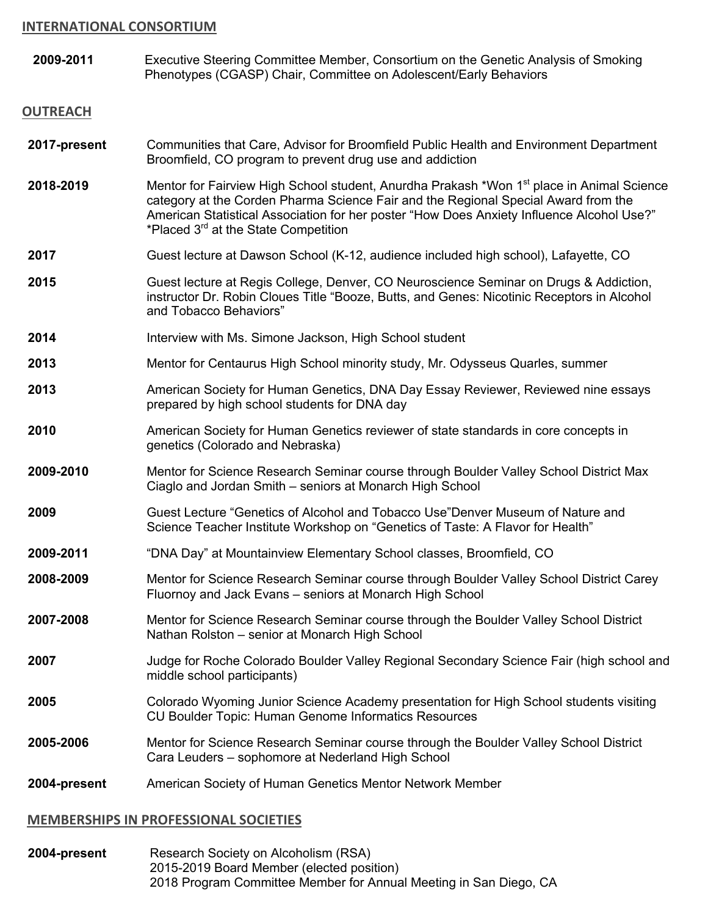#### **INTERNATIONAL CONSORTIUM**

**2009-2011** Executive Steering Committee Member, Consortium on the Genetic Analysis of Smoking Phenotypes (CGASP) Chair, Committee on Adolescent/Early Behaviors

#### **OUTREACH**

- **2017-present** Communities that Care, Advisor for Broomfield Public Health and Environment Department Broomfield, CO program to prevent drug use and addiction
- 2018-2019 Mentor for Fairview High School student, Anurdha Prakash \*Won 1<sup>st</sup> place in Animal Science category at the Corden Pharma Science Fair and the Regional Special Award from the American Statistical Association for her poster "How Does Anxiety Influence Alcohol Use?" \*Placed 3rd at the State Competition
- **2017** Guest lecture at Dawson School (K-12, audience included high school), Lafayette, CO
- **2015** Guest lecture at Regis College, Denver, CO Neuroscience Seminar on Drugs & Addiction, instructor Dr. Robin Cloues Title "Booze, Butts, and Genes: Nicotinic Receptors in Alcohol and Tobacco Behaviors"
- **2014** Interview with Ms. Simone Jackson, High School student
- **2013** Mentor for Centaurus High School minority study, Mr. Odysseus Quarles, summer
- **2013** American Society for Human Genetics, DNA Day Essay Reviewer, Reviewed nine essays prepared by high school students for DNA day
- **2010** American Society for Human Genetics reviewer of state standards in core concepts in genetics (Colorado and Nebraska)
- **2009-2010** Mentor for Science Research Seminar course through Boulder Valley School District Max Ciaglo and Jordan Smith – seniors at Monarch High School
- **2009** Guest Lecture "Genetics of Alcohol and Tobacco Use"Denver Museum of Nature and Science Teacher Institute Workshop on "Genetics of Taste: A Flavor for Health"
- **2009-2011** "DNA Day" at Mountainview Elementary School classes, Broomfield, CO
- **2008-2009** Mentor for Science Research Seminar course through Boulder Valley School District Carey Fluornoy and Jack Evans – seniors at Monarch High School
- **2007-2008** Mentor for Science Research Seminar course through the Boulder Valley School District Nathan Rolston – senior at Monarch High School
- **2007** Judge for Roche Colorado Boulder Valley Regional Secondary Science Fair (high school and middle school participants)
- **2005** Colorado Wyoming Junior Science Academy presentation for High School students visiting CU Boulder Topic: Human Genome Informatics Resources
- **2005-2006** Mentor for Science Research Seminar course through the Boulder Valley School District Cara Leuders – sophomore at Nederland High School
- **2004-present** American Society of Human Genetics Mentor Network Member

#### **MEMBERSHIPS IN PROFESSIONAL SOCIETIES**

**2004-present** Research Society on Alcoholism (RSA) 2015-2019 Board Member (elected position) 2018 Program Committee Member for Annual Meeting in San Diego, CA